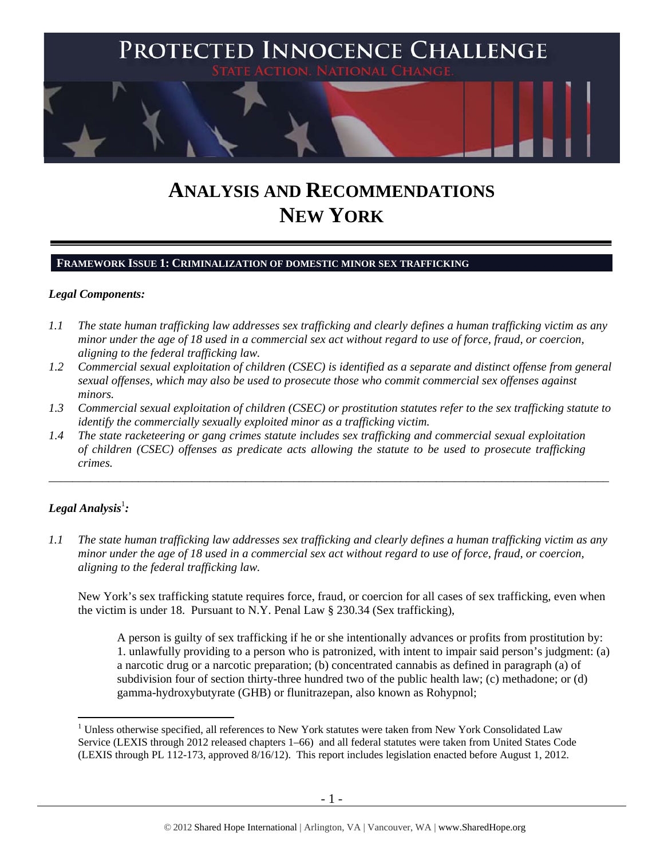

# **ANALYSIS AND RECOMMENDATIONS NEW YORK**

## **FRAMEWORK ISSUE 1: CRIMINALIZATION OF DOMESTIC MINOR SEX TRAFFICKING**

#### *Legal Components:*

- *1.1 The state human trafficking law addresses sex trafficking and clearly defines a human trafficking victim as any minor under the age of 18 used in a commercial sex act without regard to use of force, fraud, or coercion, aligning to the federal trafficking law.*
- *1.2 Commercial sexual exploitation of children (CSEC) is identified as a separate and distinct offense from general sexual offenses, which may also be used to prosecute those who commit commercial sex offenses against minors.*
- *1.3 Commercial sexual exploitation of children (CSEC) or prostitution statutes refer to the sex trafficking statute to identify the commercially sexually exploited minor as a trafficking victim.*

\_\_\_\_\_\_\_\_\_\_\_\_\_\_\_\_\_\_\_\_\_\_\_\_\_\_\_\_\_\_\_\_\_\_\_\_\_\_\_\_\_\_\_\_\_\_\_\_\_\_\_\_\_\_\_\_\_\_\_\_\_\_\_\_\_\_\_\_\_\_\_\_\_\_\_\_\_\_\_\_\_\_\_\_\_\_\_\_\_\_\_\_\_\_

*1.4 The state racketeering or gang crimes statute includes sex trafficking and commercial sexual exploitation of children (CSEC) offenses as predicate acts allowing the statute to be used to prosecute trafficking crimes.* 

## $\bm{\mathit{Legal\, Analysis^{\text{!}}:}}$

 $\overline{a}$ 

*1.1 The state human trafficking law addresses sex trafficking and clearly defines a human trafficking victim as any minor under the age of 18 used in a commercial sex act without regard to use of force, fraud, or coercion, aligning to the federal trafficking law.* 

New York's sex trafficking statute requires force, fraud, or coercion for all cases of sex trafficking, even when the victim is under 18. Pursuant to N.Y. Penal Law § 230.34 (Sex trafficking),

A person is guilty of sex trafficking if he or she intentionally advances or profits from prostitution by: 1. unlawfully providing to a person who is patronized, with intent to impair said person's judgment: (a) a narcotic drug or a narcotic preparation; (b) concentrated cannabis as defined in paragraph (a) of subdivision four of section thirty-three hundred two of the public health law; (c) methadone; or (d) gamma-hydroxybutyrate (GHB) or flunitrazepan, also known as Rohypnol;

<sup>&</sup>lt;sup>1</sup> Unless otherwise specified, all references to New York statutes were taken from New York Consolidated Law Service (LEXIS through 2012 released chapters 1–66) and all federal statutes were taken from United States Code (LEXIS through PL 112-173, approved 8/16/12). This report includes legislation enacted before August 1, 2012.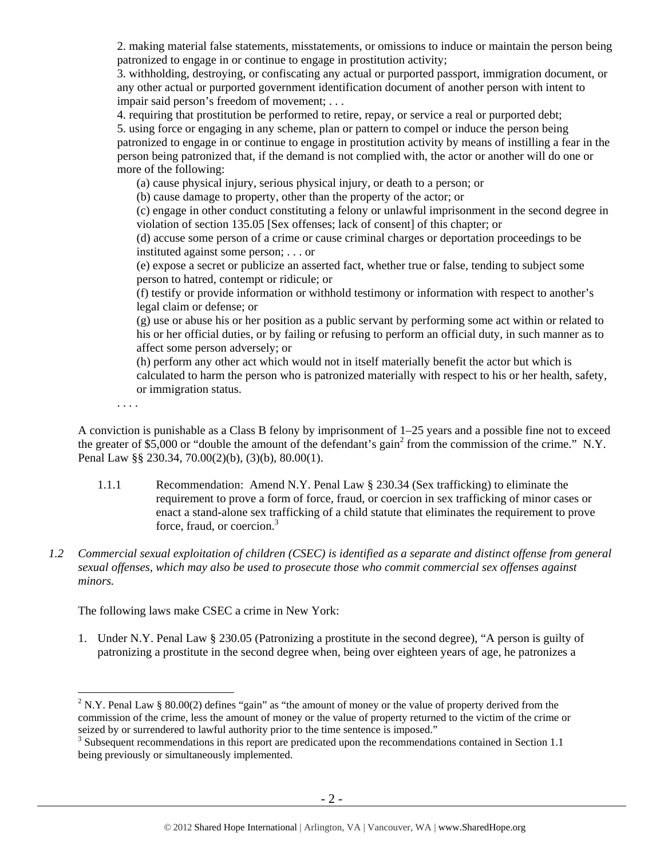2. making material false statements, misstatements, or omissions to induce or maintain the person being patronized to engage in or continue to engage in prostitution activity;

3. withholding, destroying, or confiscating any actual or purported passport, immigration document, or any other actual or purported government identification document of another person with intent to impair said person's freedom of movement; . . .

4. requiring that prostitution be performed to retire, repay, or service a real or purported debt;

5. using force or engaging in any scheme, plan or pattern to compel or induce the person being patronized to engage in or continue to engage in prostitution activity by means of instilling a fear in the person being patronized that, if the demand is not complied with, the actor or another will do one or more of the following:

(a) cause physical injury, serious physical injury, or death to a person; or

(b) cause damage to property, other than the property of the actor; or

(c) engage in other conduct constituting a felony or unlawful imprisonment in the second degree in violation of section 135.05 [Sex offenses; lack of consent] of this chapter; or

(d) accuse some person of a crime or cause criminal charges or deportation proceedings to be instituted against some person; . . . or

(e) expose a secret or publicize an asserted fact, whether true or false, tending to subject some person to hatred, contempt or ridicule; or

(f) testify or provide information or withhold testimony or information with respect to another's legal claim or defense; or

(g) use or abuse his or her position as a public servant by performing some act within or related to his or her official duties, or by failing or refusing to perform an official duty, in such manner as to affect some person adversely; or

(h) perform any other act which would not in itself materially benefit the actor but which is calculated to harm the person who is patronized materially with respect to his or her health, safety, or immigration status.

. . . .

 $\overline{a}$ 

A conviction is punishable as a Class B felony by imprisonment of  $1-25$  years and a possible fine not to exceed the greater of  $\overline{\$5,000\}$ or "double the amount of the defendant's gain<sup>2</sup> from the commission of the crime." N.Y.$ Penal Law §§ 230.34, 70.00(2)(b), (3)(b), 80.00(1).

- 1.1.1 Recommendation: Amend N.Y. Penal Law § 230.34 (Sex trafficking) to eliminate the requirement to prove a form of force, fraud, or coercion in sex trafficking of minor cases or enact a stand-alone sex trafficking of a child statute that eliminates the requirement to prove force, fraud, or coercion.<sup>3</sup>
- *1.2 Commercial sexual exploitation of children (CSEC) is identified as a separate and distinct offense from general sexual offenses, which may also be used to prosecute those who commit commercial sex offenses against minors.*

The following laws make CSEC a crime in New York:

1. Under N.Y. Penal Law § 230.05 (Patronizing a prostitute in the second degree), "A person is guilty of patronizing a prostitute in the second degree when, being over eighteen years of age, he patronizes a

<sup>&</sup>lt;sup>2</sup> N.Y. Penal Law § 80.00(2) defines "gain" as "the amount of money or the value of property derived from the commission of the crime, less the amount of money or the value of property returned to the victim of the crime or seized by or surrendered to lawful authority prior to the time sentence is imposed."

<sup>&</sup>lt;sup>3</sup> Subsequent recommendations in this report are predicated upon the recommendations contained in Section 1.1 being previously or simultaneously implemented.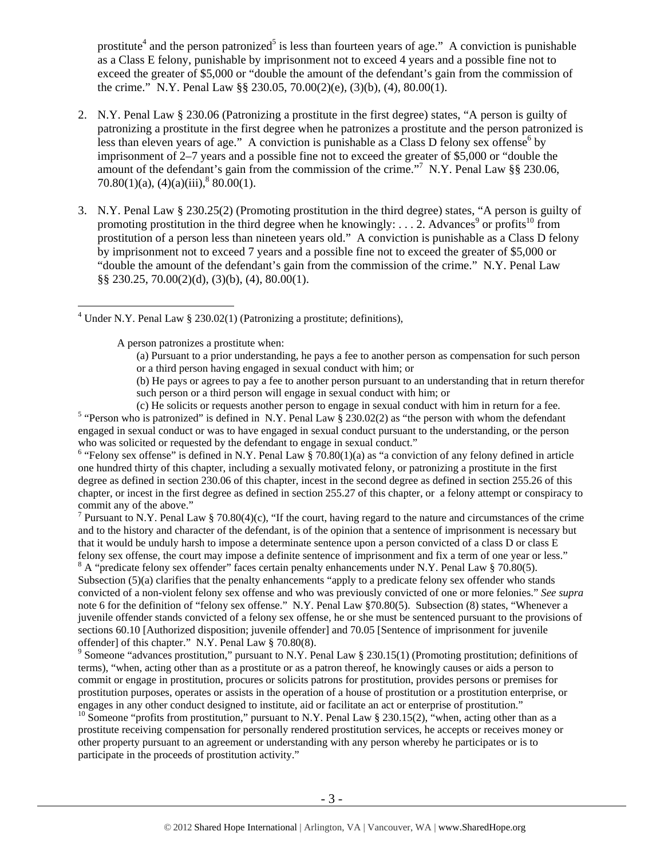prostitute<sup>4</sup> and the person patronized<sup>5</sup> is less than fourteen years of age." A conviction is punishable as a Class E felony, punishable by imprisonment not to exceed 4 years and a possible fine not to exceed the greater of \$5,000 or "double the amount of the defendant's gain from the commission of the crime." N.Y. Penal Law §§ 230.05, 70.00(2)(e), (3)(b), (4), 80.00(1).

- 2. N.Y. Penal Law § 230.06 (Patronizing a prostitute in the first degree) states, "A person is guilty of patronizing a prostitute in the first degree when he patronizes a prostitute and the person patronized is less than eleven years of age." A conviction is punishable as a Class D felony sex offense by imprisonment of 2–7 years and a possible fine not to exceed the greater of \$5,000 or "double the amount of the defendant's gain from the commission of the crime."<sup>7</sup> N.Y. Penal Law §§ 230.06, 70.80(1)(a),  $(4)(a)(iii)$ ,  $80.00(1)$ .
- 3. N.Y. Penal Law § 230.25(2) (Promoting prostitution in the third degree) states, "A person is guilty of promoting prostitution in the third degree when he knowingly: ... 2. Advances<sup>9</sup> or profits<sup>10</sup> from prostitution of a person less than nineteen years old." A conviction is punishable as a Class D felony by imprisonment not to exceed 7 years and a possible fine not to exceed the greater of \$5,000 or "double the amount of the defendant's gain from the commission of the crime." N.Y. Penal Law §§ 230.25, 70.00(2)(d), (3)(b), (4), 80.00(1).

A person patronizes a prostitute when:

 $\overline{a}$ 

(b) He pays or agrees to pay a fee to another person pursuant to an understanding that in return therefor such person or a third person will engage in sexual conduct with him; or

(c) He solicits or requests another person to engage in sexual conduct with him in return for a fee. 5

<sup>5</sup> "Person who is patronized" is defined in N.Y. Penal Law  $\frac{5}{9}$  230.02(2) as "the person with whom the defendant engaged in sexual conduct or was to have engaged in sexual conduct pursuant to the understanding, or the person who was solicited or requested by the defendant to engage in sexual conduct."

<sup>6</sup> "Felony sex offense" is defined in N.Y. Penal Law  $\S$  70.80(1)(a) as "a conviction of any felony defined in article one hundred thirty of this chapter, including a sexually motivated felony, or patronizing a prostitute in the first degree as defined in section 230.06 of this chapter, incest in the second degree as defined in section 255.26 of this chapter, or incest in the first degree as defined in section 255.27 of this chapter, or a felony attempt or conspiracy to commit any of the above."

<sup>7</sup> Pursuant to N.Y. Penal Law § 70.80(4)(c), "If the court, having regard to the nature and circumstances of the crime and to the history and character of the defendant, is of the opinion that a sentence of imprisonment is necessary but that it would be unduly harsh to impose a determinate sentence upon a person convicted of a class D or class E felony sex offense, the court may impose a definite sentence of imprisonment and fix a term of one year or less."

 $8 \text{ A}$  "predicate felony sex offender" faces certain penalty enhancements under N.Y. Penal Law § 70.80(5). Subsection (5)(a) clarifies that the penalty enhancements "apply to a predicate felony sex offender who stands convicted of a non-violent felony sex offense and who was previously convicted of one or more felonies." *See supra*  note 6 for the definition of "felony sex offense." N.Y. Penal Law §70.80(5). Subsection (8) states, "Whenever a juvenile offender stands convicted of a felony sex offense, he or she must be sentenced pursuant to the provisions of sections 60.10 [Authorized disposition; juvenile offender] and 70.05 [Sentence of imprisonment for juvenile offender] of this chapter." N.Y. Penal Law § 70.80(8).

<sup>9</sup> Someone "advances prostitution," pursuant to N.Y. Penal Law § 230.15(1) (Promoting prostitution; definitions of terms), "when, acting other than as a prostitute or as a patron thereof, he knowingly causes or aids a person to commit or engage in prostitution, procures or solicits patrons for prostitution, provides persons or premises for prostitution purposes, operates or assists in the operation of a house of prostitution or a prostitution enterprise, or engages in any other conduct designed to institute, aid or facilitate an act or enterprise of prostitution."

<sup>10</sup> Someone "profits from prostitution," pursuant to N.Y. Penal Law § 230.15(2), "when, acting other than as a prostitute receiving compensation for personally rendered prostitution services, he accepts or receives money or other property pursuant to an agreement or understanding with any person whereby he participates or is to participate in the proceeds of prostitution activity."

<sup>&</sup>lt;sup>4</sup> Under N.Y. Penal Law § 230.02(1) (Patronizing a prostitute; definitions),

<sup>(</sup>a) Pursuant to a prior understanding, he pays a fee to another person as compensation for such person or a third person having engaged in sexual conduct with him; or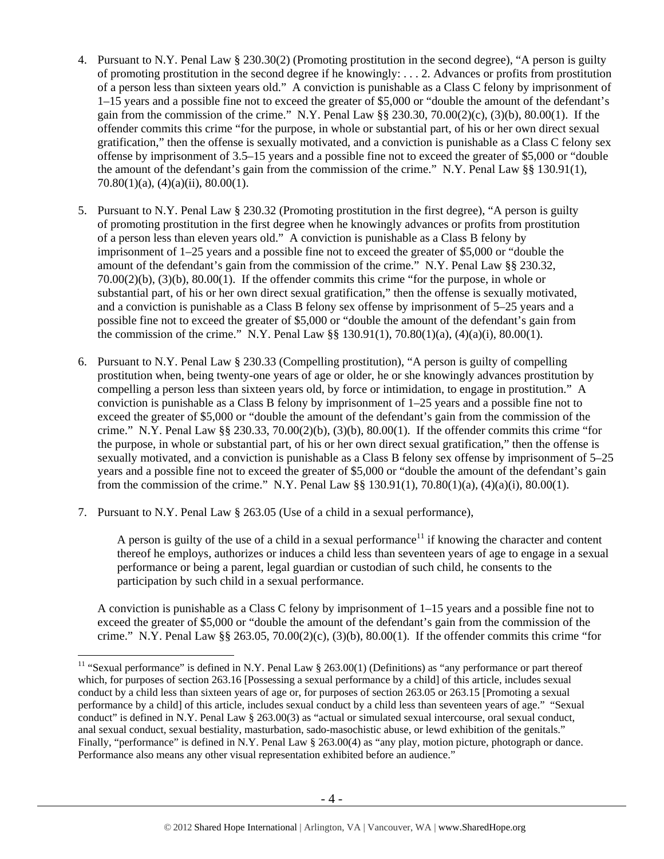- 4. Pursuant to N.Y. Penal Law § 230.30(2) (Promoting prostitution in the second degree), "A person is guilty of promoting prostitution in the second degree if he knowingly: . . . 2. Advances or profits from prostitution of a person less than sixteen years old." A conviction is punishable as a Class C felony by imprisonment of 1–15 years and a possible fine not to exceed the greater of \$5,000 or "double the amount of the defendant's gain from the commission of the crime." N.Y. Penal Law §§ 230.30, 70.00(2)(c), (3)(b), 80.00(1). If the offender commits this crime "for the purpose, in whole or substantial part, of his or her own direct sexual gratification," then the offense is sexually motivated, and a conviction is punishable as a Class C felony sex offense by imprisonment of 3.5–15 years and a possible fine not to exceed the greater of \$5,000 or "double the amount of the defendant's gain from the commission of the crime." N.Y. Penal Law §§ 130.91(1), 70.80(1)(a), (4)(a)(ii), 80.00(1).
- 5. Pursuant to N.Y. Penal Law § 230.32 (Promoting prostitution in the first degree), "A person is guilty of promoting prostitution in the first degree when he knowingly advances or profits from prostitution of a person less than eleven years old." A conviction is punishable as a Class B felony by imprisonment of 1–25 years and a possible fine not to exceed the greater of \$5,000 or "double the amount of the defendant's gain from the commission of the crime." N.Y. Penal Law §§ 230.32, 70.00(2)(b), (3)(b), 80.00(1). If the offender commits this crime "for the purpose, in whole or substantial part, of his or her own direct sexual gratification," then the offense is sexually motivated, and a conviction is punishable as a Class B felony sex offense by imprisonment of 5–25 years and a possible fine not to exceed the greater of \$5,000 or "double the amount of the defendant's gain from the commission of the crime." N.Y. Penal Law  $\S$ § 130.91(1), 70.80(1)(a), (4)(a)(i), 80.00(1).
- 6. Pursuant to N.Y. Penal Law § 230.33 (Compelling prostitution), "A person is guilty of compelling prostitution when, being twenty-one years of age or older, he or she knowingly advances prostitution by compelling a person less than sixteen years old, by force or intimidation, to engage in prostitution." A conviction is punishable as a Class B felony by imprisonment of 1–25 years and a possible fine not to exceed the greater of \$5,000 or "double the amount of the defendant's gain from the commission of the crime." N.Y. Penal Law  $\S$  230.33, 70.00(2)(b), (3)(b), 80.00(1). If the offender commits this crime "for the purpose, in whole or substantial part, of his or her own direct sexual gratification," then the offense is sexually motivated, and a conviction is punishable as a Class B felony sex offense by imprisonment of 5–25 years and a possible fine not to exceed the greater of \$5,000 or "double the amount of the defendant's gain from the commission of the crime." N.Y. Penal Law  $\S$ § 130.91(1), 70.80(1)(a), (4)(a)(i), 80.00(1).
- 7. Pursuant to N.Y. Penal Law § 263.05 (Use of a child in a sexual performance),

 $\overline{a}$ 

A person is guilty of the use of a child in a sexual performance<sup>11</sup> if knowing the character and content thereof he employs, authorizes or induces a child less than seventeen years of age to engage in a sexual performance or being a parent, legal guardian or custodian of such child, he consents to the participation by such child in a sexual performance.

A conviction is punishable as a Class C felony by imprisonment of 1–15 years and a possible fine not to exceed the greater of \$5,000 or "double the amount of the defendant's gain from the commission of the crime." N.Y. Penal Law  $\S$  263.05, 70.00(2)(c), (3)(b), 80.00(1). If the offender commits this crime "for

<sup>&</sup>lt;sup>11</sup> "Sexual performance" is defined in N.Y. Penal Law  $\S$  263.00(1) (Definitions) as "any performance or part thereof which, for purposes of section 263.16 [Possessing a sexual performance by a child] of this article, includes sexual conduct by a child less than sixteen years of age or, for purposes of section 263.05 or 263.15 [Promoting a sexual performance by a child] of this article, includes sexual conduct by a child less than seventeen years of age." "Sexual conduct" is defined in N.Y. Penal Law § 263.00(3) as "actual or simulated sexual intercourse, oral sexual conduct, anal sexual conduct, sexual bestiality, masturbation, sado-masochistic abuse, or lewd exhibition of the genitals." Finally, "performance" is defined in N.Y. Penal Law § 263.00(4) as "any play, motion picture, photograph or dance. Performance also means any other visual representation exhibited before an audience."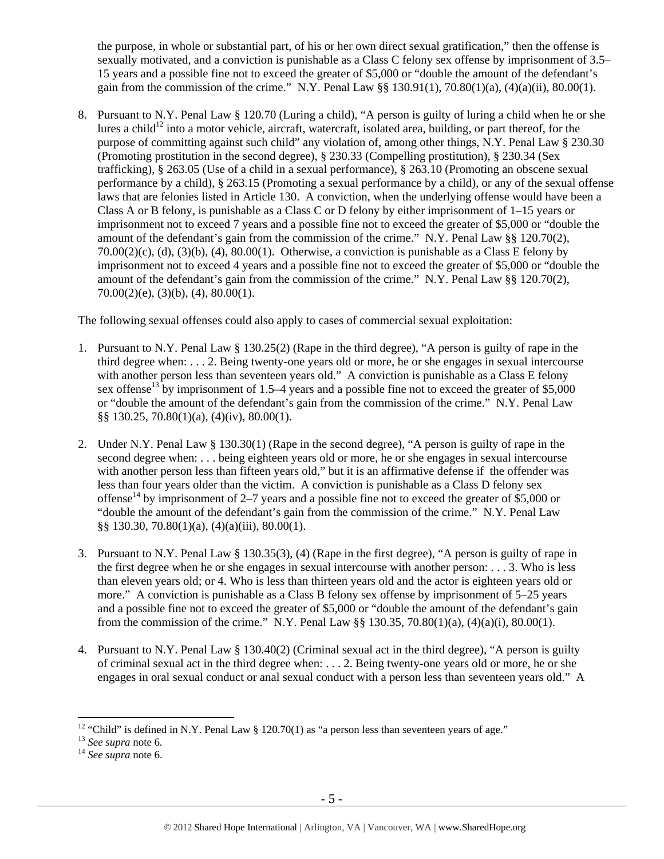the purpose, in whole or substantial part, of his or her own direct sexual gratification," then the offense is sexually motivated, and a conviction is punishable as a Class C felony sex offense by imprisonment of 3.5– 15 years and a possible fine not to exceed the greater of \$5,000 or "double the amount of the defendant's gain from the commission of the crime." N.Y. Penal Law §§ 130.91(1), 70.80(1)(a), (4)(a)(ii), 80.00(1).

8. Pursuant to N.Y. Penal Law § 120.70 (Luring a child), "A person is guilty of luring a child when he or she lures a child<sup>12</sup> into a motor vehicle, aircraft, watercraft, isolated area, building, or part thereof, for the purpose of committing against such child" any violation of, among other things, N.Y. Penal Law § 230.30 (Promoting prostitution in the second degree), § 230.33 (Compelling prostitution), § 230.34 (Sex trafficking), § 263.05 (Use of a child in a sexual performance), § 263.10 (Promoting an obscene sexual performance by a child), § 263.15 (Promoting a sexual performance by a child), or any of the sexual offense laws that are felonies listed in Article 130. A conviction, when the underlying offense would have been a Class A or B felony, is punishable as a Class C or D felony by either imprisonment of 1–15 years or imprisonment not to exceed 7 years and a possible fine not to exceed the greater of \$5,000 or "double the amount of the defendant's gain from the commission of the crime." N.Y. Penal Law §§ 120.70(2),  $70.00(2)(c)$ , (d), (3)(b), (4),  $80.00(1)$ . Otherwise, a conviction is punishable as a Class E felony by imprisonment not to exceed 4 years and a possible fine not to exceed the greater of \$5,000 or "double the amount of the defendant's gain from the commission of the crime." N.Y. Penal Law §§ 120.70(2),  $70.00(2)(e)$ ,  $(3)(b)$ ,  $(4)$ ,  $80.00(1)$ .

The following sexual offenses could also apply to cases of commercial sexual exploitation:

- 1. Pursuant to N.Y. Penal Law § 130.25(2) (Rape in the third degree), "A person is guilty of rape in the third degree when: . . . 2. Being twenty-one years old or more, he or she engages in sexual intercourse with another person less than seventeen years old." A conviction is punishable as a Class E felony sex offense<sup>13</sup> by imprisonment of 1.5–4 years and a possible fine not to exceed the greater of \$5,000 or "double the amount of the defendant's gain from the commission of the crime." N.Y. Penal Law §§ 130.25, 70.80(1)(a), (4)(iv), 80.00(1).
- 2. Under N.Y. Penal Law § 130.30(1) (Rape in the second degree), "A person is guilty of rape in the second degree when: . . . being eighteen years old or more, he or she engages in sexual intercourse with another person less than fifteen years old," but it is an affirmative defense if the offender was less than four years older than the victim. A conviction is punishable as a Class D felony sex offense<sup>14</sup> by imprisonment of 2–7 years and a possible fine not to exceed the greater of \$5,000 or "double the amount of the defendant's gain from the commission of the crime." N.Y. Penal Law §§ 130.30, 70.80(1)(a), (4)(a)(iii), 80.00(1).
- 3. Pursuant to N.Y. Penal Law § 130.35(3), (4) (Rape in the first degree), "A person is guilty of rape in the first degree when he or she engages in sexual intercourse with another person: . . . 3. Who is less than eleven years old; or 4. Who is less than thirteen years old and the actor is eighteen years old or more." A conviction is punishable as a Class B felony sex offense by imprisonment of 5–25 years and a possible fine not to exceed the greater of \$5,000 or "double the amount of the defendant's gain from the commission of the crime." N.Y. Penal Law  $\S$ § 130.35, 70.80(1)(a), (4)(a)(i), 80.00(1).
- 4. Pursuant to N.Y. Penal Law § 130.40(2) (Criminal sexual act in the third degree), "A person is guilty of criminal sexual act in the third degree when: . . . 2. Being twenty-one years old or more, he or she engages in oral sexual conduct or anal sexual conduct with a person less than seventeen years old." A

<sup>&</sup>lt;sup>12</sup> "Child" is defined in N.Y. Penal Law § 120.70(1) as "a person less than seventeen years of age."

<sup>13</sup> *See supra* note 6*.* <sup>14</sup> *See supra* note 6.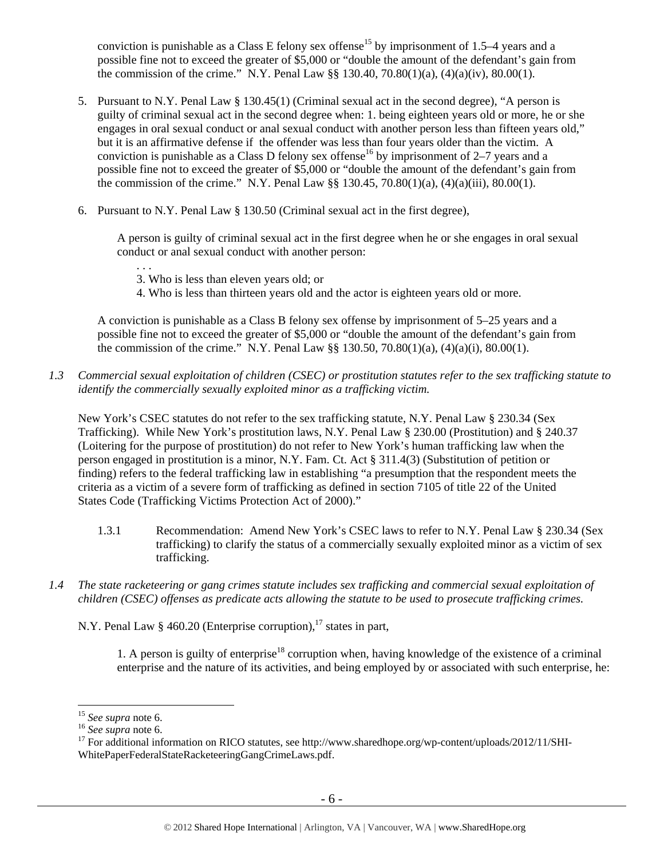conviction is punishable as a Class E felony sex offense<sup>15</sup> by imprisonment of 1.5–4 years and a possible fine not to exceed the greater of \$5,000 or "double the amount of the defendant's gain from the commission of the crime." N.Y. Penal Law  $\S$  130.40, 70.80(1)(a), (4)(a)(iv), 80.00(1).

- 5. Pursuant to N.Y. Penal Law § 130.45(1) (Criminal sexual act in the second degree), "A person is guilty of criminal sexual act in the second degree when: 1. being eighteen years old or more, he or she engages in oral sexual conduct or anal sexual conduct with another person less than fifteen years old," but it is an affirmative defense if the offender was less than four years older than the victim. A conviction is punishable as a Class D felony sex offense<sup>16</sup> by imprisonment of 2–7 years and a possible fine not to exceed the greater of \$5,000 or "double the amount of the defendant's gain from the commission of the crime." N.Y. Penal Law §§ 130.45, 70.80(1)(a), (4)(a)(iii), 80.00(1).
- 6. Pursuant to N.Y. Penal Law § 130.50 (Criminal sexual act in the first degree),

A person is guilty of criminal sexual act in the first degree when he or she engages in oral sexual conduct or anal sexual conduct with another person:

- . . . 3. Who is less than eleven years old; or
- 4. Who is less than thirteen years old and the actor is eighteen years old or more.

A conviction is punishable as a Class B felony sex offense by imprisonment of 5–25 years and a possible fine not to exceed the greater of \$5,000 or "double the amount of the defendant's gain from the commission of the crime." N.Y. Penal Law §§ 130.50, 70.80(1)(a), (4)(a)(i), 80.00(1).

*1.3 Commercial sexual exploitation of children (CSEC) or prostitution statutes refer to the sex trafficking statute to identify the commercially sexually exploited minor as a trafficking victim.* 

New York's CSEC statutes do not refer to the sex trafficking statute, N.Y. Penal Law § 230.34 (Sex Trafficking). While New York's prostitution laws, N.Y. Penal Law § 230.00 (Prostitution) and § 240.37 (Loitering for the purpose of prostitution) do not refer to New York's human trafficking law when the person engaged in prostitution is a minor, N.Y. Fam. Ct. Act § 311.4(3) (Substitution of petition or finding) refers to the federal trafficking law in establishing "a presumption that the respondent meets the criteria as a victim of a severe form of trafficking as defined in section 7105 of title 22 of the United States Code (Trafficking Victims Protection Act of 2000)."

- 1.3.1 Recommendation: Amend New York's CSEC laws to refer to N.Y. Penal Law § 230.34 (Sex trafficking) to clarify the status of a commercially sexually exploited minor as a victim of sex trafficking.
- *1.4 The state racketeering or gang crimes statute includes sex trafficking and commercial sexual exploitation of children (CSEC) offenses as predicate acts allowing the statute to be used to prosecute trafficking crimes.*

N.Y. Penal Law  $\S$  460.20 (Enterprise corruption),<sup>17</sup> states in part,

1. A person is guilty of enterprise<sup>18</sup> corruption when, having knowledge of the existence of a criminal enterprise and the nature of its activities, and being employed by or associated with such enterprise, he:

 $15$  See supra note 6.

<sup>&</sup>lt;sup>16</sup> See supra note 6.<br><sup>17</sup> For additional information on RICO statutes, see http://www.sharedhope.org/wp-content/uploads/2012/11/SHI-WhitePaperFederalStateRacketeeringGangCrimeLaws.pdf.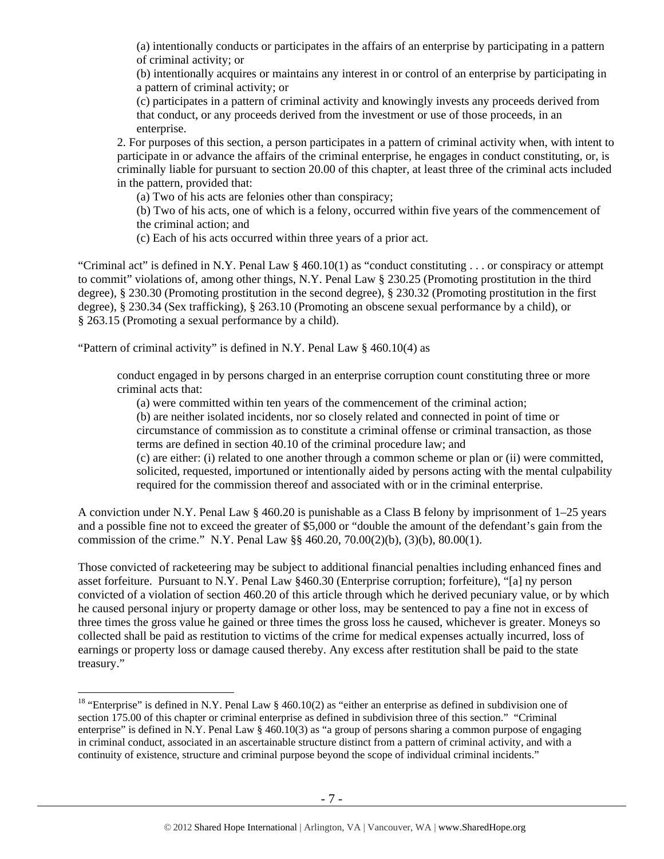(a) intentionally conducts or participates in the affairs of an enterprise by participating in a pattern of criminal activity; or

(b) intentionally acquires or maintains any interest in or control of an enterprise by participating in a pattern of criminal activity; or

(c) participates in a pattern of criminal activity and knowingly invests any proceeds derived from that conduct, or any proceeds derived from the investment or use of those proceeds, in an enterprise.

2. For purposes of this section, a person participates in a pattern of criminal activity when, with intent to participate in or advance the affairs of the criminal enterprise, he engages in conduct constituting, or, is criminally liable for pursuant to section 20.00 of this chapter, at least three of the criminal acts included in the pattern, provided that:

(a) Two of his acts are felonies other than conspiracy;

(b) Two of his acts, one of which is a felony, occurred within five years of the commencement of the criminal action; and

(c) Each of his acts occurred within three years of a prior act.

"Criminal act" is defined in N.Y. Penal Law § 460.10(1) as "conduct constituting . . . or conspiracy or attempt to commit" violations of, among other things, N.Y. Penal Law § 230.25 (Promoting prostitution in the third degree), § 230.30 (Promoting prostitution in the second degree), § 230.32 (Promoting prostitution in the first degree), § 230.34 (Sex trafficking), § 263.10 (Promoting an obscene sexual performance by a child), or § 263.15 (Promoting a sexual performance by a child).

"Pattern of criminal activity" is defined in N.Y. Penal Law § 460.10(4) as

 $\overline{a}$ 

conduct engaged in by persons charged in an enterprise corruption count constituting three or more criminal acts that:

(a) were committed within ten years of the commencement of the criminal action;

(b) are neither isolated incidents, nor so closely related and connected in point of time or circumstance of commission as to constitute a criminal offense or criminal transaction, as those terms are defined in section 40.10 of the criminal procedure law; and

(c) are either: (i) related to one another through a common scheme or plan or (ii) were committed, solicited, requested, importuned or intentionally aided by persons acting with the mental culpability required for the commission thereof and associated with or in the criminal enterprise.

A conviction under N.Y. Penal Law § 460.20 is punishable as a Class B felony by imprisonment of 1–25 years and a possible fine not to exceed the greater of \$5,000 or "double the amount of the defendant's gain from the commission of the crime." N.Y. Penal Law §§ 460.20, 70.00(2)(b), (3)(b), 80.00(1).

Those convicted of racketeering may be subject to additional financial penalties including enhanced fines and asset forfeiture. Pursuant to N.Y. Penal Law §460.30 (Enterprise corruption; forfeiture), "[a] ny person convicted of a violation of section 460.20 of this article through which he derived pecuniary value, or by which he caused personal injury or property damage or other loss, may be sentenced to pay a fine not in excess of three times the gross value he gained or three times the gross loss he caused, whichever is greater. Moneys so collected shall be paid as restitution to victims of the crime for medical expenses actually incurred, loss of earnings or property loss or damage caused thereby. Any excess after restitution shall be paid to the state treasury."

<sup>&</sup>lt;sup>18</sup> "Enterprise" is defined in N.Y. Penal Law  $\S$  460.10(2) as "either an enterprise as defined in subdivision one of section 175.00 of this chapter or criminal enterprise as defined in subdivision three of this section." "Criminal enterprise" is defined in N.Y. Penal Law § 460.10(3) as "a group of persons sharing a common purpose of engaging in criminal conduct, associated in an ascertainable structure distinct from a pattern of criminal activity, and with a continuity of existence, structure and criminal purpose beyond the scope of individual criminal incidents."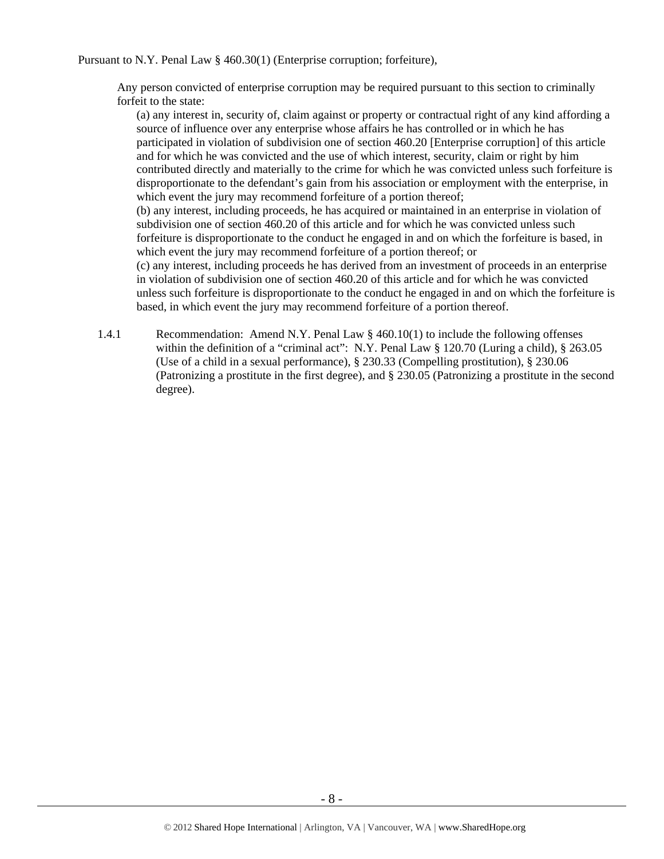Pursuant to N.Y. Penal Law § 460.30(1) (Enterprise corruption; forfeiture),

Any person convicted of enterprise corruption may be required pursuant to this section to criminally forfeit to the state:

(a) any interest in, security of, claim against or property or contractual right of any kind affording a source of influence over any enterprise whose affairs he has controlled or in which he has participated in violation of subdivision one of section 460.20 [Enterprise corruption] of this article and for which he was convicted and the use of which interest, security, claim or right by him contributed directly and materially to the crime for which he was convicted unless such forfeiture is disproportionate to the defendant's gain from his association or employment with the enterprise, in which event the jury may recommend forfeiture of a portion thereof;

(b) any interest, including proceeds, he has acquired or maintained in an enterprise in violation of subdivision one of section 460.20 of this article and for which he was convicted unless such forfeiture is disproportionate to the conduct he engaged in and on which the forfeiture is based, in which event the jury may recommend forfeiture of a portion thereof; or

(c) any interest, including proceeds he has derived from an investment of proceeds in an enterprise in violation of subdivision one of section 460.20 of this article and for which he was convicted unless such forfeiture is disproportionate to the conduct he engaged in and on which the forfeiture is based, in which event the jury may recommend forfeiture of a portion thereof.

1.4.1 Recommendation: Amend N.Y. Penal Law § 460.10(1) to include the following offenses within the definition of a "criminal act": N.Y. Penal Law § 120.70 (Luring a child), § 263.05 (Use of a child in a sexual performance), § 230.33 (Compelling prostitution), § 230.06 (Patronizing a prostitute in the first degree), and § 230.05 (Patronizing a prostitute in the second degree).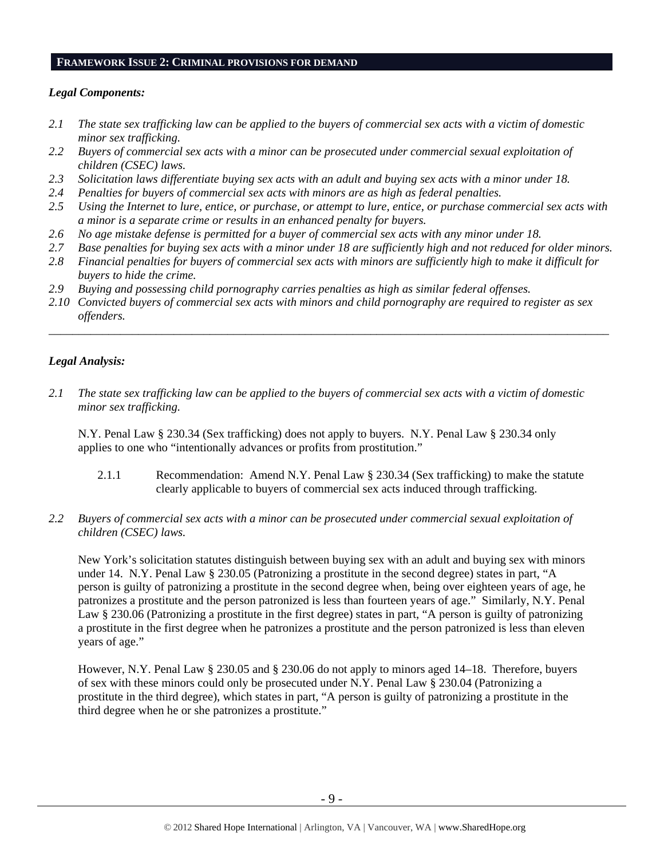#### **FRAMEWORK ISSUE 2: CRIMINAL PROVISIONS FOR DEMAND**

#### *Legal Components:*

- *2.1 The state sex trafficking law can be applied to the buyers of commercial sex acts with a victim of domestic minor sex trafficking.*
- *2.2 Buyers of commercial sex acts with a minor can be prosecuted under commercial sexual exploitation of children (CSEC) laws.*
- *2.3 Solicitation laws differentiate buying sex acts with an adult and buying sex acts with a minor under 18.*
- *2.4 Penalties for buyers of commercial sex acts with minors are as high as federal penalties.*
- *2.5 Using the Internet to lure, entice, or purchase, or attempt to lure, entice, or purchase commercial sex acts with a minor is a separate crime or results in an enhanced penalty for buyers.*
- *2.6 No age mistake defense is permitted for a buyer of commercial sex acts with any minor under 18.*
- *2.7 Base penalties for buying sex acts with a minor under 18 are sufficiently high and not reduced for older minors.*
- *2.8 Financial penalties for buyers of commercial sex acts with minors are sufficiently high to make it difficult for buyers to hide the crime.*
- *2.9 Buying and possessing child pornography carries penalties as high as similar federal offenses.*
- *2.10 Convicted buyers of commercial sex acts with minors and child pornography are required to register as sex offenders.*

\_\_\_\_\_\_\_\_\_\_\_\_\_\_\_\_\_\_\_\_\_\_\_\_\_\_\_\_\_\_\_\_\_\_\_\_\_\_\_\_\_\_\_\_\_\_\_\_\_\_\_\_\_\_\_\_\_\_\_\_\_\_\_\_\_\_\_\_\_\_\_\_\_\_\_\_\_\_\_\_\_\_\_\_\_\_\_\_\_\_\_\_\_\_

## *Legal Analysis:*

*2.1 The state sex trafficking law can be applied to the buyers of commercial sex acts with a victim of domestic minor sex trafficking.* 

N.Y. Penal Law § 230.34 (Sex trafficking) does not apply to buyers. N.Y. Penal Law § 230.34 only applies to one who "intentionally advances or profits from prostitution."

- 2.1.1 Recommendation: Amend N.Y. Penal Law § 230.34 (Sex trafficking) to make the statute clearly applicable to buyers of commercial sex acts induced through trafficking.
- *2.2 Buyers of commercial sex acts with a minor can be prosecuted under commercial sexual exploitation of children (CSEC) laws.*

New York's solicitation statutes distinguish between buying sex with an adult and buying sex with minors under 14. N.Y. Penal Law § 230.05 (Patronizing a prostitute in the second degree) states in part, "A person is guilty of patronizing a prostitute in the second degree when, being over eighteen years of age, he patronizes a prostitute and the person patronized is less than fourteen years of age." Similarly, N.Y. Penal Law § 230.06 (Patronizing a prostitute in the first degree) states in part, "A person is guilty of patronizing a prostitute in the first degree when he patronizes a prostitute and the person patronized is less than eleven years of age."

However, N.Y. Penal Law § 230.05 and § 230.06 do not apply to minors aged 14–18. Therefore, buyers of sex with these minors could only be prosecuted under N.Y. Penal Law § 230.04 (Patronizing a prostitute in the third degree), which states in part, "A person is guilty of patronizing a prostitute in the third degree when he or she patronizes a prostitute."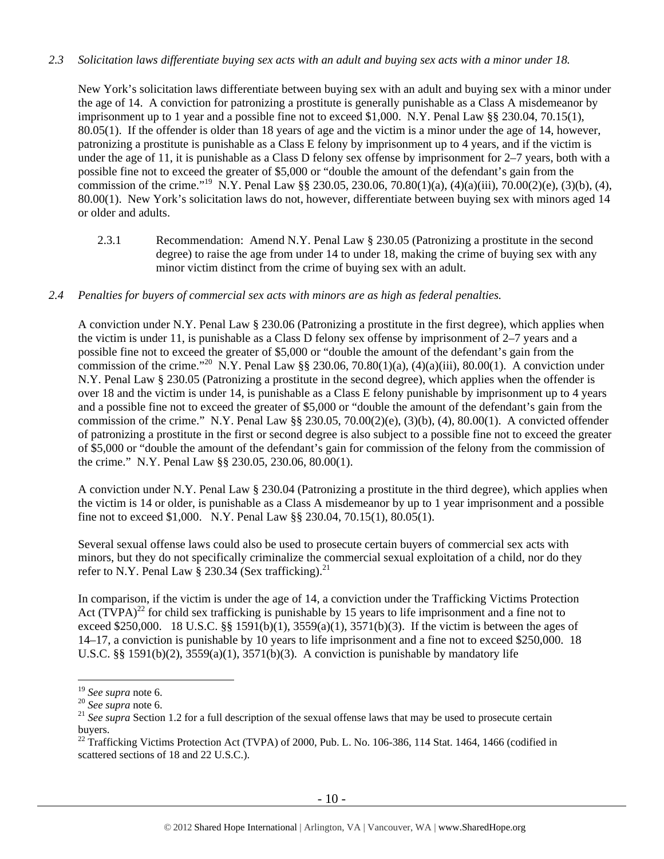## *2.3 Solicitation laws differentiate buying sex acts with an adult and buying sex acts with a minor under 18.*

New York's solicitation laws differentiate between buying sex with an adult and buying sex with a minor under the age of 14. A conviction for patronizing a prostitute is generally punishable as a Class A misdemeanor by imprisonment up to 1 year and a possible fine not to exceed \$1,000. N.Y. Penal Law §§ 230.04, 70.15(1), 80.05(1). If the offender is older than 18 years of age and the victim is a minor under the age of 14, however, patronizing a prostitute is punishable as a Class E felony by imprisonment up to 4 years, and if the victim is under the age of 11, it is punishable as a Class D felony sex offense by imprisonment for 2–7 years, both with a possible fine not to exceed the greater of \$5,000 or "double the amount of the defendant's gain from the commission of the crime."<sup>19</sup> N.Y. Penal Law §§ 230.05, 230.06, 70.80(1)(a), (4)(a)(iii), 70.00(2)(e), (3)(b), (4), 80.00(1). New York's solicitation laws do not, however, differentiate between buying sex with minors aged 14 or older and adults.

2.3.1 Recommendation: Amend N.Y. Penal Law § 230.05 (Patronizing a prostitute in the second degree) to raise the age from under 14 to under 18, making the crime of buying sex with any minor victim distinct from the crime of buying sex with an adult.

### *2.4 Penalties for buyers of commercial sex acts with minors are as high as federal penalties.*

A conviction under N.Y. Penal Law § 230.06 (Patronizing a prostitute in the first degree), which applies when the victim is under 11, is punishable as a Class D felony sex offense by imprisonment of 2–7 years and a possible fine not to exceed the greater of \$5,000 or "double the amount of the defendant's gain from the commission of the crime."<sup>20</sup> N.Y. Penal Law §§ 230.06, 70.80(1)(a), (4)(a)(iii), 80.00(1). A conviction under N.Y. Penal Law § 230.05 (Patronizing a prostitute in the second degree), which applies when the offender is over 18 and the victim is under 14, is punishable as a Class E felony punishable by imprisonment up to 4 years and a possible fine not to exceed the greater of \$5,000 or "double the amount of the defendant's gain from the commission of the crime." N.Y. Penal Law  $\S$  230.05, 70.00(2)(e), (3)(b), (4), 80.00(1). A convicted offender of patronizing a prostitute in the first or second degree is also subject to a possible fine not to exceed the greater of \$5,000 or "double the amount of the defendant's gain for commission of the felony from the commission of the crime." N.Y. Penal Law §§ 230.05, 230.06, 80.00(1).

A conviction under N.Y. Penal Law § 230.04 (Patronizing a prostitute in the third degree), which applies when the victim is 14 or older, is punishable as a Class A misdemeanor by up to 1 year imprisonment and a possible fine not to exceed \$1,000. N.Y. Penal Law §§ 230.04, 70.15(1), 80.05(1).

Several sexual offense laws could also be used to prosecute certain buyers of commercial sex acts with minors, but they do not specifically criminalize the commercial sexual exploitation of a child, nor do they refer to N.Y. Penal Law § 230.34 (Sex trafficking).<sup>21</sup>

In comparison, if the victim is under the age of 14, a conviction under the Trafficking Victims Protection Act  $(TVPA)^{22}$  for child sex trafficking is punishable by 15 years to life imprisonment and a fine not to exceed \$250,000. 18 U.S.C.  $\S$  1591(b)(1), 3559(a)(1), 3571(b)(3). If the victim is between the ages of 14–17, a conviction is punishable by 10 years to life imprisonment and a fine not to exceed \$250,000. 18 U.S.C. §§ 1591(b)(2),  $3559(a)(1)$ ,  $3571(b)(3)$ . A conviction is punishable by mandatory life

 $19$  See supra note 6.

<sup>&</sup>lt;sup>20</sup> *See supra* note 6.<br><sup>20</sup> *See supra* note 6.<br><sup>21</sup> *See supra* Section 1.2 for a full description of the sexual offense laws that may be used to prosecute certain buyers.

 $\frac{22}{22}$  Trafficking Victims Protection Act (TVPA) of 2000, Pub. L. No. 106-386, 114 Stat. 1464, 1466 (codified in scattered sections of 18 and 22 U.S.C.).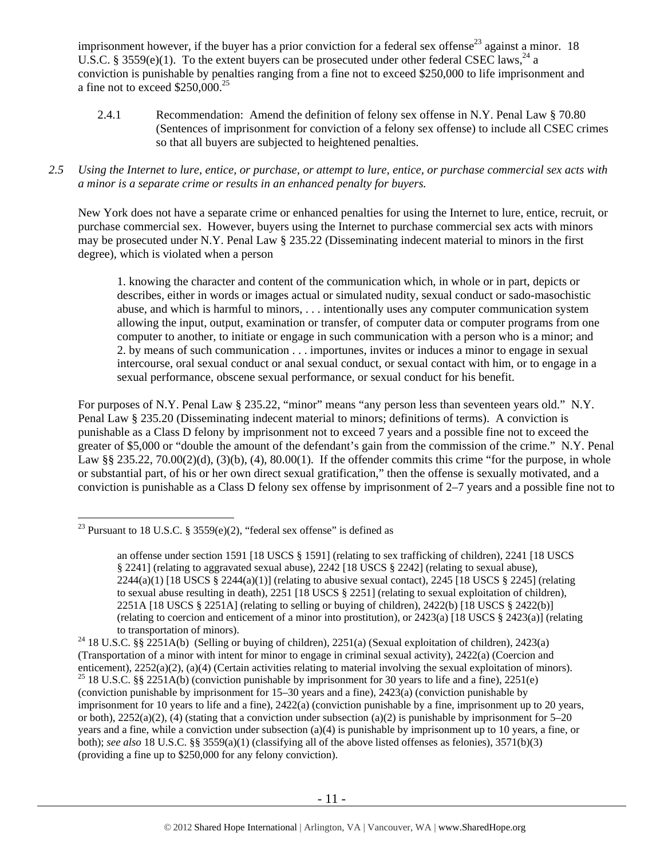imprisonment however, if the buyer has a prior conviction for a federal sex offense<sup>23</sup> against a minor. 18 U.S.C. § 3559(e)(1). To the extent buyers can be prosecuted under other federal CSEC laws,<sup>24</sup> a conviction is punishable by penalties ranging from a fine not to exceed \$250,000 to life imprisonment and a fine not to exceed  $$250,000.<sup>25</sup>$ 

- 2.4.1 Recommendation: Amend the definition of felony sex offense in N.Y. Penal Law § 70.80 (Sentences of imprisonment for conviction of a felony sex offense) to include all CSEC crimes so that all buyers are subjected to heightened penalties.
- *2.5 Using the Internet to lure, entice, or purchase, or attempt to lure, entice, or purchase commercial sex acts with a minor is a separate crime or results in an enhanced penalty for buyers.*

New York does not have a separate crime or enhanced penalties for using the Internet to lure, entice, recruit, or purchase commercial sex. However, buyers using the Internet to purchase commercial sex acts with minors may be prosecuted under N.Y. Penal Law § 235.22 (Disseminating indecent material to minors in the first degree), which is violated when a person

1. knowing the character and content of the communication which, in whole or in part, depicts or describes, either in words or images actual or simulated nudity, sexual conduct or sado-masochistic abuse, and which is harmful to minors, . . . intentionally uses any computer communication system allowing the input, output, examination or transfer, of computer data or computer programs from one computer to another, to initiate or engage in such communication with a person who is a minor; and 2. by means of such communication . . . importunes, invites or induces a minor to engage in sexual intercourse, oral sexual conduct or anal sexual conduct, or sexual contact with him, or to engage in a sexual performance, obscene sexual performance, or sexual conduct for his benefit.

For purposes of N.Y. Penal Law § 235.22, "minor" means "any person less than seventeen years old." N.Y. Penal Law § 235.20 (Disseminating indecent material to minors; definitions of terms). A conviction is punishable as a Class D felony by imprisonment not to exceed 7 years and a possible fine not to exceed the greater of \$5,000 or "double the amount of the defendant's gain from the commission of the crime." N.Y. Penal Law §§ 235.22, 70.00(2)(d), (3)(b), (4), 80.00(1). If the offender commits this crime "for the purpose, in whole or substantial part, of his or her own direct sexual gratification," then the offense is sexually motivated, and a conviction is punishable as a Class D felony sex offense by imprisonment of 2–7 years and a possible fine not to

 $\overline{a}$ <sup>23</sup> Pursuant to 18 U.S.C. § 3559 $(e)(2)$ , "federal sex offense" is defined as

an offense under section 1591 [18 USCS § 1591] (relating to sex trafficking of children), 2241 [18 USCS § 2241] (relating to aggravated sexual abuse), 2242 [18 USCS § 2242] (relating to sexual abuse),  $2244(a)(1)$  [18 USCS § 2244(a)(1)] (relating to abusive sexual contact), 2245 [18 USCS § 2245] (relating to sexual abuse resulting in death), 2251 [18 USCS § 2251] (relating to sexual exploitation of children), 2251A [18 USCS § 2251A] (relating to selling or buying of children), 2422(b) [18 USCS § 2422(b)] (relating to coercion and enticement of a minor into prostitution), or 2423(a) [18 USCS § 2423(a)] (relating

to transportation of minors).<br><sup>24</sup> 18 U.S.C. §§ 2251A(b) (Selling or buying of children), 2251(a) (Sexual exploitation of children), 2423(a) (Transportation of a minor with intent for minor to engage in criminal sexual activity), 2422(a) (Coercion and enticement), 2252(a)(2), (a)(4) (Certain activities relating to material involving the sexual exploitation of minors). <sup>25</sup> 18 U.S.C. §§ 2251A(b) (conviction punishable by imprisonment for 30 years to life and a fine), 22 (conviction punishable by imprisonment for 15–30 years and a fine), 2423(a) (conviction punishable by imprisonment for 10 years to life and a fine), 2422(a) (conviction punishable by a fine, imprisonment up to 20 years, or both),  $2252(a)(2)$ , (4) (stating that a conviction under subsection (a)(2) is punishable by imprisonment for 5–20 years and a fine, while a conviction under subsection (a)(4) is punishable by imprisonment up to 10 years, a fine, or both); *see also* 18 U.S.C. §§ 3559(a)(1) (classifying all of the above listed offenses as felonies), 3571(b)(3) (providing a fine up to \$250,000 for any felony conviction).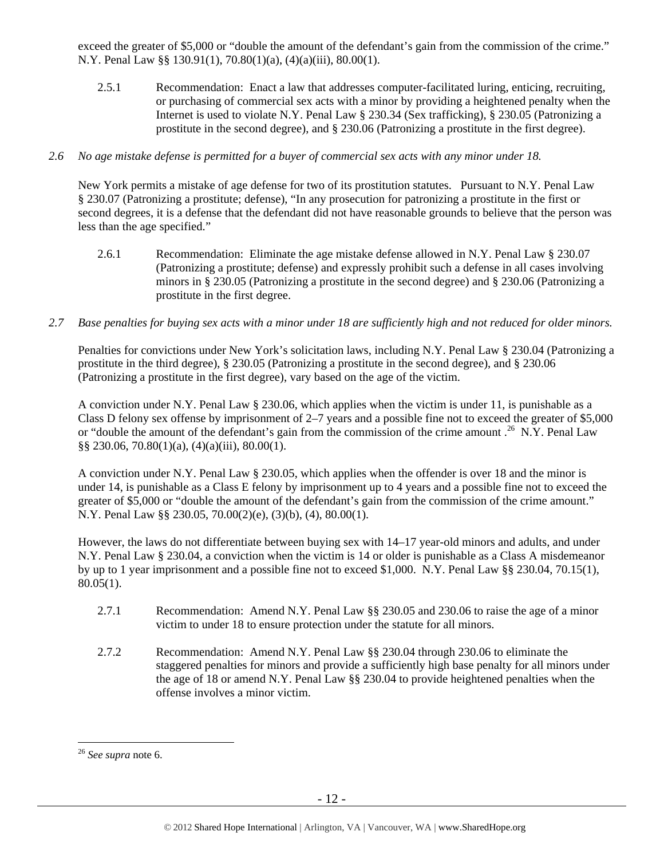exceed the greater of \$5,000 or "double the amount of the defendant's gain from the commission of the crime." N.Y. Penal Law §§ 130.91(1), 70.80(1)(a), (4)(a)(iii), 80.00(1).

2.5.1 Recommendation: Enact a law that addresses computer-facilitated luring, enticing, recruiting, or purchasing of commercial sex acts with a minor by providing a heightened penalty when the Internet is used to violate N.Y. Penal Law § 230.34 (Sex trafficking), § 230.05 (Patronizing a prostitute in the second degree), and § 230.06 (Patronizing a prostitute in the first degree).

## *2.6 No age mistake defense is permitted for a buyer of commercial sex acts with any minor under 18.*

New York permits a mistake of age defense for two of its prostitution statutes. Pursuant to N.Y. Penal Law § 230.07 (Patronizing a prostitute; defense), "In any prosecution for patronizing a prostitute in the first or second degrees, it is a defense that the defendant did not have reasonable grounds to believe that the person was less than the age specified."

- 2.6.1 Recommendation: Eliminate the age mistake defense allowed in N.Y. Penal Law § 230.07 (Patronizing a prostitute; defense) and expressly prohibit such a defense in all cases involving minors in § 230.05 (Patronizing a prostitute in the second degree) and § 230.06 (Patronizing a prostitute in the first degree.
- *2.7 Base penalties for buying sex acts with a minor under 18 are sufficiently high and not reduced for older minors.*

Penalties for convictions under New York's solicitation laws, including N.Y. Penal Law § 230.04 (Patronizing a prostitute in the third degree), § 230.05 (Patronizing a prostitute in the second degree), and § 230.06 (Patronizing a prostitute in the first degree), vary based on the age of the victim.

A conviction under N.Y. Penal Law § 230.06, which applies when the victim is under 11, is punishable as a Class D felony sex offense by imprisonment of 2–7 years and a possible fine not to exceed the greater of \$5,000 or "double the amount of the defendant's gain from the commission of the crime amount .<sup>26</sup> N.Y. Penal Law §§ 230.06, 70.80(1)(a), (4)(a)(iii), 80.00(1).

A conviction under N.Y. Penal Law § 230.05, which applies when the offender is over 18 and the minor is under 14, is punishable as a Class E felony by imprisonment up to 4 years and a possible fine not to exceed the greater of \$5,000 or "double the amount of the defendant's gain from the commission of the crime amount." N.Y. Penal Law §§ 230.05, 70.00(2)(e), (3)(b), (4), 80.00(1).

However, the laws do not differentiate between buying sex with 14–17 year-old minors and adults, and under N.Y. Penal Law § 230.04, a conviction when the victim is 14 or older is punishable as a Class A misdemeanor by up to 1 year imprisonment and a possible fine not to exceed \$1,000. N.Y. Penal Law §§ 230.04, 70.15(1),  $80.05(1)$ .

- 2.7.1 Recommendation: Amend N.Y. Penal Law §§ 230.05 and 230.06 to raise the age of a minor victim to under 18 to ensure protection under the statute for all minors.
- 2.7.2 Recommendation: Amend N.Y. Penal Law §§ 230.04 through 230.06 to eliminate the staggered penalties for minors and provide a sufficiently high base penalty for all minors under the age of 18 or amend N.Y. Penal Law §§ 230.04 to provide heightened penalties when the offense involves a minor victim.

 $\overline{a}$ <sup>26</sup> *See supra* note 6.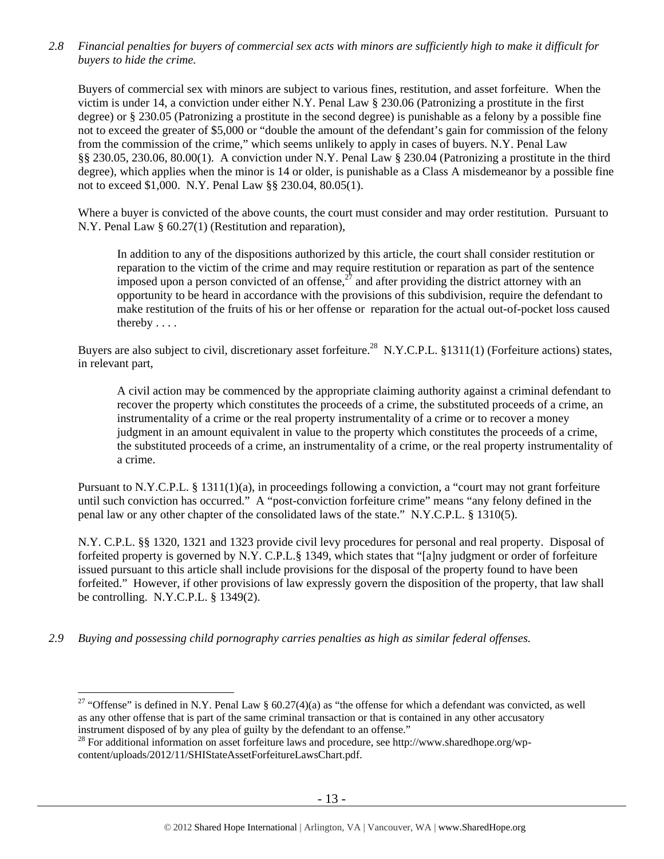*2.8 Financial penalties for buyers of commercial sex acts with minors are sufficiently high to make it difficult for buyers to hide the crime.* 

Buyers of commercial sex with minors are subject to various fines, restitution, and asset forfeiture. When the victim is under 14, a conviction under either N.Y. Penal Law § 230.06 (Patronizing a prostitute in the first degree) or § 230.05 (Patronizing a prostitute in the second degree) is punishable as a felony by a possible fine not to exceed the greater of \$5,000 or "double the amount of the defendant's gain for commission of the felony from the commission of the crime," which seems unlikely to apply in cases of buyers. N.Y. Penal Law §§ 230.05, 230.06, 80.00(1). A conviction under N.Y. Penal Law § 230.04 (Patronizing a prostitute in the third degree), which applies when the minor is 14 or older, is punishable as a Class A misdemeanor by a possible fine not to exceed \$1,000. N.Y. Penal Law §§ 230.04, 80.05(1).

Where a buyer is convicted of the above counts, the court must consider and may order restitution. Pursuant to N.Y. Penal Law § 60.27(1) (Restitution and reparation),

In addition to any of the dispositions authorized by this article, the court shall consider restitution or reparation to the victim of the crime and may require restitution or reparation as part of the sentence imposed upon a person convicted of an offense,  $27$  and after providing the district attorney with an opportunity to be heard in accordance with the provisions of this subdivision, require the defendant to make restitution of the fruits of his or her offense or reparation for the actual out-of-pocket loss caused thereby . . . .

Buyers are also subject to civil, discretionary asset forfeiture.<sup>28</sup> N.Y.C.P.L. §1311(1) (Forfeiture actions) states, in relevant part,

A civil action may be commenced by the appropriate claiming authority against a criminal defendant to recover the property which constitutes the proceeds of a crime, the substituted proceeds of a crime, an instrumentality of a crime or the real property instrumentality of a crime or to recover a money judgment in an amount equivalent in value to the property which constitutes the proceeds of a crime, the substituted proceeds of a crime, an instrumentality of a crime, or the real property instrumentality of a crime.

Pursuant to N.Y.C.P.L. § 1311(1)(a), in proceedings following a conviction, a "court may not grant forfeiture until such conviction has occurred." A "post-conviction forfeiture crime" means "any felony defined in the penal law or any other chapter of the consolidated laws of the state." N.Y.C.P.L. § 1310(5).

N.Y. C.P.L. §§ 1320, 1321 and 1323 provide civil levy procedures for personal and real property. Disposal of forfeited property is governed by N.Y. C.P.L.§ 1349, which states that "[a]ny judgment or order of forfeiture issued pursuant to this article shall include provisions for the disposal of the property found to have been forfeited." However, if other provisions of law expressly govern the disposition of the property, that law shall be controlling. N.Y.C.P.L. § 1349(2).

*2.9 Buying and possessing child pornography carries penalties as high as similar federal offenses.* 

<sup>&</sup>lt;sup>27</sup> "Offense" is defined in N.Y. Penal Law §  $60.27(4)(a)$  as "the offense for which a defendant was convicted, as well as any other offense that is part of the same criminal transaction or that is contained in any other accusatory instrument disposed of by any plea of guilty by the defendant to an offense."

 $^{28}$  For additional information on asset forfeiture laws and procedure, see http://www.sharedhope.org/wpcontent/uploads/2012/11/SHIStateAssetForfeitureLawsChart.pdf.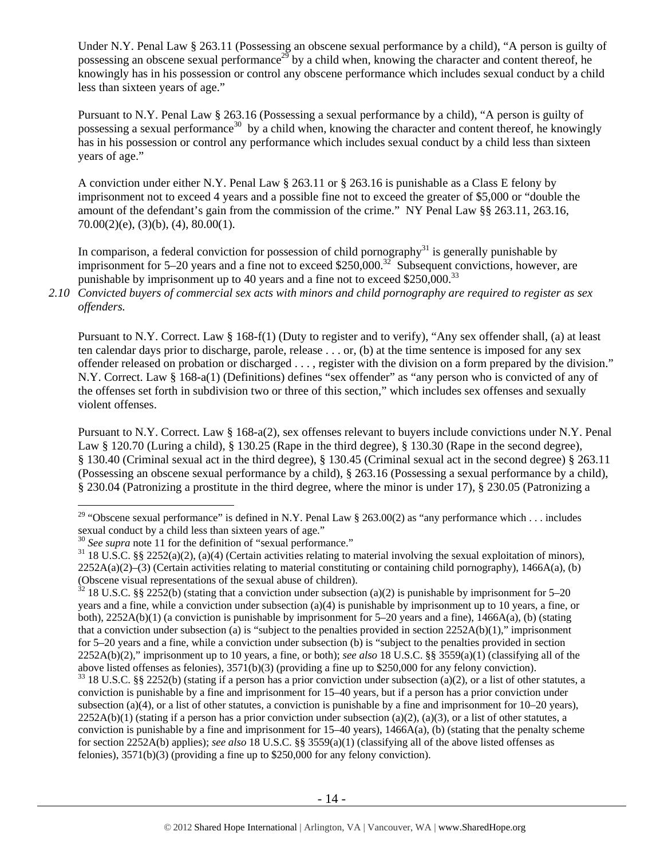Under N.Y. Penal Law § 263.11 (Possessing an obscene sexual performance by a child), "A person is guilty of possessing an obscene sexual performance<sup>29</sup> by a child when, knowing the character and content thereof, he knowingly has in his possession or control any obscene performance which includes sexual conduct by a child less than sixteen years of age."

Pursuant to N.Y. Penal Law § 263.16 (Possessing a sexual performance by a child), "A person is guilty of possessing a sexual performance<sup>30</sup> by a child when, knowing the character and content thereof, he knowingly has in his possession or control any performance which includes sexual conduct by a child less than sixteen years of age."

A conviction under either N.Y. Penal Law § 263.11 or § 263.16 is punishable as a Class E felony by imprisonment not to exceed 4 years and a possible fine not to exceed the greater of \$5,000 or "double the amount of the defendant's gain from the commission of the crime." NY Penal Law §§ 263.11, 263.16,  $70.00(2)(e)$ ,  $(3)(b)$ ,  $(4)$ ,  $80.00(1)$ .

In comparison, a federal conviction for possession of child pornography<sup>31</sup> is generally punishable by imprisonment for 5–20 years and a fine not to exceed \$250,000.<sup>32</sup> Subsequent convictions, however, are punishable by imprisonment up to 40 years and a fine not to exceed  $$250,000$ .<sup>33</sup>

*2.10 Convicted buyers of commercial sex acts with minors and child pornography are required to register as sex offenders.* 

Pursuant to N.Y. Correct. Law § 168-f(1) (Duty to register and to verify), "Any sex offender shall, (a) at least ten calendar days prior to discharge, parole, release . . . or, (b) at the time sentence is imposed for any sex offender released on probation or discharged . . . , register with the division on a form prepared by the division." N.Y. Correct. Law § 168-a(1) (Definitions) defines "sex offender" as "any person who is convicted of any of the offenses set forth in subdivision two or three of this section," which includes sex offenses and sexually violent offenses.

Pursuant to N.Y. Correct. Law § 168-a(2), sex offenses relevant to buyers include convictions under N.Y. Penal Law § 120.70 (Luring a child), § 130.25 (Rape in the third degree), § 130.30 (Rape in the second degree), § 130.40 (Criminal sexual act in the third degree), § 130.45 (Criminal sexual act in the second degree) § 263.11 (Possessing an obscene sexual performance by a child), § 263.16 (Possessing a sexual performance by a child), § 230.04 (Patronizing a prostitute in the third degree, where the minor is under 17), § 230.05 (Patronizing a

<sup>&</sup>lt;sup>29</sup> "Obscene sexual performance" is defined in N.Y. Penal Law § 263.00(2) as "any performance which . . . includes sexual conduct by a child less than sixteen years of age."<br><sup>30</sup> See supra note 11 for the definition of "sexual performance."<br><sup>31</sup> 18 U.S.C. §§ 2252(a)(2), (a)(4) (Certain activities relating to material involving the sex

 $2252A(a)(2)$ –(3) (Certain activities relating to material constituting or containing child pornography), 1466A(a), (b) (Obscene visual representations of the sexual abuse of children).

 $32$  18 U.S.C. §§ 2252(b) (stating that a conviction under subsection (a)(2) is punishable by imprisonment for 5–20 years and a fine, while a conviction under subsection (a)(4) is punishable by imprisonment up to 10 years, a fine, or both), 2252A(b)(1) (a conviction is punishable by imprisonment for 5–20 years and a fine), 1466A(a), (b) (stating that a conviction under subsection (a) is "subject to the penalties provided in section  $2252A(b)(1)$ ," imprisonment for 5–20 years and a fine, while a conviction under subsection (b) is "subject to the penalties provided in section 2252A(b)(2)," imprisonment up to 10 years, a fine, or both); *see also* 18 U.S.C. §§ 3559(a)(1) (classifying all of the above listed offenses as felonies), 3571(b)(3) (providing a fine up to \$250,000 for any felony conviction).

 $33$  18 U.S.C. §§ 2252(b) (stating if a person has a prior conviction under subsection (a)(2), or a list of other statutes, a conviction is punishable by a fine and imprisonment for 15–40 years, but if a person has a prior conviction under subsection (a)(4), or a list of other statutes, a conviction is punishable by a fine and imprisonment for  $10-20$  years),  $2252A(b)(1)$  (stating if a person has a prior conviction under subsection (a)(2), (a)(3), or a list of other statutes, a conviction is punishable by a fine and imprisonment for  $15-40$  years),  $1466A(a)$ , (b) (stating that the penalty scheme for section 2252A(b) applies); *see also* 18 U.S.C. §§ 3559(a)(1) (classifying all of the above listed offenses as felonies), 3571(b)(3) (providing a fine up to \$250,000 for any felony conviction).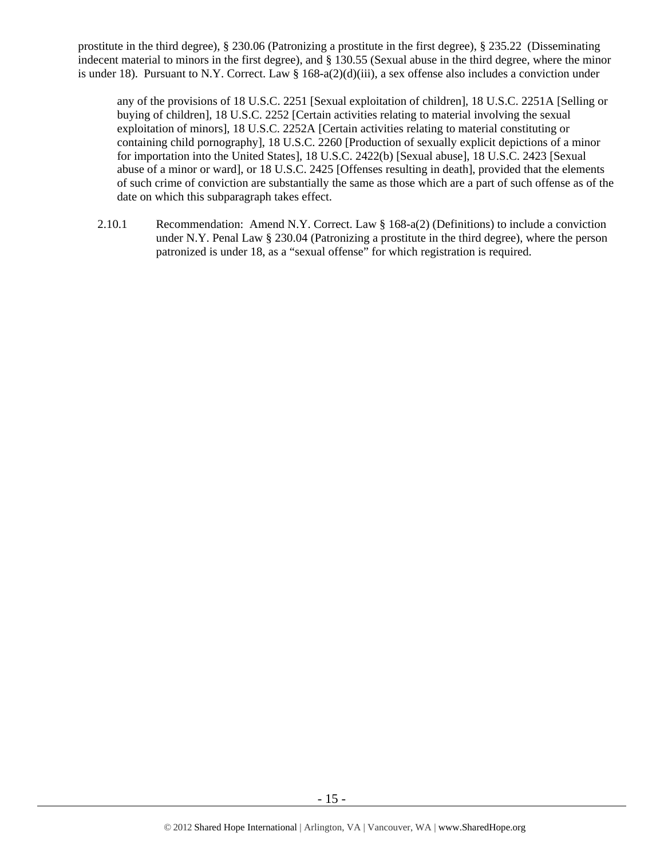prostitute in the third degree), § 230.06 (Patronizing a prostitute in the first degree), § 235.22 (Disseminating indecent material to minors in the first degree), and § 130.55 (Sexual abuse in the third degree, where the minor is under 18). Pursuant to N.Y. Correct. Law § 168-a(2)(d)(iii), a sex offense also includes a conviction under

any of the provisions of 18 U.S.C. 2251 [Sexual exploitation of children], 18 U.S.C. 2251A [Selling or buying of children], 18 U.S.C. 2252 [Certain activities relating to material involving the sexual exploitation of minors], 18 U.S.C. 2252A [Certain activities relating to material constituting or containing child pornography], 18 U.S.C. 2260 [Production of sexually explicit depictions of a minor for importation into the United States], 18 U.S.C. 2422(b) [Sexual abuse], 18 U.S.C. 2423 [Sexual abuse of a minor or ward], or 18 U.S.C. 2425 [Offenses resulting in death], provided that the elements of such crime of conviction are substantially the same as those which are a part of such offense as of the date on which this subparagraph takes effect.

2.10.1 Recommendation: Amend N.Y. Correct. Law § 168-a(2) (Definitions) to include a conviction under N.Y. Penal Law § 230.04 (Patronizing a prostitute in the third degree), where the person patronized is under 18, as a "sexual offense" for which registration is required.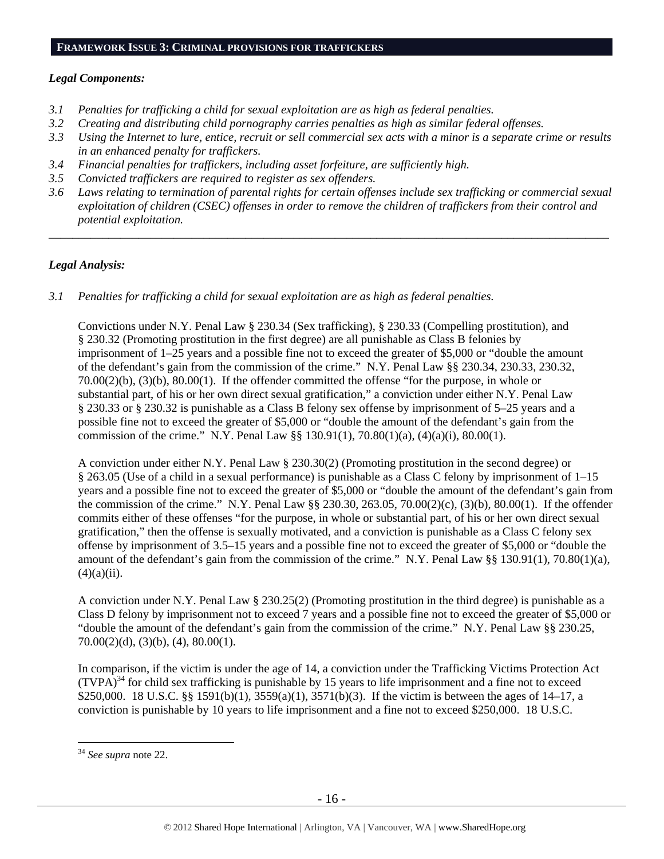#### **FRAMEWORK ISSUE 3: CRIMINAL PROVISIONS FOR TRAFFICKERS**

## *Legal Components:*

- *3.1 Penalties for trafficking a child for sexual exploitation are as high as federal penalties.*
- *3.2 Creating and distributing child pornography carries penalties as high as similar federal offenses.*
- *3.3 Using the Internet to lure, entice, recruit or sell commercial sex acts with a minor is a separate crime or results in an enhanced penalty for traffickers.*
- *3.4 Financial penalties for traffickers, including asset forfeiture, are sufficiently high.*
- *3.5 Convicted traffickers are required to register as sex offenders.*
- *3.6 Laws relating to termination of parental rights for certain offenses include sex trafficking or commercial sexual exploitation of children (CSEC) offenses in order to remove the children of traffickers from their control and potential exploitation.*

*\_\_\_\_\_\_\_\_\_\_\_\_\_\_\_\_\_\_\_\_\_\_\_\_\_\_\_\_\_\_\_\_\_\_\_\_\_\_\_\_\_\_\_\_\_\_\_\_\_\_\_\_\_\_\_\_\_\_\_\_\_\_\_\_\_\_\_\_\_\_\_\_\_\_\_\_\_\_\_\_\_\_\_\_\_\_\_\_\_\_\_\_\_\_* 

## *Legal Analysis:*

*3.1 Penalties for trafficking a child for sexual exploitation are as high as federal penalties.* 

Convictions under N.Y. Penal Law § 230.34 (Sex trafficking), § 230.33 (Compelling prostitution), and § 230.32 (Promoting prostitution in the first degree) are all punishable as Class B felonies by imprisonment of 1–25 years and a possible fine not to exceed the greater of \$5,000 or "double the amount of the defendant's gain from the commission of the crime." N.Y. Penal Law §§ 230.34, 230.33, 230.32, 70.00(2)(b), (3)(b), 80.00(1). If the offender committed the offense "for the purpose, in whole or substantial part, of his or her own direct sexual gratification," a conviction under either N.Y. Penal Law § 230.33 or § 230.32 is punishable as a Class B felony sex offense by imprisonment of 5–25 years and a possible fine not to exceed the greater of \$5,000 or "double the amount of the defendant's gain from the commission of the crime." N.Y. Penal Law §§ 130.91(1), 70.80(1)(a), (4)(a)(i), 80.00(1).

A conviction under either N.Y. Penal Law § 230.30(2) (Promoting prostitution in the second degree) or § 263.05 (Use of a child in a sexual performance) is punishable as a Class C felony by imprisonment of 1–15 years and a possible fine not to exceed the greater of \$5,000 or "double the amount of the defendant's gain from the commission of the crime." N.Y. Penal Law §§ 230.30, 263.05, 70.00(2)(c), (3)(b), 80.00(1). If the offender commits either of these offenses "for the purpose, in whole or substantial part, of his or her own direct sexual gratification," then the offense is sexually motivated, and a conviction is punishable as a Class C felony sex offense by imprisonment of 3.5–15 years and a possible fine not to exceed the greater of \$5,000 or "double the amount of the defendant's gain from the commission of the crime." N.Y. Penal Law §§ 130.91(1), 70.80(1)(a),  $(4)(a)(ii)$ .

A conviction under N.Y. Penal Law § 230.25(2) (Promoting prostitution in the third degree) is punishable as a Class D felony by imprisonment not to exceed 7 years and a possible fine not to exceed the greater of \$5,000 or "double the amount of the defendant's gain from the commission of the crime." N.Y. Penal Law §§ 230.25,  $70.00(2)(d)$ ,  $(3)(b)$ ,  $(4)$ ,  $80.00(1)$ .

In comparison, if the victim is under the age of 14, a conviction under the Trafficking Victims Protection Act  $(TVPA)^{34}$  for child sex trafficking is punishable by 15 years to life imprisonment and a fine not to exceed \$250,000. 18 U.S.C. §§ 1591(b)(1), 3559(a)(1), 3571(b)(3). If the victim is between the ages of 14–17, a conviction is punishable by 10 years to life imprisonment and a fine not to exceed \$250,000. 18 U.S.C.

<sup>34</sup> *See supra* note 22.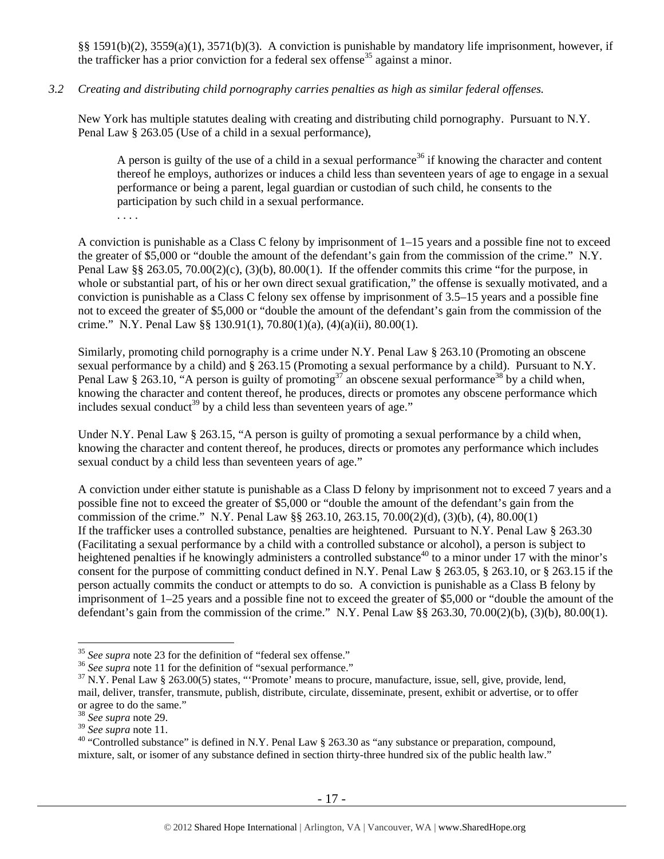§§ 1591(b)(2), 3559(a)(1), 3571(b)(3). A conviction is punishable by mandatory life imprisonment, however, if the trafficker has a prior conviction for a federal sex offense<sup>35</sup> against a minor.

#### *3.2 Creating and distributing child pornography carries penalties as high as similar federal offenses.*

New York has multiple statutes dealing with creating and distributing child pornography. Pursuant to N.Y. Penal Law § 263.05 (Use of a child in a sexual performance),

A person is guilty of the use of a child in a sexual performance<sup>36</sup> if knowing the character and content thereof he employs, authorizes or induces a child less than seventeen years of age to engage in a sexual performance or being a parent, legal guardian or custodian of such child, he consents to the participation by such child in a sexual performance.

. . . .

A conviction is punishable as a Class C felony by imprisonment of 1–15 years and a possible fine not to exceed the greater of \$5,000 or "double the amount of the defendant's gain from the commission of the crime." N.Y. Penal Law §§ 263.05, 70.00(2)(c), (3)(b), 80.00(1). If the offender commits this crime "for the purpose, in whole or substantial part, of his or her own direct sexual gratification," the offense is sexually motivated, and a conviction is punishable as a Class C felony sex offense by imprisonment of 3.5–15 years and a possible fine not to exceed the greater of \$5,000 or "double the amount of the defendant's gain from the commission of the crime." N.Y. Penal Law  $\S$  130.91(1), 70.80(1)(a), (4)(a)(ii), 80.00(1).

Similarly, promoting child pornography is a crime under N.Y. Penal Law § 263.10 (Promoting an obscene sexual performance by a child) and § 263.15 (Promoting a sexual performance by a child). Pursuant to N.Y. Penal Law § 263.10, "A person is guilty of promoting<sup>37"</sup> an obscene sexual performance<sup>38'</sup> by a child when, knowing the character and content thereof, he produces, directs or promotes any obscene performance which includes sexual conduct<sup>39</sup> by a child less than seventeen years of age."

Under N.Y. Penal Law § 263.15, "A person is guilty of promoting a sexual performance by a child when, knowing the character and content thereof, he produces, directs or promotes any performance which includes sexual conduct by a child less than seventeen years of age."

A conviction under either statute is punishable as a Class D felony by imprisonment not to exceed 7 years and a possible fine not to exceed the greater of \$5,000 or "double the amount of the defendant's gain from the commission of the crime." N.Y. Penal Law §§ 263.10, 263.15, 70.00(2)(d), (3)(b), (4), 80.00(1) If the trafficker uses a controlled substance, penalties are heightened. Pursuant to N.Y. Penal Law § 263.30 (Facilitating a sexual performance by a child with a controlled substance or alcohol), a person is subject to heightened penalties if he knowingly administers a controlled substance<sup>40</sup> to a minor under 17 with the minor's consent for the purpose of committing conduct defined in N.Y. Penal Law § 263.05, § 263.10, or § 263.15 if the person actually commits the conduct or attempts to do so. A conviction is punishable as a Class B felony by imprisonment of 1–25 years and a possible fine not to exceed the greater of \$5,000 or "double the amount of the defendant's gain from the commission of the crime." N.Y. Penal Law §§ 263.30, 70.00(2)(b), (3)(b), 80.00(1).

<sup>&</sup>lt;sup>35</sup> See supra note 23 for the definition of "federal sex offense."

<sup>&</sup>lt;sup>36</sup> See supra note 11 for the definition of "sexual performance."<br><sup>37</sup> N.Y. Penal Law § 263.00(5) states, "Promote' means to procure, manufacture, issue, sell, give, provide, lend, mail, deliver, transfer, transmute, publish, distribute, circulate, disseminate, present, exhibit or advertise, or to offer or agree to do the same."

<sup>38</sup> *See supra* note 29.

<sup>&</sup>lt;sup>40</sup> "Controlled substance" is defined in N.Y. Penal Law § 263.30 as "any substance or preparation, compound, mixture, salt, or isomer of any substance defined in section thirty-three hundred six of the public health law."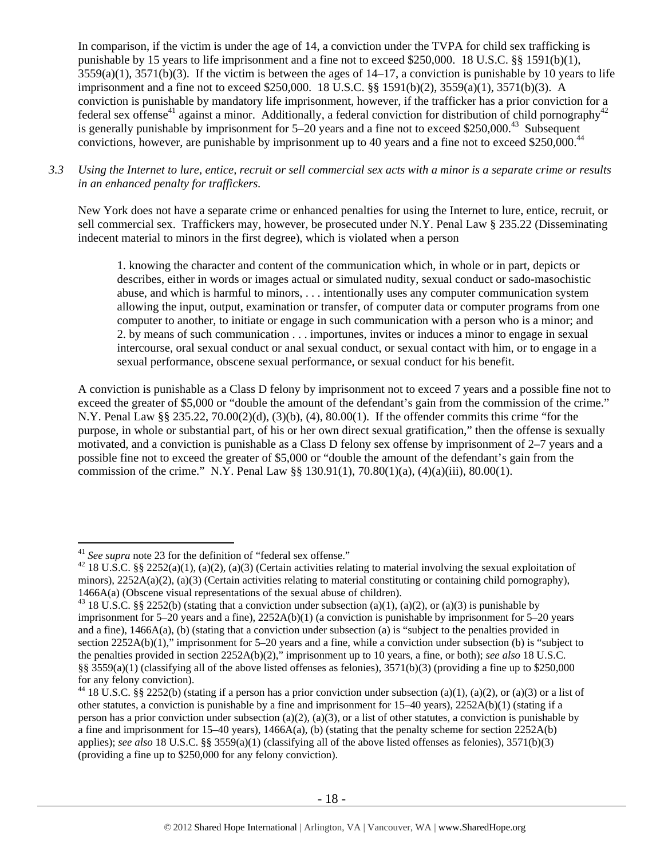In comparison, if the victim is under the age of 14, a conviction under the TVPA for child sex trafficking is punishable by 15 years to life imprisonment and a fine not to exceed \$250,000. 18 U.S.C. §§ 1591(b)(1),  $3559(a)(1)$ ,  $3571(b)(3)$ . If the victim is between the ages of  $14-17$ , a conviction is punishable by 10 years to life imprisonment and a fine not to exceed \$250,000. 18 U.S.C. §§ 1591(b)(2), 3559(a)(1), 3571(b)(3). A conviction is punishable by mandatory life imprisonment, however, if the trafficker has a prior conviction for a federal sex offense<sup>41</sup> against a minor. Additionally, a federal conviction for distribution of child pornography<sup>42</sup> is generally punishable by imprisonment for 5–20 years and a fine not to exceed \$250,000.<sup>43</sup> Subsequent convictions, however, are punishable by imprisonment up to 40 years and a fine not to exceed \$250,000.<sup>44</sup>

*3.3 Using the Internet to lure, entice, recruit or sell commercial sex acts with a minor is a separate crime or results in an enhanced penalty for traffickers.* 

New York does not have a separate crime or enhanced penalties for using the Internet to lure, entice, recruit, or sell commercial sex. Traffickers may, however, be prosecuted under N.Y. Penal Law § 235.22 (Disseminating indecent material to minors in the first degree), which is violated when a person

1. knowing the character and content of the communication which, in whole or in part, depicts or describes, either in words or images actual or simulated nudity, sexual conduct or sado-masochistic abuse, and which is harmful to minors, . . . intentionally uses any computer communication system allowing the input, output, examination or transfer, of computer data or computer programs from one computer to another, to initiate or engage in such communication with a person who is a minor; and 2. by means of such communication . . . importunes, invites or induces a minor to engage in sexual intercourse, oral sexual conduct or anal sexual conduct, or sexual contact with him, or to engage in a sexual performance, obscene sexual performance, or sexual conduct for his benefit.

A conviction is punishable as a Class D felony by imprisonment not to exceed 7 years and a possible fine not to exceed the greater of \$5,000 or "double the amount of the defendant's gain from the commission of the crime." N.Y. Penal Law §§ 235.22, 70.00(2)(d), (3)(b), (4), 80.00(1). If the offender commits this crime "for the purpose, in whole or substantial part, of his or her own direct sexual gratification," then the offense is sexually motivated, and a conviction is punishable as a Class D felony sex offense by imprisonment of 2–7 years and a possible fine not to exceed the greater of \$5,000 or "double the amount of the defendant's gain from the commission of the crime." N.Y. Penal Law §§ 130.91(1), 70.80(1)(a), (4)(a)(iii), 80.00(1).

 $41$  See supra note 23 for the definition of "federal sex offense."

<sup>&</sup>lt;sup>42</sup> 18 U.S.C. §§ 2252(a)(1), (a)(2), (a)(3) (Certain activities relating to material involving the sexual exploitation of minors), 2252A(a)(2), (a)(3) (Certain activities relating to material constituting or containing child pornography), 1466A(a) (Obscene visual representations of the sexual abuse of children).<br><sup>43</sup> 18 U.S.C. §§ 2252(b) (stating that a conviction under subsection (a)(1), (a)(2), or (a)(3) is punishable by

imprisonment for 5–20 years and a fine), 2252A(b)(1) (a conviction is punishable by imprisonment for 5–20 years and a fine), 1466A(a), (b) (stating that a conviction under subsection (a) is "subject to the penalties provided in section 2252A(b)(1)," imprisonment for 5–20 years and a fine, while a conviction under subsection (b) is "subject to the penalties provided in section 2252A(b)(2)," imprisonment up to 10 years, a fine, or both); *see also* 18 U.S.C. §§ 3559(a)(1) (classifying all of the above listed offenses as felonies), 3571(b)(3) (providing a fine up to \$250,000 for any felony conviction).

<sup>&</sup>lt;sup>44</sup> 18 U.S.C. §§ 2252(b) (stating if a person has a prior conviction under subsection (a)(1), (a)(2), or (a)(3) or a list of other statutes, a conviction is punishable by a fine and imprisonment for 15–40 years), 2252A(b)(1) (stating if a person has a prior conviction under subsection (a)(2), (a)(3), or a list of other statutes, a conviction is punishable by a fine and imprisonment for 15–40 years), 1466A(a), (b) (stating that the penalty scheme for section 2252A(b) applies); *see also* 18 U.S.C. §§ 3559(a)(1) (classifying all of the above listed offenses as felonies), 3571(b)(3) (providing a fine up to \$250,000 for any felony conviction).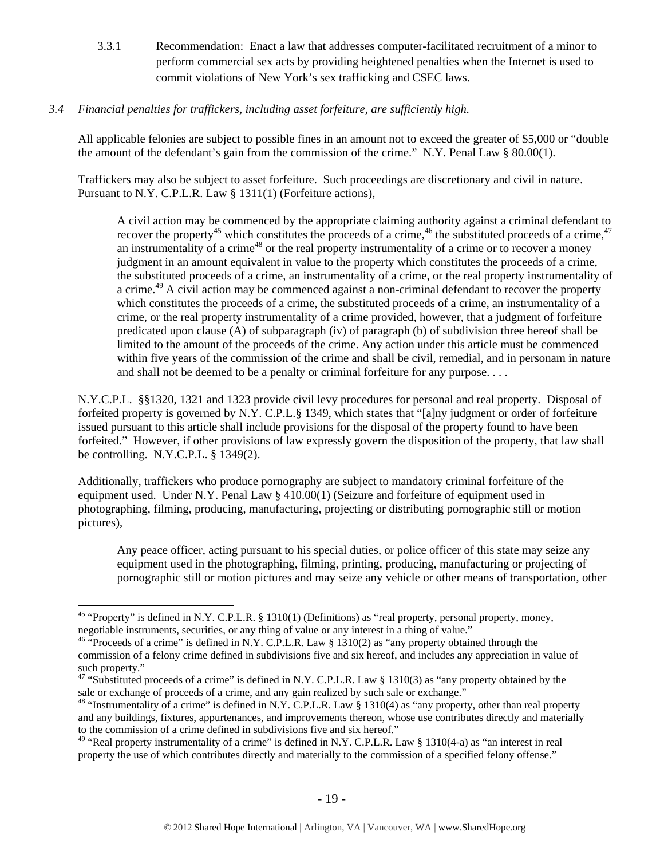3.3.1 Recommendation: Enact a law that addresses computer-facilitated recruitment of a minor to perform commercial sex acts by providing heightened penalties when the Internet is used to commit violations of New York's sex trafficking and CSEC laws.

## *3.4 Financial penalties for traffickers, including asset forfeiture, are sufficiently high.*

All applicable felonies are subject to possible fines in an amount not to exceed the greater of \$5,000 or "double the amount of the defendant's gain from the commission of the crime." N.Y. Penal Law § 80.00(1).

Traffickers may also be subject to asset forfeiture. Such proceedings are discretionary and civil in nature. Pursuant to N.Y. C.P.L.R. Law § 1311(1) (Forfeiture actions),

A civil action may be commenced by the appropriate claiming authority against a criminal defendant to recover the property<sup>45</sup> which constitutes the proceeds of a crime,<sup>46</sup> the substituted proceeds of a crime,<sup>47</sup> an instrumentality of a crime<sup>48</sup> or the real property instrumentality of a crime or to recover a money judgment in an amount equivalent in value to the property which constitutes the proceeds of a crime, the substituted proceeds of a crime, an instrumentality of a crime, or the real property instrumentality of a crime.<sup>49</sup> A civil action may be commenced against a non-criminal defendant to recover the property which constitutes the proceeds of a crime, the substituted proceeds of a crime, an instrumentality of a crime, or the real property instrumentality of a crime provided, however, that a judgment of forfeiture predicated upon clause (A) of subparagraph (iv) of paragraph (b) of subdivision three hereof shall be limited to the amount of the proceeds of the crime. Any action under this article must be commenced within five years of the commission of the crime and shall be civil, remedial, and in personam in nature and shall not be deemed to be a penalty or criminal forfeiture for any purpose. . . .

N.Y.C.P.L. §§1320, 1321 and 1323 provide civil levy procedures for personal and real property. Disposal of forfeited property is governed by N.Y. C.P.L.§ 1349, which states that "[a]ny judgment or order of forfeiture issued pursuant to this article shall include provisions for the disposal of the property found to have been forfeited." However, if other provisions of law expressly govern the disposition of the property, that law shall be controlling. N.Y.C.P.L. § 1349(2).

Additionally, traffickers who produce pornography are subject to mandatory criminal forfeiture of the equipment used. Under N.Y. Penal Law § 410.00(1) (Seizure and forfeiture of equipment used in photographing, filming, producing, manufacturing, projecting or distributing pornographic still or motion pictures),

Any peace officer, acting pursuant to his special duties, or police officer of this state may seize any equipment used in the photographing, filming, printing, producing, manufacturing or projecting of pornographic still or motion pictures and may seize any vehicle or other means of transportation, other

<sup>&</sup>lt;sup>45</sup> "Property" is defined in N.Y. C.P.L.R. § 1310(1) (Definitions) as "real property, personal property, money, negotiable instruments, securities, or any thing of value or any interest in a thing of value."

<sup>46 &</sup>quot;Proceeds of a crime" is defined in N.Y. C.P.L.R. Law § 1310(2) as "any property obtained through the commission of a felony crime defined in subdivisions five and six hereof, and includes any appreciation in value of such property."

<sup>&</sup>lt;sup>47</sup> "Substituted proceeds of a crime" is defined in N.Y. C.P.L.R. Law § 1310(3) as "any property obtained by the sale or exchange of proceeds of a crime, and any gain realized by such sale or exchange."<br><sup>48</sup> "Instrumentality of a crime" is defined in N.Y. C.P.L.R. Law § 1310(4) as "any property, other than real property

and any buildings, fixtures, appurtenances, and improvements thereon, whose use contributes directly and materially to the commission of a crime defined in subdivisions five and six hereof."

<sup>&</sup>lt;sup>49</sup> "Real property instrumentality of a crime" is defined in N.Y. C.P.L.R. Law § 1310(4-a) as "an interest in real property the use of which contributes directly and materially to the commission of a specified felony offense."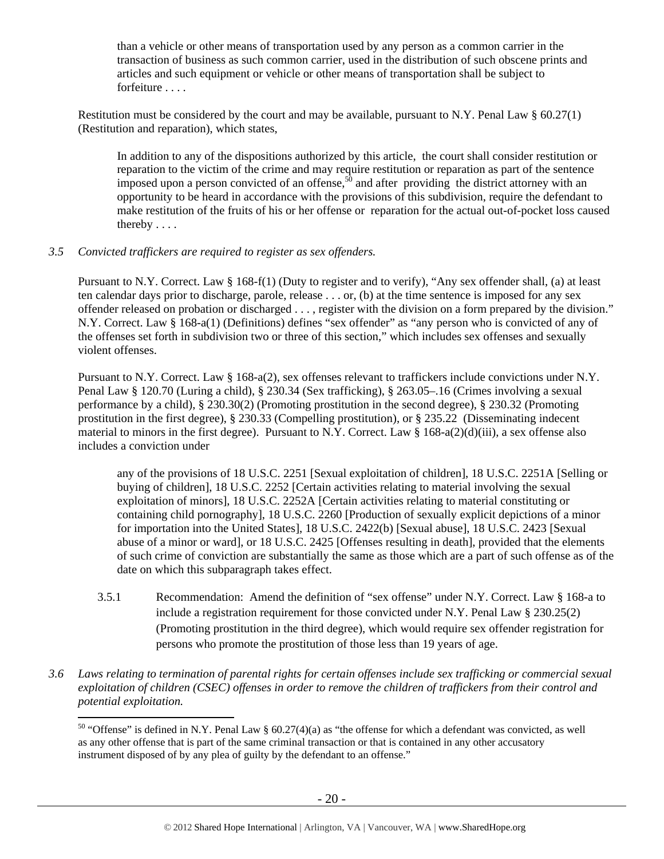than a vehicle or other means of transportation used by any person as a common carrier in the transaction of business as such common carrier, used in the distribution of such obscene prints and articles and such equipment or vehicle or other means of transportation shall be subject to forfeiture . . . .

Restitution must be considered by the court and may be available, pursuant to N.Y. Penal Law  $\S$  60.27(1) (Restitution and reparation), which states,

In addition to any of the dispositions authorized by this article, the court shall consider restitution or reparation to the victim of the crime and may require restitution or reparation as part of the sentence imposed upon a person convicted of an offense,<sup>50</sup> and after providing the district attorney with an opportunity to be heard in accordance with the provisions of this subdivision, require the defendant to make restitution of the fruits of his or her offense or reparation for the actual out-of-pocket loss caused thereby . . . .

#### *3.5 Convicted traffickers are required to register as sex offenders.*

 $\overline{a}$ 

Pursuant to N.Y. Correct. Law § 168-f(1) (Duty to register and to verify), "Any sex offender shall, (a) at least ten calendar days prior to discharge, parole, release . . . or, (b) at the time sentence is imposed for any sex offender released on probation or discharged . . . , register with the division on a form prepared by the division." N.Y. Correct. Law § 168-a(1) (Definitions) defines "sex offender" as "any person who is convicted of any of the offenses set forth in subdivision two or three of this section," which includes sex offenses and sexually violent offenses.

Pursuant to N.Y. Correct. Law § 168-a(2), sex offenses relevant to traffickers include convictions under N.Y. Penal Law § 120.70 (Luring a child), § 230.34 (Sex trafficking), § 263.05–.16 (Crimes involving a sexual performance by a child), § 230.30(2) (Promoting prostitution in the second degree), § 230.32 (Promoting prostitution in the first degree), § 230.33 (Compelling prostitution), or § 235.22 (Disseminating indecent material to minors in the first degree). Pursuant to N.Y. Correct. Law  $\S$  168-a(2)(d)(iii), a sex offense also includes a conviction under

any of the provisions of 18 U.S.C. 2251 [Sexual exploitation of children], 18 U.S.C. 2251A [Selling or buying of children], 18 U.S.C. 2252 [Certain activities relating to material involving the sexual exploitation of minors], 18 U.S.C. 2252A [Certain activities relating to material constituting or containing child pornography], 18 U.S.C. 2260 [Production of sexually explicit depictions of a minor for importation into the United States], 18 U.S.C. 2422(b) [Sexual abuse], 18 U.S.C. 2423 [Sexual abuse of a minor or ward], or 18 U.S.C. 2425 [Offenses resulting in death], provided that the elements of such crime of conviction are substantially the same as those which are a part of such offense as of the date on which this subparagraph takes effect.

- 3.5.1 Recommendation: Amend the definition of "sex offense" under N.Y. Correct. Law § 168-a to include a registration requirement for those convicted under N.Y. Penal Law  $\S 230.25(2)$ (Promoting prostitution in the third degree), which would require sex offender registration for persons who promote the prostitution of those less than 19 years of age.
- *3.6 Laws relating to termination of parental rights for certain offenses include sex trafficking or commercial sexual exploitation of children (CSEC) offenses in order to remove the children of traffickers from their control and potential exploitation.*

<sup>&</sup>lt;sup>50</sup> "Offense" is defined in N.Y. Penal Law § 60.27(4)(a) as "the offense for which a defendant was convicted, as well as any other offense that is part of the same criminal transaction or that is contained in any other accusatory instrument disposed of by any plea of guilty by the defendant to an offense."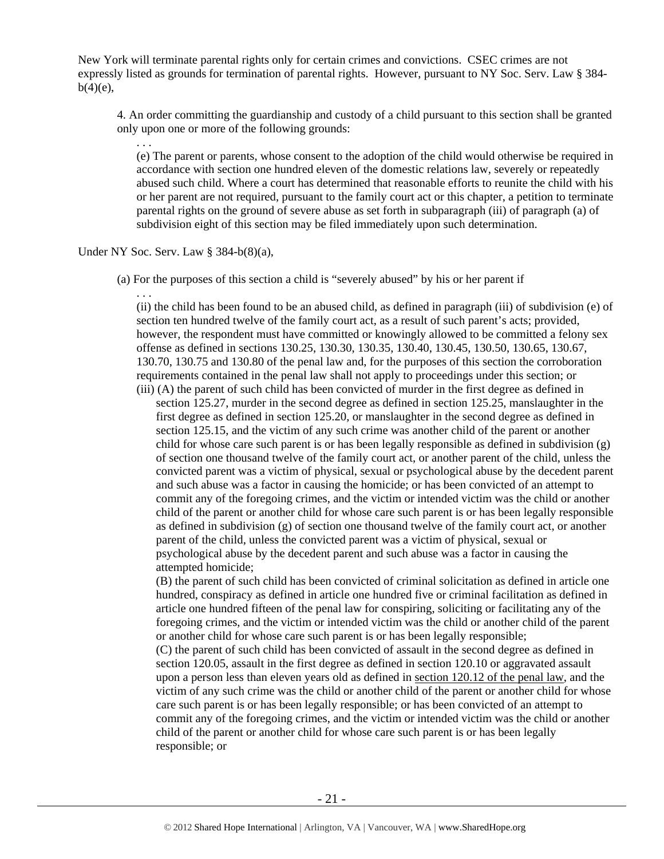New York will terminate parental rights only for certain crimes and convictions. CSEC crimes are not expressly listed as grounds for termination of parental rights. However, pursuant to NY Soc. Serv. Law § 384  $b(4)(e)$ ,

4. An order committing the guardianship and custody of a child pursuant to this section shall be granted only upon one or more of the following grounds:

. . . (e) The parent or parents, whose consent to the adoption of the child would otherwise be required in accordance with section one hundred eleven of the domestic relations law, severely or repeatedly abused such child. Where a court has determined that reasonable efforts to reunite the child with his or her parent are not required, pursuant to the family court act or this chapter, a petition to terminate parental rights on the ground of severe abuse as set forth in subparagraph (iii) of paragraph (a) of subdivision eight of this section may be filed immediately upon such determination.

Under NY Soc. Serv. Law § 384-b(8)(a),

(a) For the purposes of this section a child is "severely abused" by his or her parent if

. . . (ii) the child has been found to be an abused child, as defined in paragraph (iii) of subdivision (e) of section ten hundred twelve of the family court act, as a result of such parent's acts; provided, however, the respondent must have committed or knowingly allowed to be committed a felony sex offense as defined in sections 130.25, 130.30, 130.35, 130.40, 130.45, 130.50, 130.65, 130.67, 130.70, 130.75 and 130.80 of the penal law and, for the purposes of this section the corroboration requirements contained in the penal law shall not apply to proceedings under this section; or (iii) (A) the parent of such child has been convicted of murder in the first degree as defined in

section 125.27, murder in the second degree as defined in section 125.25, manslaughter in the first degree as defined in section 125.20, or manslaughter in the second degree as defined in section 125.15, and the victim of any such crime was another child of the parent or another child for whose care such parent is or has been legally responsible as defined in subdivision (g) of section one thousand twelve of the family court act, or another parent of the child, unless the convicted parent was a victim of physical, sexual or psychological abuse by the decedent parent and such abuse was a factor in causing the homicide; or has been convicted of an attempt to commit any of the foregoing crimes, and the victim or intended victim was the child or another child of the parent or another child for whose care such parent is or has been legally responsible as defined in subdivision (g) of section one thousand twelve of the family court act, or another parent of the child, unless the convicted parent was a victim of physical, sexual or psychological abuse by the decedent parent and such abuse was a factor in causing the attempted homicide;

(B) the parent of such child has been convicted of criminal solicitation as defined in article one hundred, conspiracy as defined in article one hundred five or criminal facilitation as defined in article one hundred fifteen of the penal law for conspiring, soliciting or facilitating any of the foregoing crimes, and the victim or intended victim was the child or another child of the parent or another child for whose care such parent is or has been legally responsible;

(C) the parent of such child has been convicted of assault in the second degree as defined in section 120.05, assault in the first degree as defined in section 120.10 or aggravated assault upon a person less than eleven years old as defined in section 120.12 of the penal law, and the victim of any such crime was the child or another child of the parent or another child for whose care such parent is or has been legally responsible; or has been convicted of an attempt to commit any of the foregoing crimes, and the victim or intended victim was the child or another child of the parent or another child for whose care such parent is or has been legally responsible; or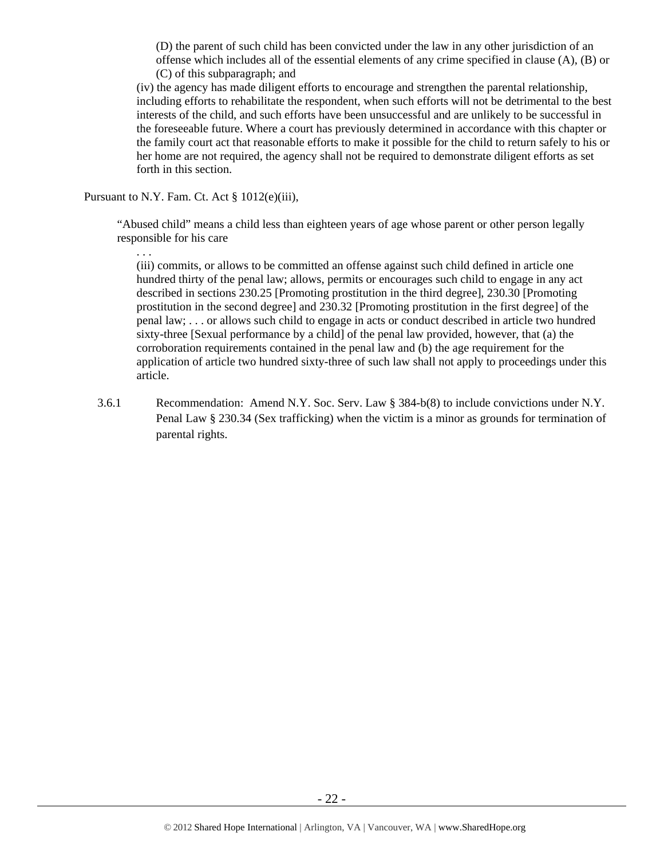(D) the parent of such child has been convicted under the law in any other jurisdiction of an offense which includes all of the essential elements of any crime specified in clause (A), (B) or (C) of this subparagraph; and

(iv) the agency has made diligent efforts to encourage and strengthen the parental relationship, including efforts to rehabilitate the respondent, when such efforts will not be detrimental to the best interests of the child, and such efforts have been unsuccessful and are unlikely to be successful in the foreseeable future. Where a court has previously determined in accordance with this chapter or the family court act that reasonable efforts to make it possible for the child to return safely to his or her home are not required, the agency shall not be required to demonstrate diligent efforts as set forth in this section.

Pursuant to N.Y. Fam. Ct. Act § 1012(e)(iii),

"Abused child" means a child less than eighteen years of age whose parent or other person legally responsible for his care

. . .

(iii) commits, or allows to be committed an offense against such child defined in article one hundred thirty of the penal law; allows, permits or encourages such child to engage in any act described in sections 230.25 [Promoting prostitution in the third degree], 230.30 [Promoting prostitution in the second degree] and 230.32 [Promoting prostitution in the first degree] of the penal law; . . . or allows such child to engage in acts or conduct described in article two hundred sixty-three [Sexual performance by a child] of the penal law provided, however, that (a) the corroboration requirements contained in the penal law and (b) the age requirement for the application of article two hundred sixty-three of such law shall not apply to proceedings under this article.

3.6.1 Recommendation: Amend N.Y. Soc. Serv. Law § 384-b(8) to include convictions under N.Y. Penal Law § 230.34 (Sex trafficking) when the victim is a minor as grounds for termination of parental rights.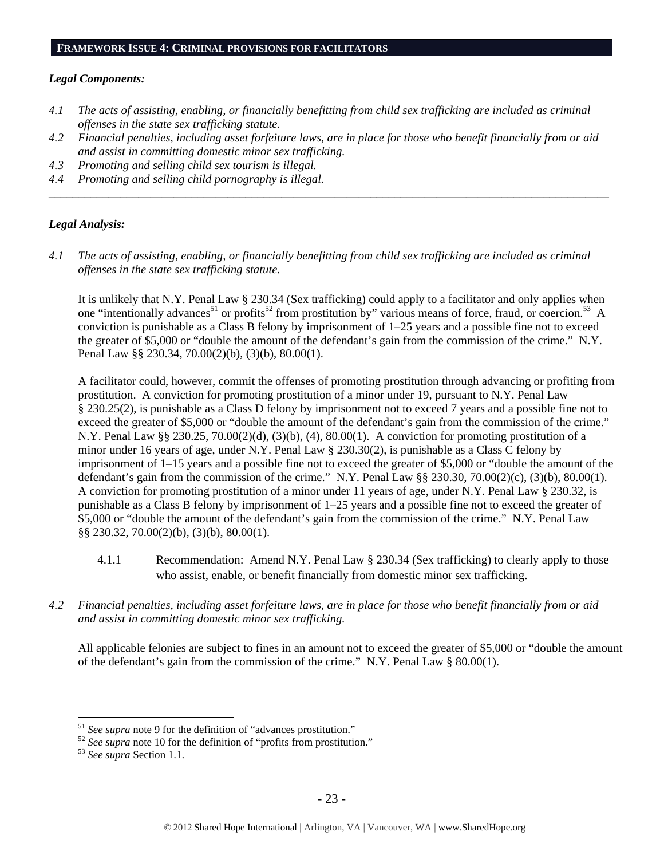#### **FRAMEWORK ISSUE 4: CRIMINAL PROVISIONS FOR FACILITATORS**

#### *Legal Components:*

- *4.1 The acts of assisting, enabling, or financially benefitting from child sex trafficking are included as criminal offenses in the state sex trafficking statute.*
- *4.2 Financial penalties, including asset forfeiture laws, are in place for those who benefit financially from or aid and assist in committing domestic minor sex trafficking.*

*\_\_\_\_\_\_\_\_\_\_\_\_\_\_\_\_\_\_\_\_\_\_\_\_\_\_\_\_\_\_\_\_\_\_\_\_\_\_\_\_\_\_\_\_\_\_\_\_\_\_\_\_\_\_\_\_\_\_\_\_\_\_\_\_\_\_\_\_\_\_\_\_\_\_\_\_\_\_\_\_\_\_\_\_\_\_\_\_\_\_\_\_\_\_* 

- *4.3 Promoting and selling child sex tourism is illegal.*
- *4.4 Promoting and selling child pornography is illegal.*

### *Legal Analysis:*

*4.1 The acts of assisting, enabling, or financially benefitting from child sex trafficking are included as criminal offenses in the state sex trafficking statute.* 

It is unlikely that N.Y. Penal Law § 230.34 (Sex trafficking) could apply to a facilitator and only applies when one "intentionally advances<sup>51</sup> or profits<sup>52</sup> from prostitution by" various means of force, fraud, or coercion.<sup>53</sup> A conviction is punishable as a Class B felony by imprisonment of  $1-25$  years and a possible fine not to exceed the greater of \$5,000 or "double the amount of the defendant's gain from the commission of the crime." N.Y. Penal Law §§ 230.34, 70.00(2)(b), (3)(b), 80.00(1).

A facilitator could, however, commit the offenses of promoting prostitution through advancing or profiting from prostitution. A conviction for promoting prostitution of a minor under 19, pursuant to N.Y. Penal Law § 230.25(2), is punishable as a Class D felony by imprisonment not to exceed 7 years and a possible fine not to exceed the greater of \$5,000 or "double the amount of the defendant's gain from the commission of the crime." N.Y. Penal Law §§ 230.25, 70.00(2)(d), (3)(b), (4), 80.00(1). A conviction for promoting prostitution of a minor under 16 years of age, under N.Y. Penal Law § 230.30(2), is punishable as a Class C felony by imprisonment of 1–15 years and a possible fine not to exceed the greater of \$5,000 or "double the amount of the defendant's gain from the commission of the crime." N.Y. Penal Law  $\S$  230.30, 70.00(2)(c), (3)(b), 80.00(1). A conviction for promoting prostitution of a minor under 11 years of age, under N.Y. Penal Law § 230.32, is punishable as a Class B felony by imprisonment of 1–25 years and a possible fine not to exceed the greater of \$5,000 or "double the amount of the defendant's gain from the commission of the crime." N.Y. Penal Law §§ 230.32, 70.00(2)(b), (3)(b), 80.00(1).

- 4.1.1 Recommendation: Amend N.Y. Penal Law § 230.34 (Sex trafficking) to clearly apply to those who assist, enable, or benefit financially from domestic minor sex trafficking.
- *4.2 Financial penalties, including asset forfeiture laws, are in place for those who benefit financially from or aid and assist in committing domestic minor sex trafficking.*

All applicable felonies are subject to fines in an amount not to exceed the greater of \$5,000 or "double the amount of the defendant's gain from the commission of the crime." N.Y. Penal Law § 80.00(1).

 $51$  See supra note 9 for the definition of "advances prostitution."

<sup>&</sup>lt;sup>52</sup> *See supra* note 10 for the definition of "profits from prostitution." <sup>53</sup> *See supra* Section 1.1.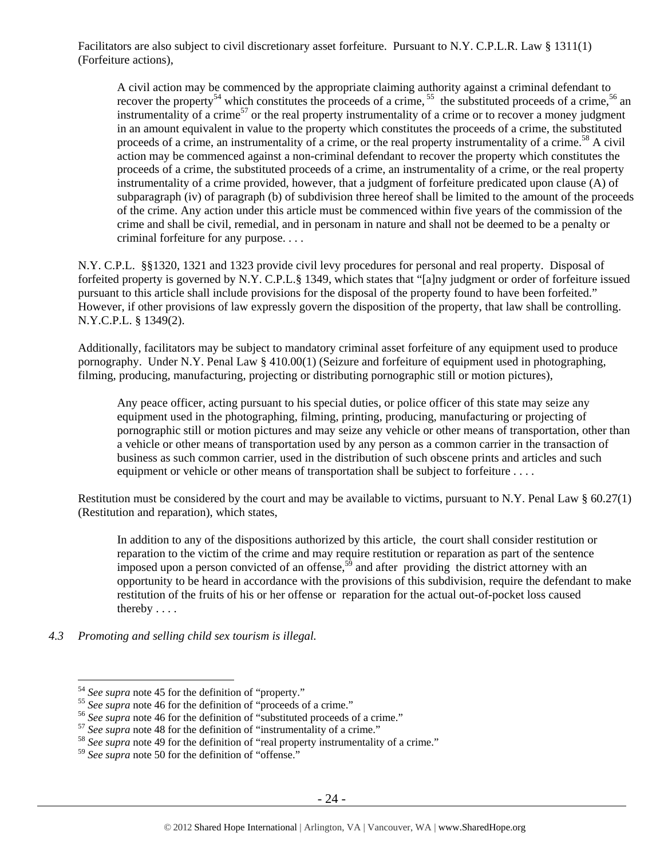Facilitators are also subject to civil discretionary asset forfeiture. Pursuant to N.Y. C.P.L.R. Law § 1311(1) (Forfeiture actions),

A civil action may be commenced by the appropriate claiming authority against a criminal defendant to recover the property<sup>54</sup> which constitutes the proceeds of a crime,  $55$  the substituted proceeds of a crime,  $56$  an instrumentality of a crime<sup>57</sup> or the real property instrumentality of a crime or to recover a money judgment in an amount equivalent in value to the property which constitutes the proceeds of a crime, the substituted proceeds of a crime, an instrumentality of a crime, or the real property instrumentality of a crime.58 A civil action may be commenced against a non-criminal defendant to recover the property which constitutes the proceeds of a crime, the substituted proceeds of a crime, an instrumentality of a crime, or the real property instrumentality of a crime provided, however, that a judgment of forfeiture predicated upon clause (A) of subparagraph (iv) of paragraph (b) of subdivision three hereof shall be limited to the amount of the proceeds of the crime. Any action under this article must be commenced within five years of the commission of the crime and shall be civil, remedial, and in personam in nature and shall not be deemed to be a penalty or criminal forfeiture for any purpose. . . .

N.Y. C.P.L. §§1320, 1321 and 1323 provide civil levy procedures for personal and real property. Disposal of forfeited property is governed by N.Y. C.P.L.§ 1349, which states that "[a]ny judgment or order of forfeiture issued pursuant to this article shall include provisions for the disposal of the property found to have been forfeited." However, if other provisions of law expressly govern the disposition of the property, that law shall be controlling. N.Y.C.P.L. § 1349(2).

Additionally, facilitators may be subject to mandatory criminal asset forfeiture of any equipment used to produce pornography. Under N.Y. Penal Law § 410.00(1) (Seizure and forfeiture of equipment used in photographing, filming, producing, manufacturing, projecting or distributing pornographic still or motion pictures),

Any peace officer, acting pursuant to his special duties, or police officer of this state may seize any equipment used in the photographing, filming, printing, producing, manufacturing or projecting of pornographic still or motion pictures and may seize any vehicle or other means of transportation, other than a vehicle or other means of transportation used by any person as a common carrier in the transaction of business as such common carrier, used in the distribution of such obscene prints and articles and such equipment or vehicle or other means of transportation shall be subject to forfeiture . . . .

Restitution must be considered by the court and may be available to victims, pursuant to N.Y. Penal Law § 60.27(1) (Restitution and reparation), which states,

In addition to any of the dispositions authorized by this article, the court shall consider restitution or reparation to the victim of the crime and may require restitution or reparation as part of the sentence imposed upon a person convicted of an offense,<sup>59</sup> and after providing the district attorney with an opportunity to be heard in accordance with the provisions of this subdivision, require the defendant to make restitution of the fruits of his or her offense or reparation for the actual out-of-pocket loss caused thereby . . . .

*4.3 Promoting and selling child sex tourism is illegal.* 

<sup>&</sup>lt;sup>54</sup> See supra note 45 for the definition of "property."<br>
<sup>55</sup> See supra note 46 for the definition of "proceeds of a crime."<br>
<sup>56</sup> See supra note 46 for the definition of "substituted proceeds of a crime."<br>
<sup>57</sup> See supr

<sup>59</sup> *See supra* note 50 for the definition of "offense."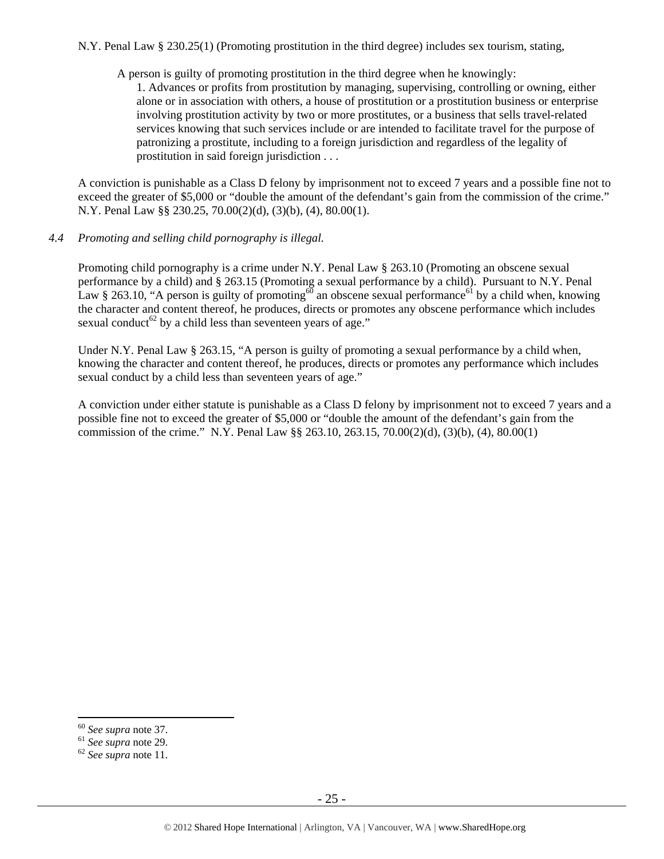N.Y. Penal Law § 230.25(1) (Promoting prostitution in the third degree) includes sex tourism, stating,

A person is guilty of promoting prostitution in the third degree when he knowingly:

1. Advances or profits from prostitution by managing, supervising, controlling or owning, either alone or in association with others, a house of prostitution or a prostitution business or enterprise involving prostitution activity by two or more prostitutes, or a business that sells travel-related services knowing that such services include or are intended to facilitate travel for the purpose of patronizing a prostitute, including to a foreign jurisdiction and regardless of the legality of prostitution in said foreign jurisdiction . . .

A conviction is punishable as a Class D felony by imprisonment not to exceed 7 years and a possible fine not to exceed the greater of \$5,000 or "double the amount of the defendant's gain from the commission of the crime." N.Y. Penal Law §§ 230.25, 70.00(2)(d), (3)(b), (4), 80.00(1).

## *4.4 Promoting and selling child pornography is illegal.*

Promoting child pornography is a crime under N.Y. Penal Law § 263.10 (Promoting an obscene sexual performance by a child) and § 263.15 (Promoting a sexual performance by a child). Pursuant to N.Y. Penal Law § 263.10, "A person is guilty of promoting<sup>60</sup> an obscene sexual performance<sup>61</sup> by a child when, knowing the character and content thereof, he produces, directs or promotes any obscene performance which includes sexual conduct<sup>62</sup> by a child less than seventeen years of age."

Under N.Y. Penal Law § 263.15, "A person is guilty of promoting a sexual performance by a child when, knowing the character and content thereof, he produces, directs or promotes any performance which includes sexual conduct by a child less than seventeen years of age."

A conviction under either statute is punishable as a Class D felony by imprisonment not to exceed 7 years and a possible fine not to exceed the greater of \$5,000 or "double the amount of the defendant's gain from the commission of the crime." N.Y. Penal Law §§ 263.10, 263.15, 70.00(2)(d), (3)(b), (4), 80.00(1)

 $60$  See supra note 37.

<sup>60</sup> *See supra* note 37. 61 *See supra* note 29. 62 *See supra* note 11.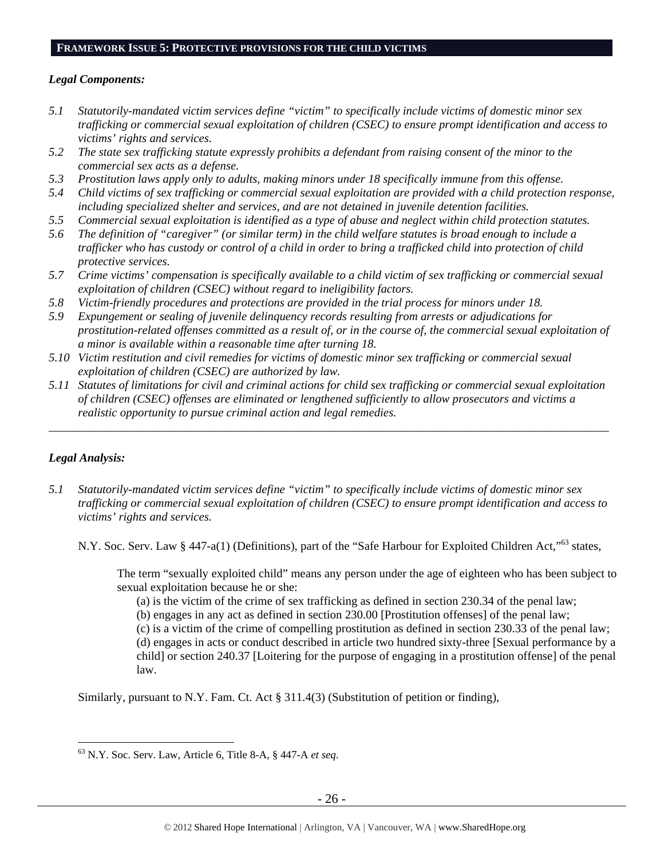#### **FRAMEWORK ISSUE 5: PROTECTIVE PROVISIONS FOR THE CHILD VICTIMS**

### *Legal Components:*

- *5.1 Statutorily-mandated victim services define "victim" to specifically include victims of domestic minor sex trafficking or commercial sexual exploitation of children (CSEC) to ensure prompt identification and access to victims' rights and services.*
- *5.2 The state sex trafficking statute expressly prohibits a defendant from raising consent of the minor to the commercial sex acts as a defense.*
- *5.3 Prostitution laws apply only to adults, making minors under 18 specifically immune from this offense.*
- *5.4 Child victims of sex trafficking or commercial sexual exploitation are provided with a child protection response, including specialized shelter and services, and are not detained in juvenile detention facilities.*
- *5.5 Commercial sexual exploitation is identified as a type of abuse and neglect within child protection statutes.*
- *5.6 The definition of "caregiver" (or similar term) in the child welfare statutes is broad enough to include a trafficker who has custody or control of a child in order to bring a trafficked child into protection of child protective services.*
- *5.7 Crime victims' compensation is specifically available to a child victim of sex trafficking or commercial sexual exploitation of children (CSEC) without regard to ineligibility factors.*
- *5.8 Victim-friendly procedures and protections are provided in the trial process for minors under 18.*
- *5.9 Expungement or sealing of juvenile delinquency records resulting from arrests or adjudications for prostitution-related offenses committed as a result of, or in the course of, the commercial sexual exploitation of a minor is available within a reasonable time after turning 18.*
- *5.10 Victim restitution and civil remedies for victims of domestic minor sex trafficking or commercial sexual exploitation of children (CSEC) are authorized by law.*
- *5.11 Statutes of limitations for civil and criminal actions for child sex trafficking or commercial sexual exploitation of children (CSEC) offenses are eliminated or lengthened sufficiently to allow prosecutors and victims a realistic opportunity to pursue criminal action and legal remedies.*

*\_\_\_\_\_\_\_\_\_\_\_\_\_\_\_\_\_\_\_\_\_\_\_\_\_\_\_\_\_\_\_\_\_\_\_\_\_\_\_\_\_\_\_\_\_\_\_\_\_\_\_\_\_\_\_\_\_\_\_\_\_\_\_\_\_\_\_\_\_\_\_\_\_\_\_\_\_\_\_\_\_\_\_\_\_\_\_\_\_\_\_\_\_\_* 

## *Legal Analysis:*

 $\overline{a}$ 

*5.1 Statutorily-mandated victim services define "victim" to specifically include victims of domestic minor sex trafficking or commercial sexual exploitation of children (CSEC) to ensure prompt identification and access to victims' rights and services.* 

N.Y. Soc. Serv. Law § 447-a(1) (Definitions), part of the "Safe Harbour for Exploited Children Act,"<sup>63</sup> states,

The term "sexually exploited child" means any person under the age of eighteen who has been subject to sexual exploitation because he or she:

(a) is the victim of the crime of sex trafficking as defined in section 230.34 of the penal law;

(b) engages in any act as defined in section 230.00 [Prostitution offenses] of the penal law;

(c) is a victim of the crime of compelling prostitution as defined in section 230.33 of the penal law; (d) engages in acts or conduct described in article two hundred sixty-three [Sexual performance by a child] or section 240.37 [Loitering for the purpose of engaging in a prostitution offense] of the penal law.

Similarly, pursuant to N.Y. Fam. Ct. Act § 311.4(3) (Substitution of petition or finding),

<sup>63</sup> N.Y. Soc. Serv. Law, Article 6, Title 8-A, § 447-A *et seq*.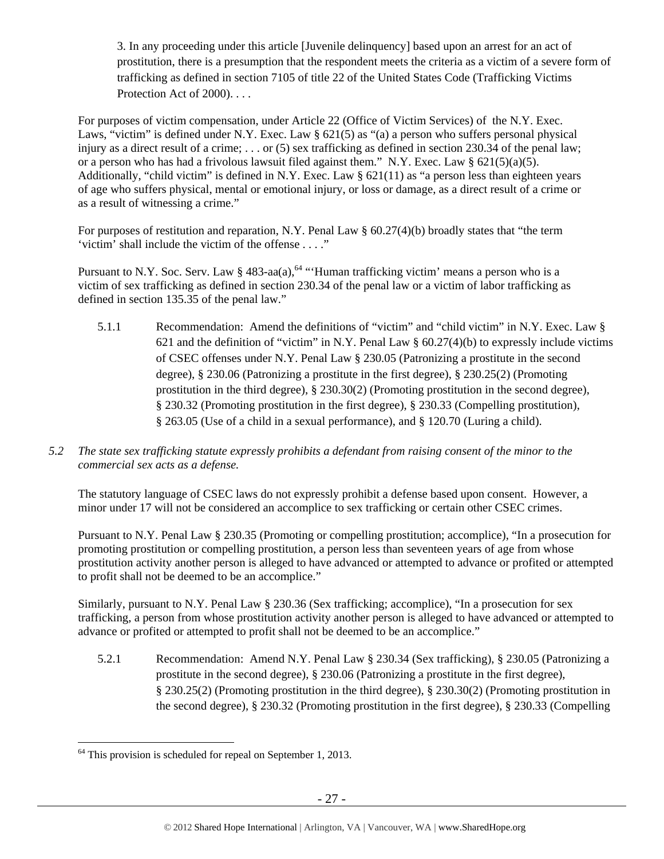3. In any proceeding under this article [Juvenile delinquency] based upon an arrest for an act of prostitution, there is a presumption that the respondent meets the criteria as a victim of a severe form of trafficking as defined in section 7105 of title 22 of the United States Code (Trafficking Victims Protection Act of 2000). . . .

For purposes of victim compensation, under Article 22 (Office of Victim Services) of the N.Y. Exec. Laws, "victim" is defined under N.Y. Exec. Law § 621(5) as "(a) a person who suffers personal physical injury as a direct result of a crime; . . . or (5) sex trafficking as defined in section 230.34 of the penal law; or a person who has had a frivolous lawsuit filed against them." N.Y. Exec. Law §  $621(5)(a)(5)$ . Additionally, "child victim" is defined in N.Y. Exec. Law  $\S 621(11)$  as "a person less than eighteen years of age who suffers physical, mental or emotional injury, or loss or damage, as a direct result of a crime or as a result of witnessing a crime."

For purposes of restitution and reparation, N.Y. Penal Law § 60.27(4)(b) broadly states that "the term 'victim' shall include the victim of the offense . . . ."

Pursuant to N.Y. Soc. Serv. Law § 483-aa(a),<sup>64</sup> "Human trafficking victim' means a person who is a victim of sex trafficking as defined in section 230.34 of the penal law or a victim of labor trafficking as defined in section 135.35 of the penal law."

- 5.1.1 Recommendation: Amend the definitions of "victim" and "child victim" in N.Y. Exec. Law § 621 and the definition of "victim" in N.Y. Penal Law  $\S$  60.27(4)(b) to expressly include victims of CSEC offenses under N.Y. Penal Law § 230.05 (Patronizing a prostitute in the second degree), § 230.06 (Patronizing a prostitute in the first degree), § 230.25(2) (Promoting prostitution in the third degree), § 230.30(2) (Promoting prostitution in the second degree), § 230.32 (Promoting prostitution in the first degree), § 230.33 (Compelling prostitution), § 263.05 (Use of a child in a sexual performance), and § 120.70 (Luring a child).
- *5.2 The state sex trafficking statute expressly prohibits a defendant from raising consent of the minor to the commercial sex acts as a defense.*

The statutory language of CSEC laws do not expressly prohibit a defense based upon consent. However, a minor under 17 will not be considered an accomplice to sex trafficking or certain other CSEC crimes.

Pursuant to N.Y. Penal Law § 230.35 (Promoting or compelling prostitution; accomplice), "In a prosecution for promoting prostitution or compelling prostitution, a person less than seventeen years of age from whose prostitution activity another person is alleged to have advanced or attempted to advance or profited or attempted to profit shall not be deemed to be an accomplice."

Similarly, pursuant to N.Y. Penal Law § 230.36 (Sex trafficking; accomplice), "In a prosecution for sex trafficking, a person from whose prostitution activity another person is alleged to have advanced or attempted to advance or profited or attempted to profit shall not be deemed to be an accomplice."

5.2.1 Recommendation: Amend N.Y. Penal Law § 230.34 (Sex trafficking), § 230.05 (Patronizing a prostitute in the second degree), § 230.06 (Patronizing a prostitute in the first degree), § 230.25(2) (Promoting prostitution in the third degree), § 230.30(2) (Promoting prostitution in the second degree), § 230.32 (Promoting prostitution in the first degree), § 230.33 (Compelling

 $\overline{a}$  $64$  This provision is scheduled for repeal on September 1, 2013.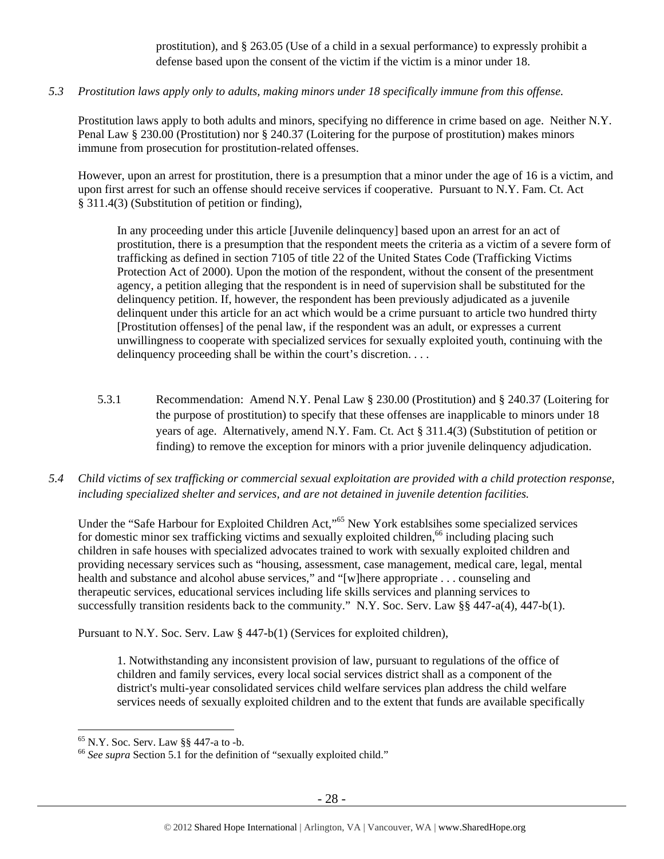prostitution), and § 263.05 (Use of a child in a sexual performance) to expressly prohibit a defense based upon the consent of the victim if the victim is a minor under 18.

*5.3 Prostitution laws apply only to adults, making minors under 18 specifically immune from this offense.* 

Prostitution laws apply to both adults and minors, specifying no difference in crime based on age. Neither N.Y. Penal Law § 230.00 (Prostitution) nor § 240.37 (Loitering for the purpose of prostitution) makes minors immune from prosecution for prostitution-related offenses.

However, upon an arrest for prostitution, there is a presumption that a minor under the age of 16 is a victim, and upon first arrest for such an offense should receive services if cooperative. Pursuant to N.Y. Fam. Ct. Act § 311.4(3) (Substitution of petition or finding),

In any proceeding under this article [Juvenile delinquency] based upon an arrest for an act of prostitution, there is a presumption that the respondent meets the criteria as a victim of a severe form of trafficking as defined in section 7105 of title 22 of the United States Code (Trafficking Victims Protection Act of 2000). Upon the motion of the respondent, without the consent of the presentment agency, a petition alleging that the respondent is in need of supervision shall be substituted for the delinquency petition. If, however, the respondent has been previously adjudicated as a juvenile delinquent under this article for an act which would be a crime pursuant to article two hundred thirty [Prostitution offenses] of the penal law, if the respondent was an adult, or expresses a current unwillingness to cooperate with specialized services for sexually exploited youth, continuing with the delinquency proceeding shall be within the court's discretion....

- 5.3.1 Recommendation: Amend N.Y. Penal Law § 230.00 (Prostitution) and § 240.37 (Loitering for the purpose of prostitution) to specify that these offenses are inapplicable to minors under 18 years of age. Alternatively, amend N.Y. Fam. Ct. Act § 311.4(3) (Substitution of petition or finding) to remove the exception for minors with a prior juvenile delinquency adjudication.
- *5.4 Child victims of sex trafficking or commercial sexual exploitation are provided with a child protection response, including specialized shelter and services, and are not detained in juvenile detention facilities.*

Under the "Safe Harbour for Exploited Children Act,"65 New York establsihes some specialized services for domestic minor sex trafficking victims and sexually exploited children,<sup>66</sup> including placing such children in safe houses with specialized advocates trained to work with sexually exploited children and providing necessary services such as "housing, assessment, case management, medical care, legal, mental health and substance and alcohol abuse services," and "[w]here appropriate . . . counseling and therapeutic services, educational services including life skills services and planning services to successfully transition residents back to the community." N.Y. Soc. Serv. Law §§ 447-a(4), 447-b(1).

Pursuant to N.Y. Soc. Serv. Law § 447-b(1) (Services for exploited children),

1. Notwithstanding any inconsistent provision of law, pursuant to regulations of the office of children and family services, every local social services district shall as a component of the district's multi-year consolidated services child welfare services plan address the child welfare services needs of sexually exploited children and to the extent that funds are available specifically

 $65$  N.Y. Soc. Serv. Law  $88$  447-a to -b.

<sup>&</sup>lt;sup>66</sup> See supra Section 5.1 for the definition of "sexually exploited child."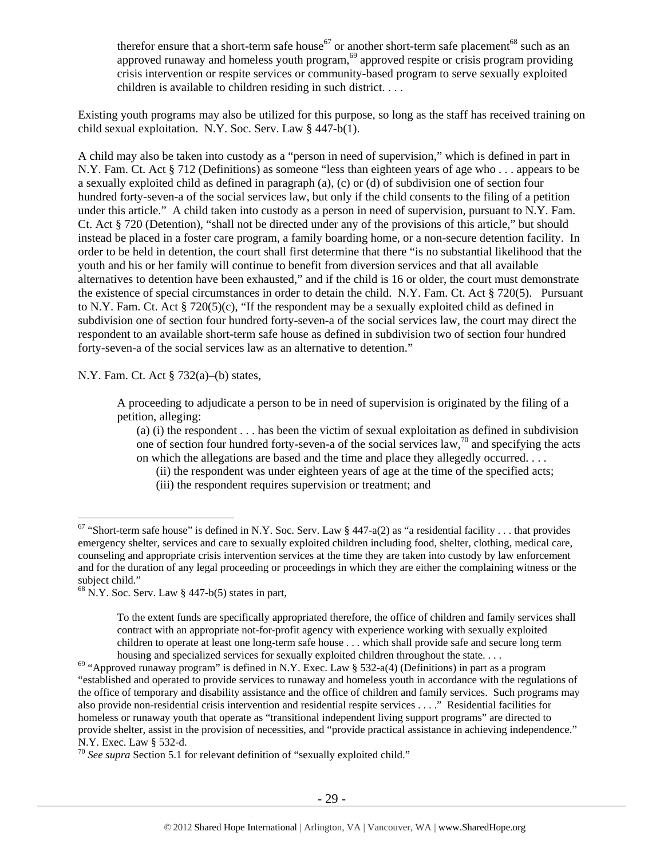therefor ensure that a short-term safe house<sup>67</sup> or another short-term safe placement<sup>68</sup> such as an approved runaway and homeless youth program,<sup>69</sup> approved respite or crisis program providing crisis intervention or respite services or community-based program to serve sexually exploited children is available to children residing in such district. . . .

Existing youth programs may also be utilized for this purpose, so long as the staff has received training on child sexual exploitation. N.Y. Soc. Serv. Law § 447-b(1).

A child may also be taken into custody as a "person in need of supervision," which is defined in part in N.Y. Fam. Ct. Act § 712 (Definitions) as someone "less than eighteen years of age who . . . appears to be a sexually exploited child as defined in paragraph (a), (c) or (d) of subdivision one of section four hundred forty-seven-a of the social services law, but only if the child consents to the filing of a petition under this article." A child taken into custody as a person in need of supervision, pursuant to N.Y. Fam. Ct. Act § 720 (Detention), "shall not be directed under any of the provisions of this article," but should instead be placed in a foster care program, a family boarding home, or a non-secure detention facility. In order to be held in detention, the court shall first determine that there "is no substantial likelihood that the youth and his or her family will continue to benefit from diversion services and that all available alternatives to detention have been exhausted," and if the child is 16 or older, the court must demonstrate the existence of special circumstances in order to detain the child. N.Y. Fam. Ct. Act § 720(5). Pursuant to N.Y. Fam. Ct. Act § 720(5)(c), "If the respondent may be a sexually exploited child as defined in subdivision one of section four hundred forty-seven-a of the social services law, the court may direct the respondent to an available short-term safe house as defined in subdivision two of section four hundred forty-seven-a of the social services law as an alternative to detention."

N.Y. Fam. Ct. Act § 732(a)–(b) states,

 $\overline{a}$ 

A proceeding to adjudicate a person to be in need of supervision is originated by the filing of a petition, alleging:

(a) (i) the respondent . . . has been the victim of sexual exploitation as defined in subdivision one of section four hundred forty-seven-a of the social services law,  $\frac{1}{2}$  and specifying the acts on which the allegations are based and the time and place they allegedly occurred. . . .

(ii) the respondent was under eighteen years of age at the time of the specified acts; (iii) the respondent requires supervision or treatment; and

<sup>&</sup>lt;sup>67</sup> "Short-term safe house" is defined in N.Y. Soc. Serv. Law § 447-a(2) as "a residential facility . . . that provides emergency shelter, services and care to sexually exploited children including food, shelter, clothing, medical care, counseling and appropriate crisis intervention services at the time they are taken into custody by law enforcement and for the duration of any legal proceeding or proceedings in which they are either the complaining witness or the subject child."

 $68$  N.Y. Soc. Serv. Law § 447-b(5) states in part,

To the extent funds are specifically appropriated therefore, the office of children and family services shall contract with an appropriate not-for-profit agency with experience working with sexually exploited children to operate at least one long-term safe house . . . which shall provide safe and secure long term

housing and specialized services for sexually exploited children throughout the state. . . .<br><sup>69</sup> "Approved runaway program" is defined in N.Y. Exec. Law § 532-a(4) (Definitions) in part as a program "established and operated to provide services to runaway and homeless youth in accordance with the regulations of the office of temporary and disability assistance and the office of children and family services. Such programs may also provide non-residential crisis intervention and residential respite services . . . ." Residential facilities for homeless or runaway youth that operate as "transitional independent living support programs" are directed to provide shelter, assist in the provision of necessities, and "provide practical assistance in achieving independence." N.Y. Exec. Law § 532-d.

<sup>70</sup> *See supra* Section 5.1 for relevant definition of "sexually exploited child."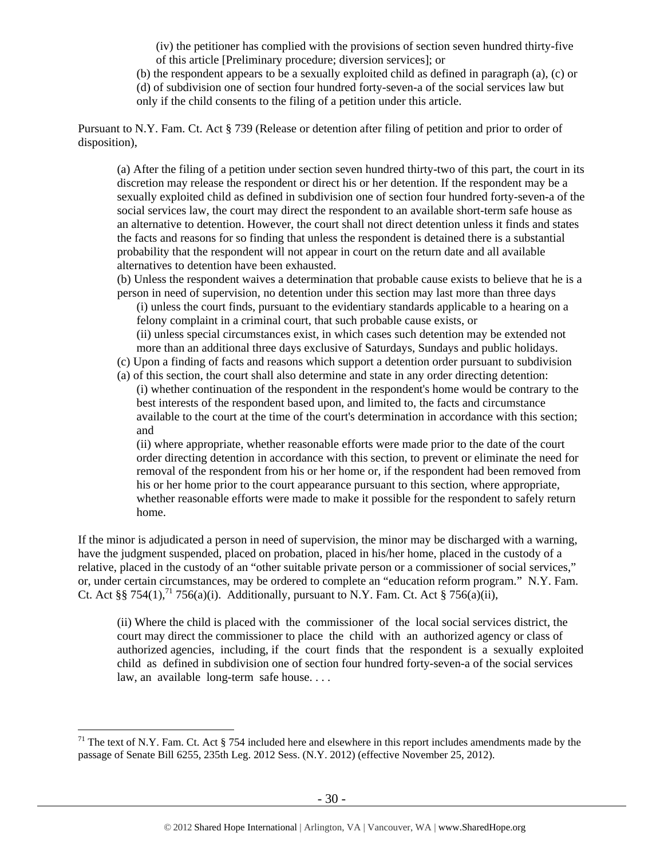(iv) the petitioner has complied with the provisions of section seven hundred thirty-five of this article [Preliminary procedure; diversion services]; or

(b) the respondent appears to be a sexually exploited child as defined in paragraph (a), (c) or (d) of subdivision one of section four hundred forty-seven-a of the social services law but only if the child consents to the filing of a petition under this article.

Pursuant to N.Y. Fam. Ct. Act § 739 (Release or detention after filing of petition and prior to order of disposition),

(a) After the filing of a petition under section seven hundred thirty-two of this part, the court in its discretion may release the respondent or direct his or her detention. If the respondent may be a sexually exploited child as defined in subdivision one of section four hundred forty-seven-a of the social services law, the court may direct the respondent to an available short-term safe house as an alternative to detention. However, the court shall not direct detention unless it finds and states the facts and reasons for so finding that unless the respondent is detained there is a substantial probability that the respondent will not appear in court on the return date and all available alternatives to detention have been exhausted.

(b) Unless the respondent waives a determination that probable cause exists to believe that he is a person in need of supervision, no detention under this section may last more than three days

(i) unless the court finds, pursuant to the evidentiary standards applicable to a hearing on a felony complaint in a criminal court, that such probable cause exists, or

(ii) unless special circumstances exist, in which cases such detention may be extended not more than an additional three days exclusive of Saturdays, Sundays and public holidays.

- (c) Upon a finding of facts and reasons which support a detention order pursuant to subdivision
- (a) of this section, the court shall also determine and state in any order directing detention: (i) whether continuation of the respondent in the respondent's home would be contrary to the best interests of the respondent based upon, and limited to, the facts and circumstance available to the court at the time of the court's determination in accordance with this section; and

(ii) where appropriate, whether reasonable efforts were made prior to the date of the court order directing detention in accordance with this section, to prevent or eliminate the need for removal of the respondent from his or her home or, if the respondent had been removed from his or her home prior to the court appearance pursuant to this section, where appropriate, whether reasonable efforts were made to make it possible for the respondent to safely return home.

If the minor is adjudicated a person in need of supervision, the minor may be discharged with a warning, have the judgment suspended, placed on probation, placed in his/her home, placed in the custody of a relative, placed in the custody of an "other suitable private person or a commissioner of social services," or, under certain circumstances, may be ordered to complete an "education reform program." N.Y. Fam. Ct. Act §§ 754(1),<sup>71</sup> 756(a)(i). Additionally, pursuant to N.Y. Fam. Ct. Act § 756(a)(ii),

(ii) Where the child is placed with the commissioner of the local social services district, the court may direct the commissioner to place the child with an authorized agency or class of authorized agencies, including, if the court finds that the respondent is a sexually exploited child as defined in subdivision one of section four hundred forty-seven-a of the social services law, an available long-term safe house. . . .

 $71$  The text of N.Y. Fam. Ct. Act § 754 included here and elsewhere in this report includes amendments made by the passage of Senate Bill 6255, 235th Leg. 2012 Sess. (N.Y. 2012) (effective November 25, 2012).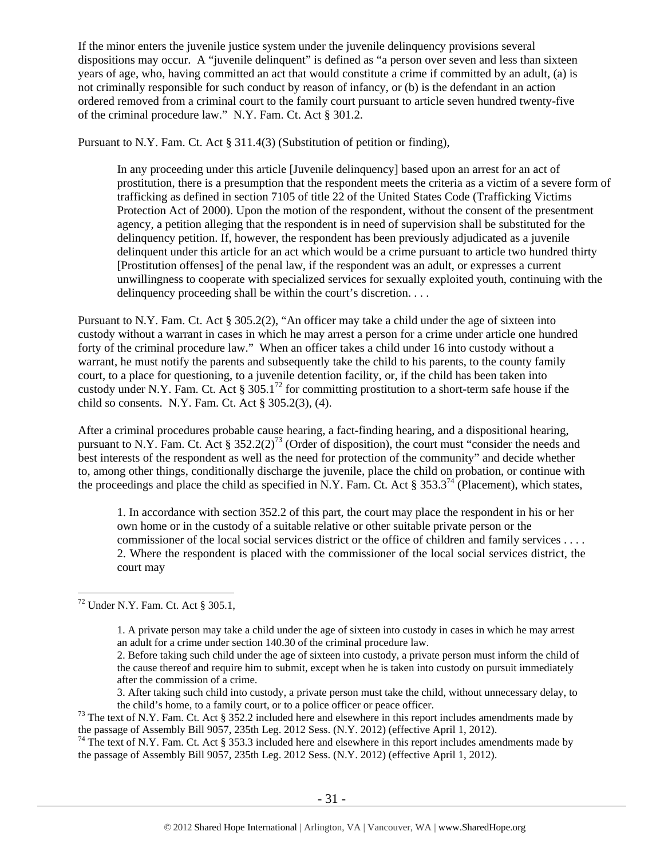If the minor enters the juvenile justice system under the juvenile delinquency provisions several dispositions may occur. A "juvenile delinquent" is defined as "a person over seven and less than sixteen years of age, who, having committed an act that would constitute a crime if committed by an adult, (a) is not criminally responsible for such conduct by reason of infancy, or (b) is the defendant in an action ordered removed from a criminal court to the family court pursuant to article seven hundred twenty-five of the criminal procedure law." N.Y. Fam. Ct. Act § 301.2.

Pursuant to N.Y. Fam. Ct. Act § 311.4(3) (Substitution of petition or finding),

In any proceeding under this article [Juvenile delinquency] based upon an arrest for an act of prostitution, there is a presumption that the respondent meets the criteria as a victim of a severe form of trafficking as defined in section 7105 of title 22 of the United States Code (Trafficking Victims Protection Act of 2000). Upon the motion of the respondent, without the consent of the presentment agency, a petition alleging that the respondent is in need of supervision shall be substituted for the delinquency petition. If, however, the respondent has been previously adjudicated as a juvenile delinquent under this article for an act which would be a crime pursuant to article two hundred thirty [Prostitution offenses] of the penal law, if the respondent was an adult, or expresses a current unwillingness to cooperate with specialized services for sexually exploited youth, continuing with the delinquency proceeding shall be within the court's discretion....

Pursuant to N.Y. Fam. Ct. Act § 305.2(2), "An officer may take a child under the age of sixteen into custody without a warrant in cases in which he may arrest a person for a crime under article one hundred forty of the criminal procedure law." When an officer takes a child under 16 into custody without a warrant, he must notify the parents and subsequently take the child to his parents, to the county family court, to a place for questioning, to a juvenile detention facility, or, if the child has been taken into custody under N.Y. Fam. Ct. Act §  $305.1^{72}$  for committing prostitution to a short-term safe house if the child so consents. N.Y. Fam. Ct. Act § 305.2(3), (4).

After a criminal procedures probable cause hearing, a fact-finding hearing, and a dispositional hearing, pursuant to N.Y. Fam. Ct. Act §  $352.2(2)^{73}$  (Order of disposition), the court must "consider the needs and best interests of the respondent as well as the need for protection of the community" and decide whether to, among other things, conditionally discharge the juvenile, place the child on probation, or continue with the proceedings and place the child as specified in N.Y. Fam. Ct. Act § 353.3<sup>74</sup> (Placement), which states,

1. In accordance with section 352.2 of this part, the court may place the respondent in his or her own home or in the custody of a suitable relative or other suitable private person or the commissioner of the local social services district or the office of children and family services . . . . 2. Where the respondent is placed with the commissioner of the local social services district, the court may

the passage of Assembly Bill 9057, 235th Leg. 2012 Sess. (N.Y. 2012) (effective April 1, 2012).

 $\overline{a}$ 72 Under N.Y. Fam. Ct. Act § 305.1,

<sup>1.</sup> A private person may take a child under the age of sixteen into custody in cases in which he may arrest an adult for a crime under section 140.30 of the criminal procedure law.

<sup>2.</sup> Before taking such child under the age of sixteen into custody, a private person must inform the child of the cause thereof and require him to submit, except when he is taken into custody on pursuit immediately after the commission of a crime.

<sup>3.</sup> After taking such child into custody, a private person must take the child, without unnecessary delay, to the child's home, to a family court, or to a police officer or peace officer.<br><sup>73</sup> The text of N.Y. Fam. Ct. Act § 352.2 included here and elsewhere in this report includes amendments made by

the passage of Assembly Bill 9057, 235th Leg. 2012 Sess. (N.Y. 2012) (effective April 1, 2012).<br><sup>74</sup> The text of N.Y. Fam. Ct. Act § 353.3 included here and elsewhere in this report includes amendments made by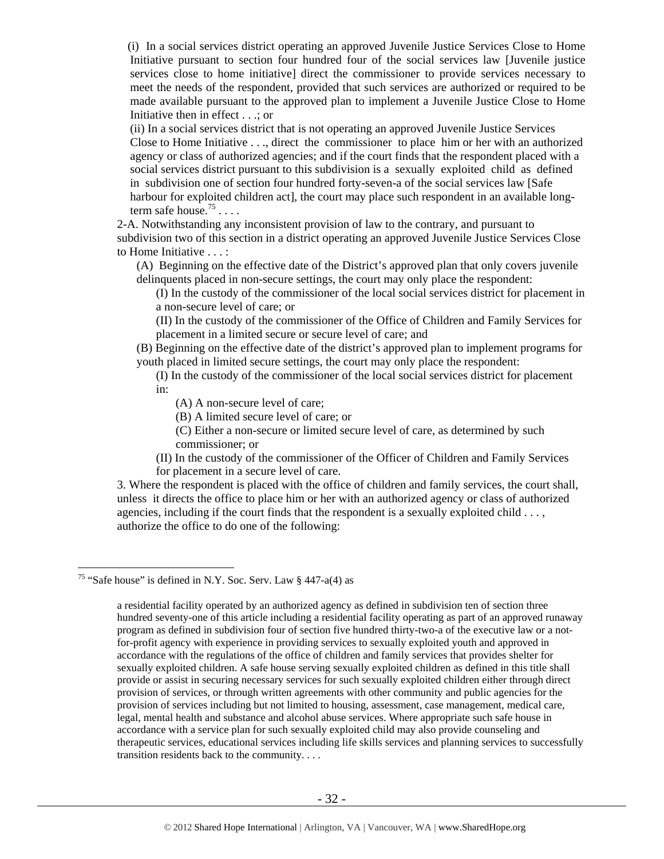(i) In a social services district operating an approved Juvenile Justice Services Close to Home Initiative pursuant to section four hundred four of the social services law [Juvenile justice services close to home initiative] direct the commissioner to provide services necessary to meet the needs of the respondent, provided that such services are authorized or required to be made available pursuant to the approved plan to implement a Juvenile Justice Close to Home Initiative then in effect . . .; or

(ii) In a social services district that is not operating an approved Juvenile Justice Services Close to Home Initiative . . ., direct the commissioner to place him or her with an authorized agency or class of authorized agencies; and if the court finds that the respondent placed with a social services district pursuant to this subdivision is a sexually exploited child as defined in subdivision one of section four hundred forty-seven-a of the social services law [Safe harbour for exploited children act], the court may place such respondent in an available longterm safe house.<sup>75</sup> . . . .

2-A. Notwithstanding any inconsistent provision of law to the contrary, and pursuant to subdivision two of this section in a district operating an approved Juvenile Justice Services Close to Home Initiative . . . :

(A) Beginning on the effective date of the District's approved plan that only covers juvenile delinquents placed in non-secure settings, the court may only place the respondent:

(I) In the custody of the commissioner of the local social services district for placement in a non-secure level of care; or

(II) In the custody of the commissioner of the Office of Children and Family Services for placement in a limited secure or secure level of care; and

(B) Beginning on the effective date of the district's approved plan to implement programs for youth placed in limited secure settings, the court may only place the respondent:

(I) In the custody of the commissioner of the local social services district for placement in:

(A) A non-secure level of care;

(B) A limited secure level of care; or

(C) Either a non-secure or limited secure level of care, as determined by such commissioner; or

(II) In the custody of the commissioner of the Officer of Children and Family Services for placement in a secure level of care.

3. Where the respondent is placed with the office of children and family services, the court shall, unless it directs the office to place him or her with an authorized agency or class of authorized agencies, including if the court finds that the respondent is a sexually exploited child . . . , authorize the office to do one of the following:

<sup>&</sup>lt;sup>75</sup> "Safe house" is defined in N.Y. Soc. Serv. Law  $\S$  447-a(4) as

a residential facility operated by an authorized agency as defined in subdivision ten of section three hundred seventy-one of this article including a residential facility operating as part of an approved runaway program as defined in subdivision four of section five hundred thirty-two-a of the executive law or a notfor-profit agency with experience in providing services to sexually exploited youth and approved in accordance with the regulations of the office of children and family services that provides shelter for sexually exploited children. A safe house serving sexually exploited children as defined in this title shall provide or assist in securing necessary services for such sexually exploited children either through direct provision of services, or through written agreements with other community and public agencies for the provision of services including but not limited to housing, assessment, case management, medical care, legal, mental health and substance and alcohol abuse services. Where appropriate such safe house in accordance with a service plan for such sexually exploited child may also provide counseling and therapeutic services, educational services including life skills services and planning services to successfully transition residents back to the community. . . .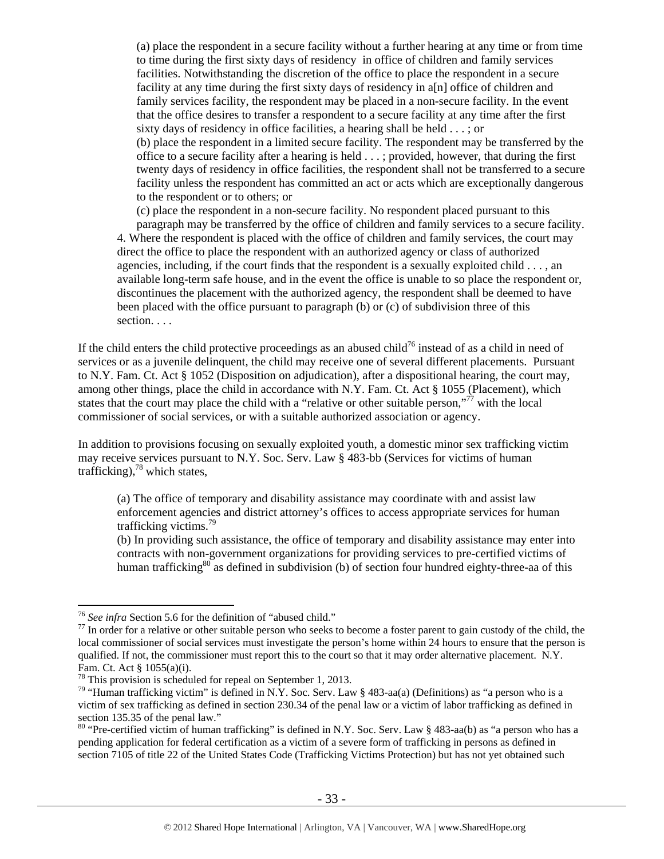(a) place the respondent in a secure facility without a further hearing at any time or from time to time during the first sixty days of residency in office of children and family services facilities. Notwithstanding the discretion of the office to place the respondent in a secure facility at any time during the first sixty days of residency in a[n] office of children and family services facility, the respondent may be placed in a non-secure facility. In the event that the office desires to transfer a respondent to a secure facility at any time after the first sixty days of residency in office facilities, a hearing shall be held . . . ; or (b) place the respondent in a limited secure facility. The respondent may be transferred by the office to a secure facility after a hearing is held . . . ; provided, however, that during the first twenty days of residency in office facilities, the respondent shall not be transferred to a secure facility unless the respondent has committed an act or acts which are exceptionally dangerous to the respondent or to others; or

(c) place the respondent in a non-secure facility. No respondent placed pursuant to this paragraph may be transferred by the office of children and family services to a secure facility. 4. Where the respondent is placed with the office of children and family services, the court may direct the office to place the respondent with an authorized agency or class of authorized agencies, including, if the court finds that the respondent is a sexually exploited child  $\dots$ , an available long-term safe house, and in the event the office is unable to so place the respondent or, discontinues the placement with the authorized agency, the respondent shall be deemed to have been placed with the office pursuant to paragraph (b) or (c) of subdivision three of this section. . . .

If the child enters the child protective proceedings as an abused child<sup>76</sup> instead of as a child in need of services or as a juvenile delinquent, the child may receive one of several different placements. Pursuant to N.Y. Fam. Ct. Act § 1052 (Disposition on adjudication), after a dispositional hearing, the court may, among other things, place the child in accordance with N.Y. Fam. Ct. Act § 1055 (Placement), which states that the court may place the child with a "relative or other suitable person,"<sup>77</sup> with the local commissioner of social services, or with a suitable authorized association or agency.

In addition to provisions focusing on sexually exploited youth, a domestic minor sex trafficking victim may receive services pursuant to N.Y. Soc. Serv. Law § 483-bb (Services for victims of human trafficking), $^{78}$  which states,

(a) The office of temporary and disability assistance may coordinate with and assist law enforcement agencies and district attorney's offices to access appropriate services for human trafficking victims.<sup>79</sup>

(b) In providing such assistance, the office of temporary and disability assistance may enter into contracts with non-government organizations for providing services to pre-certified victims of human trafficking<sup>80</sup> as defined in subdivision (b) of section four hundred eighty-three-aa of this

<sup>&</sup>lt;sup>76</sup> See infra Section 5.6 for the definition of "abused child."<br><sup>77</sup> In order for a relative or other suitable person who seeks to become a foster parent to gain custody of the child, the local commissioner of social services must investigate the person's home within 24 hours to ensure that the person is qualified. If not, the commissioner must report this to the court so that it may order alternative placement. N.Y. Fam. Ct. Act § 1055(a)(i).

<sup>&</sup>lt;sup>78</sup> This provision is scheduled for repeal on September 1, 2013.

<sup>&</sup>lt;sup>79</sup> "Human trafficking victim" is defined in N.Y. Soc. Serv. Law § 483-aa(a) (Definitions) as "a person who is a victim of sex trafficking as defined in section 230.34 of the penal law or a victim of labor trafficking as defined in section 135.35 of the penal law."

<sup>&</sup>lt;sup>80</sup> "Pre-certified victim of human trafficking" is defined in N.Y. Soc. Serv. Law  $8\,483$ -aa(b) as "a person who has a pending application for federal certification as a victim of a severe form of trafficking in persons as defined in section 7105 of title 22 of the United States Code (Trafficking Victims Protection) but has not yet obtained such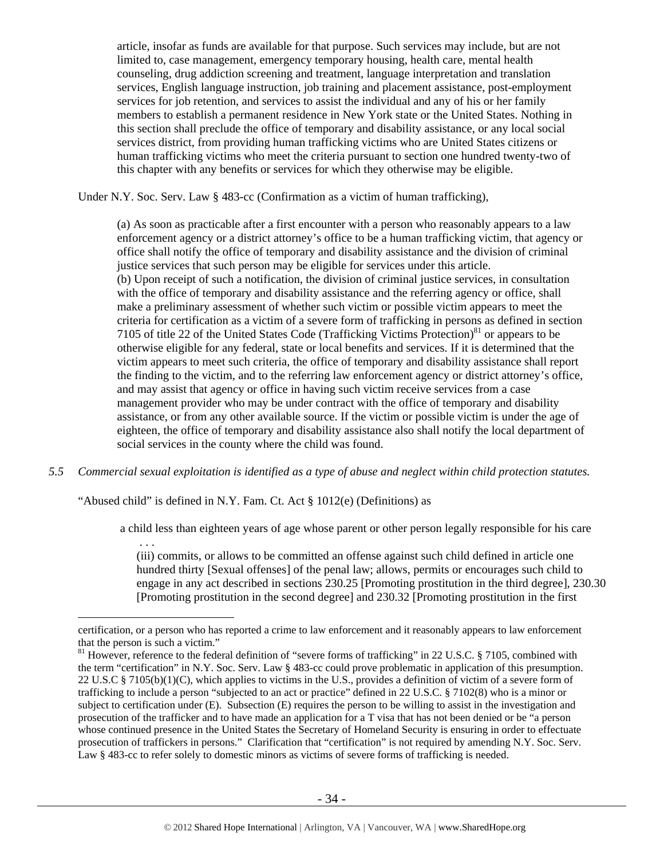article, insofar as funds are available for that purpose. Such services may include, but are not limited to, case management, emergency temporary housing, health care, mental health counseling, drug addiction screening and treatment, language interpretation and translation services, English language instruction, job training and placement assistance, post-employment services for job retention, and services to assist the individual and any of his or her family members to establish a permanent residence in New York state or the United States. Nothing in this section shall preclude the office of temporary and disability assistance, or any local social services district, from providing human trafficking victims who are United States citizens or human trafficking victims who meet the criteria pursuant to section one hundred twenty-two of this chapter with any benefits or services for which they otherwise may be eligible.

Under N.Y. Soc. Serv. Law § 483-cc (Confirmation as a victim of human trafficking),

(a) As soon as practicable after a first encounter with a person who reasonably appears to a law enforcement agency or a district attorney's office to be a human trafficking victim, that agency or office shall notify the office of temporary and disability assistance and the division of criminal justice services that such person may be eligible for services under this article. (b) Upon receipt of such a notification, the division of criminal justice services, in consultation with the office of temporary and disability assistance and the referring agency or office, shall make a preliminary assessment of whether such victim or possible victim appears to meet the criteria for certification as a victim of a severe form of trafficking in persons as defined in section 7105 of title 22 of the United States Code (Trafficking Victims Protection) $81$  or appears to be otherwise eligible for any federal, state or local benefits and services. If it is determined that the victim appears to meet such criteria, the office of temporary and disability assistance shall report the finding to the victim, and to the referring law enforcement agency or district attorney's office, and may assist that agency or office in having such victim receive services from a case management provider who may be under contract with the office of temporary and disability assistance, or from any other available source. If the victim or possible victim is under the age of eighteen, the office of temporary and disability assistance also shall notify the local department of social services in the county where the child was found.

*5.5 Commercial sexual exploitation is identified as a type of abuse and neglect within child protection statutes.* 

"Abused child" is defined in N.Y. Fam. Ct. Act § 1012(e) (Definitions) as

. . .

 $\overline{a}$ 

a child less than eighteen years of age whose parent or other person legally responsible for his care

(iii) commits, or allows to be committed an offense against such child defined in article one hundred thirty [Sexual offenses] of the penal law; allows, permits or encourages such child to engage in any act described in sections 230.25 [Promoting prostitution in the third degree], 230.30 [Promoting prostitution in the second degree] and 230.32 [Promoting prostitution in the first

certification, or a person who has reported a crime to law enforcement and it reasonably appears to law enforcement that the person is such a victim."

<sup>&</sup>lt;sup>81</sup> However, reference to the federal definition of "severe forms of trafficking" in 22 U.S.C. § 7105, combined with the term "certification" in N.Y. Soc. Serv. Law § 483-cc could prove problematic in application of this presumption. 22 U.S.C § 7105(b)(1)(C), which applies to victims in the U.S., provides a definition of victim of a severe form of trafficking to include a person "subjected to an act or practice" defined in 22 U.S.C. § 7102(8) who is a minor or subject to certification under (E). Subsection (E) requires the person to be willing to assist in the investigation and prosecution of the trafficker and to have made an application for a T visa that has not been denied or be "a person whose continued presence in the United States the Secretary of Homeland Security is ensuring in order to effectuate prosecution of traffickers in persons." Clarification that "certification" is not required by amending N.Y. Soc. Serv. Law § 483-cc to refer solely to domestic minors as victims of severe forms of trafficking is needed.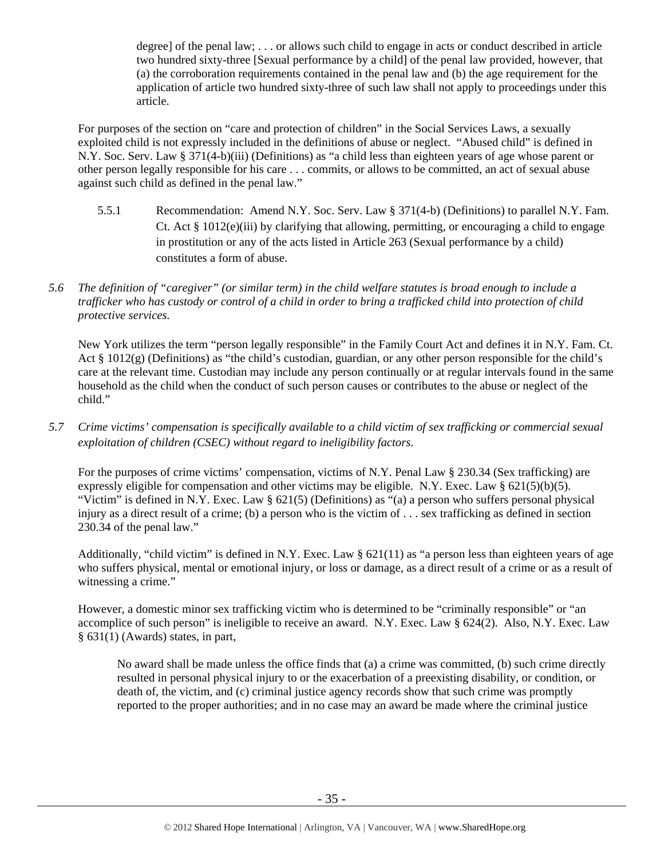degree] of the penal law; . . . or allows such child to engage in acts or conduct described in article two hundred sixty-three [Sexual performance by a child] of the penal law provided, however, that (a) the corroboration requirements contained in the penal law and (b) the age requirement for the application of article two hundred sixty-three of such law shall not apply to proceedings under this article.

For purposes of the section on "care and protection of children" in the Social Services Laws, a sexually exploited child is not expressly included in the definitions of abuse or neglect. "Abused child" is defined in N.Y. Soc. Serv. Law § 371(4-b)(iii) (Definitions) as "a child less than eighteen years of age whose parent or other person legally responsible for his care . . . commits, or allows to be committed, an act of sexual abuse against such child as defined in the penal law."

- 5.5.1 Recommendation: Amend N.Y. Soc. Serv. Law § 371(4-b) (Definitions) to parallel N.Y. Fam. Ct. Act § 1012(e)(iii) by clarifying that allowing, permitting, or encouraging a child to engage in prostitution or any of the acts listed in Article 263 (Sexual performance by a child) constitutes a form of abuse.
- *5.6 The definition of "caregiver" (or similar term) in the child welfare statutes is broad enough to include a trafficker who has custody or control of a child in order to bring a trafficked child into protection of child protective services.*

New York utilizes the term "person legally responsible" in the Family Court Act and defines it in N.Y. Fam. Ct. Act § 1012(g) (Definitions) as "the child's custodian, guardian, or any other person responsible for the child's care at the relevant time. Custodian may include any person continually or at regular intervals found in the same household as the child when the conduct of such person causes or contributes to the abuse or neglect of the child."

*5.7 Crime victims' compensation is specifically available to a child victim of sex trafficking or commercial sexual exploitation of children (CSEC) without regard to ineligibility factors.* 

For the purposes of crime victims' compensation, victims of N.Y. Penal Law § 230.34 (Sex trafficking) are expressly eligible for compensation and other victims may be eligible. N.Y. Exec. Law  $\S 621(5)(b)(5)$ . "Victim" is defined in N.Y. Exec. Law  $\S 621(5)$  (Definitions) as "(a) a person who suffers personal physical injury as a direct result of a crime; (b) a person who is the victim of . . . sex trafficking as defined in section 230.34 of the penal law."

Additionally, "child victim" is defined in N.Y. Exec. Law § 621(11) as "a person less than eighteen years of age who suffers physical, mental or emotional injury, or loss or damage, as a direct result of a crime or as a result of witnessing a crime."

However, a domestic minor sex trafficking victim who is determined to be "criminally responsible" or "an accomplice of such person" is ineligible to receive an award. N.Y. Exec. Law § 624(2). Also, N.Y. Exec. Law § 631(1) (Awards) states, in part,

No award shall be made unless the office finds that (a) a crime was committed, (b) such crime directly resulted in personal physical injury to or the exacerbation of a preexisting disability, or condition, or death of, the victim, and (c) criminal justice agency records show that such crime was promptly reported to the proper authorities; and in no case may an award be made where the criminal justice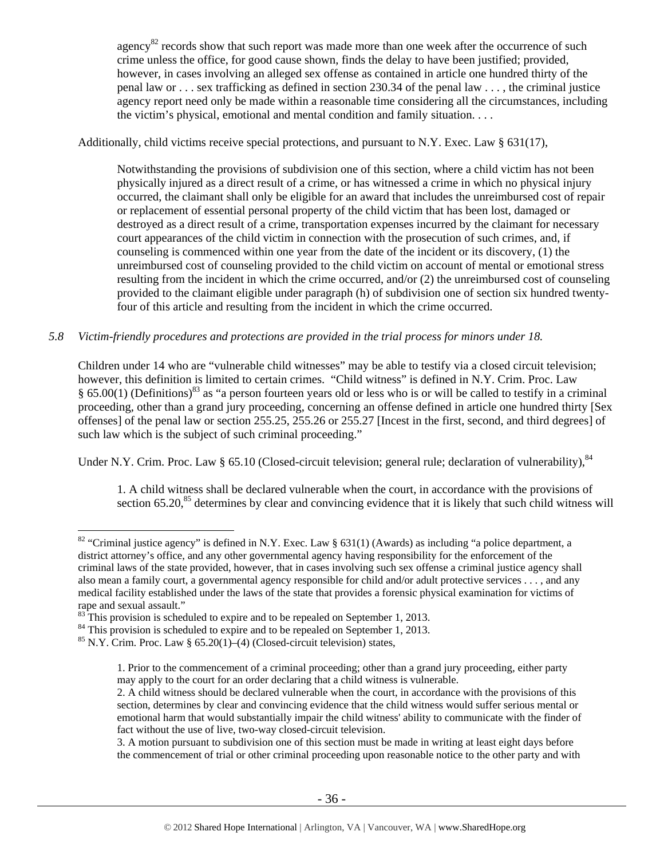agency<sup>82</sup> records show that such report was made more than one week after the occurrence of such crime unless the office, for good cause shown, finds the delay to have been justified; provided, however, in cases involving an alleged sex offense as contained in article one hundred thirty of the penal law or . . . sex trafficking as defined in section 230.34 of the penal law . . . , the criminal justice agency report need only be made within a reasonable time considering all the circumstances, including the victim's physical, emotional and mental condition and family situation. . . .

Additionally, child victims receive special protections, and pursuant to N.Y. Exec. Law § 631(17),

Notwithstanding the provisions of subdivision one of this section, where a child victim has not been physically injured as a direct result of a crime, or has witnessed a crime in which no physical injury occurred, the claimant shall only be eligible for an award that includes the unreimbursed cost of repair or replacement of essential personal property of the child victim that has been lost, damaged or destroyed as a direct result of a crime, transportation expenses incurred by the claimant for necessary court appearances of the child victim in connection with the prosecution of such crimes, and, if counseling is commenced within one year from the date of the incident or its discovery, (1) the unreimbursed cost of counseling provided to the child victim on account of mental or emotional stress resulting from the incident in which the crime occurred, and/or (2) the unreimbursed cost of counseling provided to the claimant eligible under paragraph (h) of subdivision one of section six hundred twentyfour of this article and resulting from the incident in which the crime occurred.

## *5.8 Victim-friendly procedures and protections are provided in the trial process for minors under 18.*

Children under 14 who are "vulnerable child witnesses" may be able to testify via a closed circuit television; however, this definition is limited to certain crimes. "Child witness" is defined in N.Y. Crim. Proc. Law § 65.00(1) (Definitions)<sup>83</sup> as "a person fourteen years old or less who is or will be called to testify in a criminal proceeding, other than a grand jury proceeding, concerning an offense defined in article one hundred thirty [Sex offenses] of the penal law or section 255.25, 255.26 or 255.27 [Incest in the first, second, and third degrees] of such law which is the subject of such criminal proceeding."

Under N.Y. Crim. Proc. Law § 65.10 (Closed-circuit television; general rule; declaration of vulnerability), 84

1. A child witness shall be declared vulnerable when the court, in accordance with the provisions of section 65.20,<sup>85</sup> determines by clear and convincing evidence that it is likely that such child witness will

 $\overline{a}$ 

3. A motion pursuant to subdivision one of this section must be made in writing at least eight days before the commencement of trial or other criminal proceeding upon reasonable notice to the other party and with

<sup>&</sup>lt;sup>82</sup> "Criminal justice agency" is defined in N.Y. Exec. Law § 631(1) (Awards) as including "a police department, a district attorney's office, and any other governmental agency having responsibility for the enforcement of the criminal laws of the state provided, however, that in cases involving such sex offense a criminal justice agency shall also mean a family court, a governmental agency responsible for child and/or adult protective services . . . , and any medical facility established under the laws of the state that provides a forensic physical examination for victims of rape and sexual assault."

 $83$ <sup>83</sup> This provision is scheduled to expire and to be repealed on September 1, 2013.

<sup>&</sup>lt;sup>84</sup> This provision is scheduled to expire and to be repealed on September 1, 2013.

 $85$  N.Y. Crim. Proc. Law § 65.20(1)–(4) (Closed-circuit television) states,

<sup>1.</sup> Prior to the commencement of a criminal proceeding; other than a grand jury proceeding, either party may apply to the court for an order declaring that a child witness is vulnerable.

<sup>2.</sup> A child witness should be declared vulnerable when the court, in accordance with the provisions of this section, determines by clear and convincing evidence that the child witness would suffer serious mental or emotional harm that would substantially impair the child witness' ability to communicate with the finder of fact without the use of live, two-way closed-circuit television.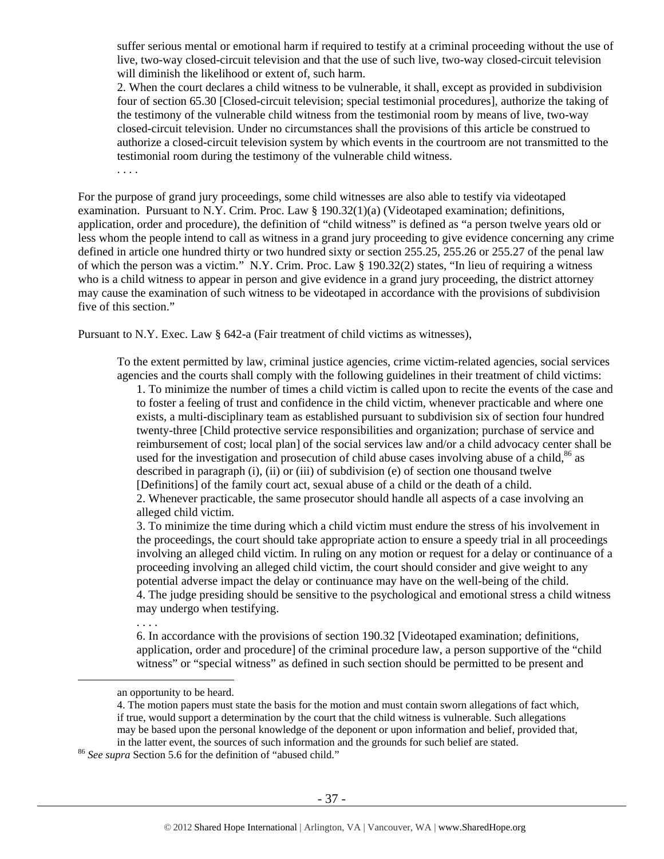suffer serious mental or emotional harm if required to testify at a criminal proceeding without the use of live, two-way closed-circuit television and that the use of such live, two-way closed-circuit television will diminish the likelihood or extent of, such harm.

2. When the court declares a child witness to be vulnerable, it shall, except as provided in subdivision four of section 65.30 [Closed-circuit television; special testimonial procedures], authorize the taking of the testimony of the vulnerable child witness from the testimonial room by means of live, two-way closed-circuit television. Under no circumstances shall the provisions of this article be construed to authorize a closed-circuit television system by which events in the courtroom are not transmitted to the testimonial room during the testimony of the vulnerable child witness.

. . . .

For the purpose of grand jury proceedings, some child witnesses are also able to testify via videotaped examination. Pursuant to N.Y. Crim. Proc. Law § 190.32(1)(a) (Videotaped examination; definitions, application, order and procedure), the definition of "child witness" is defined as "a person twelve years old or less whom the people intend to call as witness in a grand jury proceeding to give evidence concerning any crime defined in article one hundred thirty or two hundred sixty or section 255.25, 255.26 or 255.27 of the penal law of which the person was a victim." N.Y. Crim. Proc. Law § 190.32(2) states, "In lieu of requiring a witness who is a child witness to appear in person and give evidence in a grand jury proceeding, the district attorney may cause the examination of such witness to be videotaped in accordance with the provisions of subdivision five of this section."

Pursuant to N.Y. Exec. Law § 642-a (Fair treatment of child victims as witnesses),

To the extent permitted by law, criminal justice agencies, crime victim-related agencies, social services agencies and the courts shall comply with the following guidelines in their treatment of child victims:

1. To minimize the number of times a child victim is called upon to recite the events of the case and to foster a feeling of trust and confidence in the child victim, whenever practicable and where one exists, a multi-disciplinary team as established pursuant to subdivision six of section four hundred twenty-three [Child protective service responsibilities and organization; purchase of service and reimbursement of cost; local plan] of the social services law and/or a child advocacy center shall be used for the investigation and prosecution of child abuse cases involving abuse of a child, $86$  as described in paragraph (i), (ii) or (iii) of subdivision (e) of section one thousand twelve [Definitions] of the family court act, sexual abuse of a child or the death of a child. 2. Whenever practicable, the same prosecutor should handle all aspects of a case involving an

alleged child victim.

3. To minimize the time during which a child victim must endure the stress of his involvement in the proceedings, the court should take appropriate action to ensure a speedy trial in all proceedings involving an alleged child victim. In ruling on any motion or request for a delay or continuance of a proceeding involving an alleged child victim, the court should consider and give weight to any potential adverse impact the delay or continuance may have on the well-being of the child. 4. The judge presiding should be sensitive to the psychological and emotional stress a child witness may undergo when testifying.

6. In accordance with the provisions of section 190.32 [Videotaped examination; definitions, application, order and procedure] of the criminal procedure law, a person supportive of the "child witness" or "special witness" as defined in such section should be permitted to be present and

. . . .

an opportunity to be heard.

<sup>4.</sup> The motion papers must state the basis for the motion and must contain sworn allegations of fact which, if true, would support a determination by the court that the child witness is vulnerable. Such allegations may be based upon the personal knowledge of the deponent or upon information and belief, provided that, in the latter event, the sources of such information and the grounds for such belief are stated. 86 *See supra* Section 5.6 for the definition of "abused child."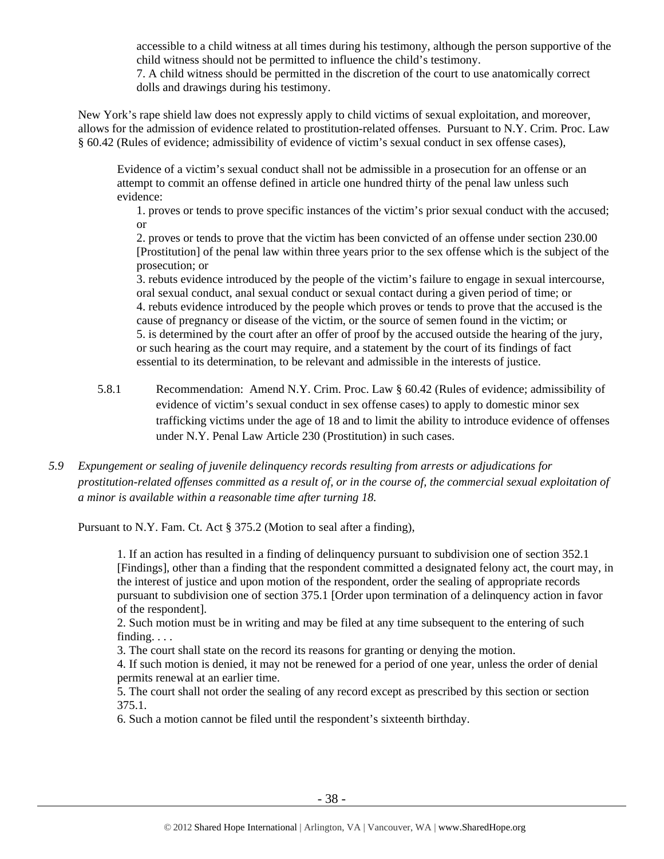accessible to a child witness at all times during his testimony, although the person supportive of the child witness should not be permitted to influence the child's testimony.

7. A child witness should be permitted in the discretion of the court to use anatomically correct dolls and drawings during his testimony.

New York's rape shield law does not expressly apply to child victims of sexual exploitation, and moreover, allows for the admission of evidence related to prostitution-related offenses. Pursuant to N.Y. Crim. Proc. Law § 60.42 (Rules of evidence; admissibility of evidence of victim's sexual conduct in sex offense cases),

Evidence of a victim's sexual conduct shall not be admissible in a prosecution for an offense or an attempt to commit an offense defined in article one hundred thirty of the penal law unless such evidence:

1. proves or tends to prove specific instances of the victim's prior sexual conduct with the accused; or

2. proves or tends to prove that the victim has been convicted of an offense under section 230.00 [Prostitution] of the penal law within three years prior to the sex offense which is the subject of the prosecution; or

3. rebuts evidence introduced by the people of the victim's failure to engage in sexual intercourse, oral sexual conduct, anal sexual conduct or sexual contact during a given period of time; or 4. rebuts evidence introduced by the people which proves or tends to prove that the accused is the cause of pregnancy or disease of the victim, or the source of semen found in the victim; or 5. is determined by the court after an offer of proof by the accused outside the hearing of the jury, or such hearing as the court may require, and a statement by the court of its findings of fact essential to its determination, to be relevant and admissible in the interests of justice.

- 5.8.1 Recommendation: Amend N.Y. Crim. Proc. Law § 60.42 (Rules of evidence; admissibility of evidence of victim's sexual conduct in sex offense cases) to apply to domestic minor sex trafficking victims under the age of 18 and to limit the ability to introduce evidence of offenses under N.Y. Penal Law Article 230 (Prostitution) in such cases.
- *5.9 Expungement or sealing of juvenile delinquency records resulting from arrests or adjudications for prostitution-related offenses committed as a result of, or in the course of, the commercial sexual exploitation of a minor is available within a reasonable time after turning 18.*

Pursuant to N.Y. Fam. Ct. Act § 375.2 (Motion to seal after a finding),

1. If an action has resulted in a finding of delinquency pursuant to subdivision one of section 352.1 [Findings], other than a finding that the respondent committed a designated felony act, the court may, in the interest of justice and upon motion of the respondent, order the sealing of appropriate records pursuant to subdivision one of section 375.1 [Order upon termination of a delinquency action in favor of the respondent].

2. Such motion must be in writing and may be filed at any time subsequent to the entering of such finding. . . .

3. The court shall state on the record its reasons for granting or denying the motion.

4. If such motion is denied, it may not be renewed for a period of one year, unless the order of denial permits renewal at an earlier time.

5. The court shall not order the sealing of any record except as prescribed by this section or section 375.1.

6. Such a motion cannot be filed until the respondent's sixteenth birthday.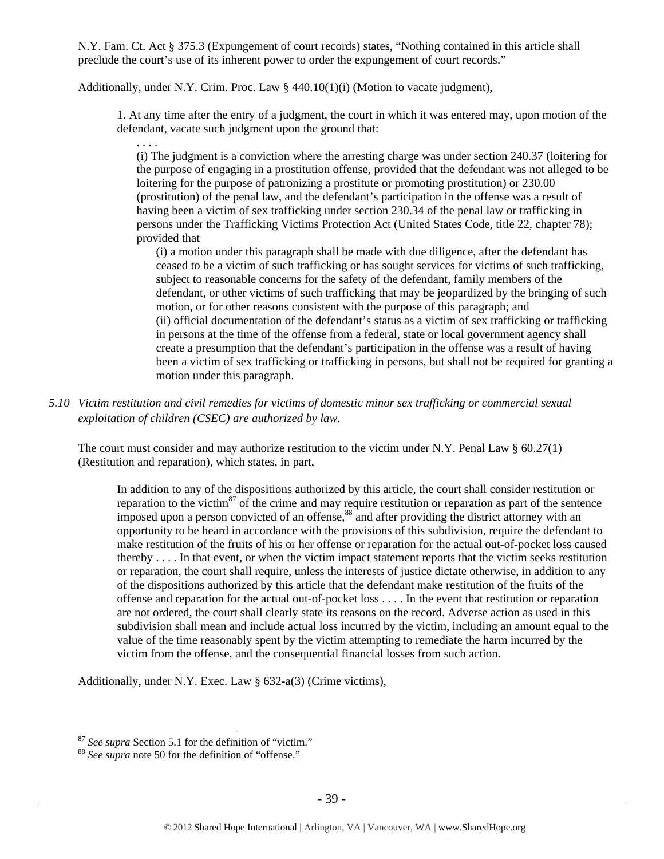N.Y. Fam. Ct. Act § 375.3 (Expungement of court records) states, "Nothing contained in this article shall preclude the court's use of its inherent power to order the expungement of court records."

Additionally, under N.Y. Crim. Proc. Law  $\S$  440.10(1)(i) (Motion to vacate judgment),

1. At any time after the entry of a judgment, the court in which it was entered may, upon motion of the defendant, vacate such judgment upon the ground that:

. . . . (i) The judgment is a conviction where the arresting charge was under section 240.37 (loitering for the purpose of engaging in a prostitution offense, provided that the defendant was not alleged to be loitering for the purpose of patronizing a prostitute or promoting prostitution) or 230.00 (prostitution) of the penal law, and the defendant's participation in the offense was a result of having been a victim of sex trafficking under section 230.34 of the penal law or trafficking in persons under the Trafficking Victims Protection Act (United States Code, title 22, chapter 78); provided that

(i) a motion under this paragraph shall be made with due diligence, after the defendant has ceased to be a victim of such trafficking or has sought services for victims of such trafficking, subject to reasonable concerns for the safety of the defendant, family members of the defendant, or other victims of such trafficking that may be jeopardized by the bringing of such motion, or for other reasons consistent with the purpose of this paragraph; and (ii) official documentation of the defendant's status as a victim of sex trafficking or trafficking in persons at the time of the offense from a federal, state or local government agency shall create a presumption that the defendant's participation in the offense was a result of having been a victim of sex trafficking or trafficking in persons, but shall not be required for granting a motion under this paragraph.

*5.10 Victim restitution and civil remedies for victims of domestic minor sex trafficking or commercial sexual exploitation of children (CSEC) are authorized by law.* 

The court must consider and may authorize restitution to the victim under N.Y. Penal Law  $\S$  60.27(1) (Restitution and reparation), which states, in part,

In addition to any of the dispositions authorized by this article, the court shall consider restitution or reparation to the victim<sup>87</sup> of the crime and may require restitution or reparation as part of the sentence imposed upon a person convicted of an offense,<sup>88</sup> and after providing the district attorney with an opportunity to be heard in accordance with the provisions of this subdivision, require the defendant to make restitution of the fruits of his or her offense or reparation for the actual out-of-pocket loss caused thereby . . . . In that event, or when the victim impact statement reports that the victim seeks restitution or reparation, the court shall require, unless the interests of justice dictate otherwise, in addition to any of the dispositions authorized by this article that the defendant make restitution of the fruits of the offense and reparation for the actual out-of-pocket loss . . . . In the event that restitution or reparation are not ordered, the court shall clearly state its reasons on the record. Adverse action as used in this subdivision shall mean and include actual loss incurred by the victim, including an amount equal to the value of the time reasonably spent by the victim attempting to remediate the harm incurred by the victim from the offense, and the consequential financial losses from such action.

Additionally, under N.Y. Exec. Law § 632-a(3) (Crime victims),

 $87$  See supra Section 5.1 for the definition of "victim."

<sup>&</sup>lt;sup>88</sup> See supra note 50 for the definition of "offense."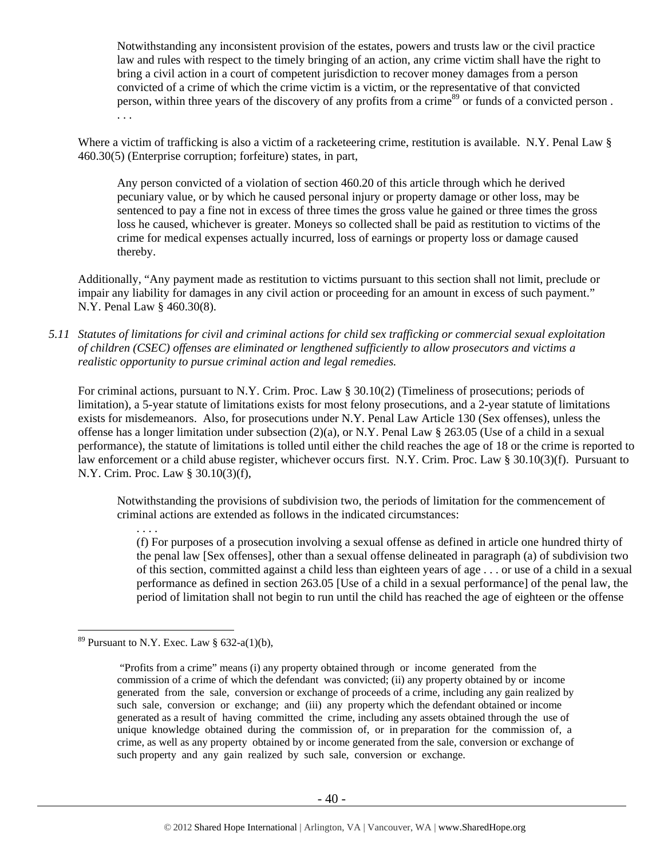Notwithstanding any inconsistent provision of the estates, powers and trusts law or the civil practice law and rules with respect to the timely bringing of an action, any crime victim shall have the right to bring a civil action in a court of competent jurisdiction to recover money damages from a person convicted of a crime of which the crime victim is a victim, or the representative of that convicted person, within three years of the discovery of any profits from a crime<sup>89</sup> or funds of a convicted person. . . .

Where a victim of trafficking is also a victim of a racketeering crime, restitution is available. N.Y. Penal Law § 460.30(5) (Enterprise corruption; forfeiture) states, in part,

Any person convicted of a violation of section 460.20 of this article through which he derived pecuniary value, or by which he caused personal injury or property damage or other loss, may be sentenced to pay a fine not in excess of three times the gross value he gained or three times the gross loss he caused, whichever is greater. Moneys so collected shall be paid as restitution to victims of the crime for medical expenses actually incurred, loss of earnings or property loss or damage caused thereby.

Additionally, "Any payment made as restitution to victims pursuant to this section shall not limit, preclude or impair any liability for damages in any civil action or proceeding for an amount in excess of such payment." N.Y. Penal Law § 460.30(8).

*5.11 Statutes of limitations for civil and criminal actions for child sex trafficking or commercial sexual exploitation of children (CSEC) offenses are eliminated or lengthened sufficiently to allow prosecutors and victims a realistic opportunity to pursue criminal action and legal remedies.* 

For criminal actions, pursuant to N.Y. Crim. Proc. Law § 30.10(2) (Timeliness of prosecutions; periods of limitation), a 5-year statute of limitations exists for most felony prosecutions, and a 2-year statute of limitations exists for misdemeanors. Also, for prosecutions under N.Y. Penal Law Article 130 (Sex offenses), unless the offense has a longer limitation under subsection (2)(a), or N.Y. Penal Law  $\S$  263.05 (Use of a child in a sexual performance), the statute of limitations is tolled until either the child reaches the age of 18 or the crime is reported to law enforcement or a child abuse register, whichever occurs first. N.Y. Crim. Proc. Law § 30.10(3)(f). Pursuant to N.Y. Crim. Proc. Law § 30.10(3)(f),

Notwithstanding the provisions of subdivision two, the periods of limitation for the commencement of criminal actions are extended as follows in the indicated circumstances:

(f) For purposes of a prosecution involving a sexual offense as defined in article one hundred thirty of the penal law [Sex offenses], other than a sexual offense delineated in paragraph (a) of subdivision two of this section, committed against a child less than eighteen years of age . . . or use of a child in a sexual performance as defined in section 263.05 [Use of a child in a sexual performance] of the penal law, the period of limitation shall not begin to run until the child has reached the age of eighteen or the offense

. . . .

<sup>&</sup>lt;sup>89</sup> Pursuant to N.Y. Exec. Law  $\S$  632-a(1)(b),

 <sup>&</sup>quot;Profits from a crime" means (i) any property obtained through or income generated from the commission of a crime of which the defendant was convicted; (ii) any property obtained by or income generated from the sale, conversion or exchange of proceeds of a crime, including any gain realized by such sale, conversion or exchange; and (iii) any property which the defendant obtained or income generated as a result of having committed the crime, including any assets obtained through the use of unique knowledge obtained during the commission of, or in preparation for the commission of, a crime, as well as any property obtained by or income generated from the sale, conversion or exchange of such property and any gain realized by such sale, conversion or exchange.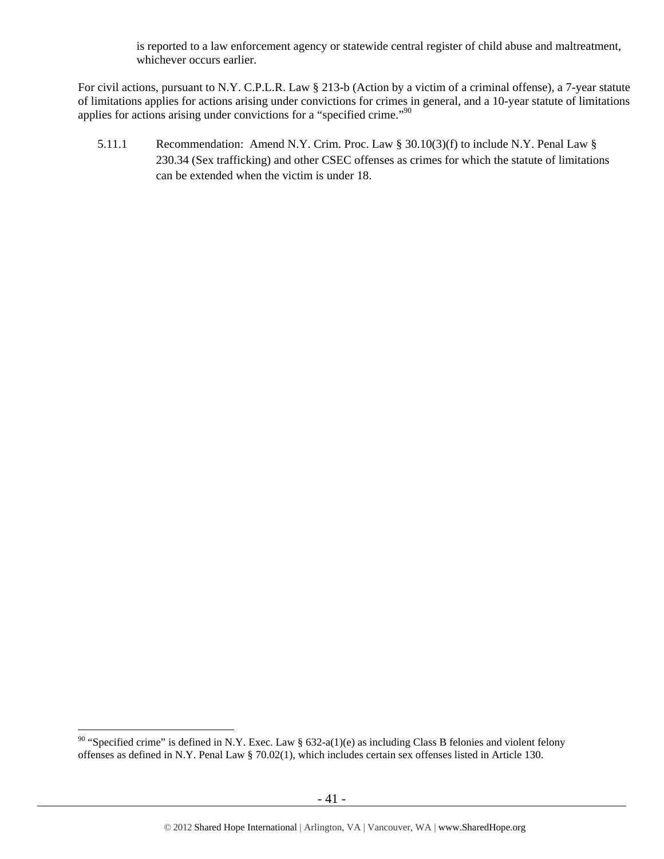is reported to a law enforcement agency or statewide central register of child abuse and maltreatment, whichever occurs earlier.

For civil actions, pursuant to N.Y. C.P.L.R. Law § 213-b (Action by a victim of a criminal offense), a 7-year statute of limitations applies for actions arising under convictions for crimes in general, and a 10-year statute of limitations applies for actions arising under convictions for a "specified crime."<sup>90</sup>

5.11.1 Recommendation: Amend N.Y. Crim. Proc. Law § 30.10(3)(f) to include N.Y. Penal Law § 230.34 (Sex trafficking) and other CSEC offenses as crimes for which the statute of limitations can be extended when the victim is under 18.

<sup>&</sup>lt;sup>90</sup> "Specified crime" is defined in N.Y. Exec. Law § 632-a(1)(e) as including Class B felonies and violent felony offenses as defined in N.Y. Penal Law § 70.02(1), which includes certain sex offenses listed in Article 130.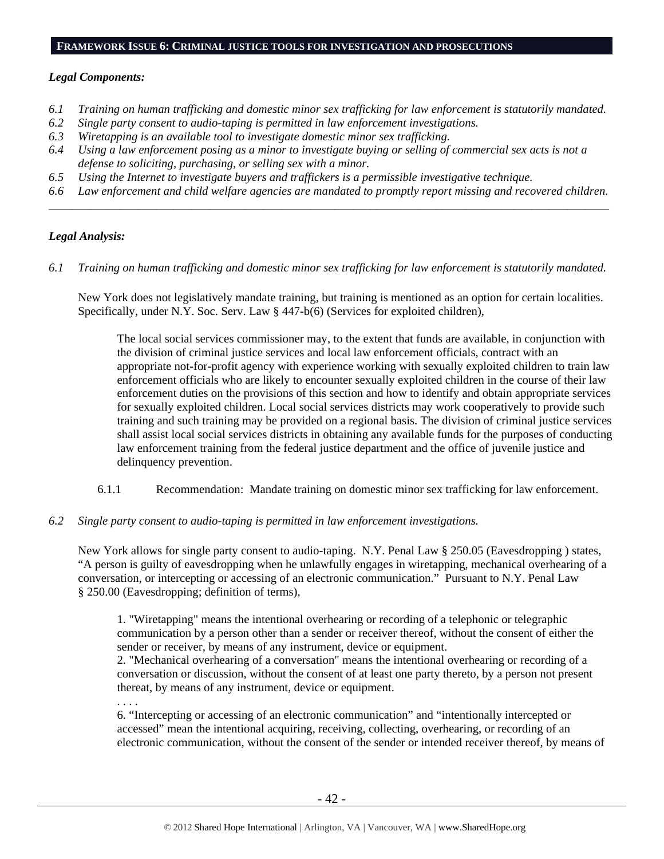#### **FRAMEWORK ISSUE 6: CRIMINAL JUSTICE TOOLS FOR INVESTIGATION AND PROSECUTIONS**

### *Legal Components:*

- *6.1 Training on human trafficking and domestic minor sex trafficking for law enforcement is statutorily mandated.*
- *6.2 Single party consent to audio-taping is permitted in law enforcement investigations.*
- *6.3 Wiretapping is an available tool to investigate domestic minor sex trafficking.*
- *6.4 Using a law enforcement posing as a minor to investigate buying or selling of commercial sex acts is not a defense to soliciting, purchasing, or selling sex with a minor.*
- *6.5 Using the Internet to investigate buyers and traffickers is a permissible investigative technique.*
- *6.6 Law enforcement and child welfare agencies are mandated to promptly report missing and recovered children. \_\_\_\_\_\_\_\_\_\_\_\_\_\_\_\_\_\_\_\_\_\_\_\_\_\_\_\_\_\_\_\_\_\_\_\_\_\_\_\_\_\_\_\_\_\_\_\_\_\_\_\_\_\_\_\_\_\_\_\_\_\_\_\_\_\_\_\_\_\_\_\_\_\_\_\_\_\_\_\_\_\_\_\_\_\_\_\_\_\_\_\_\_\_*

#### *Legal Analysis:*

*6.1 Training on human trafficking and domestic minor sex trafficking for law enforcement is statutorily mandated.* 

New York does not legislatively mandate training, but training is mentioned as an option for certain localities. Specifically, under N.Y. Soc. Serv. Law § 447-b(6) (Services for exploited children),

The local social services commissioner may, to the extent that funds are available, in conjunction with the division of criminal justice services and local law enforcement officials, contract with an appropriate not-for-profit agency with experience working with sexually exploited children to train law enforcement officials who are likely to encounter sexually exploited children in the course of their law enforcement duties on the provisions of this section and how to identify and obtain appropriate services for sexually exploited children. Local social services districts may work cooperatively to provide such training and such training may be provided on a regional basis. The division of criminal justice services shall assist local social services districts in obtaining any available funds for the purposes of conducting law enforcement training from the federal justice department and the office of juvenile justice and delinquency prevention.

- 6.1.1 Recommendation: Mandate training on domestic minor sex trafficking for law enforcement.
- *6.2 Single party consent to audio-taping is permitted in law enforcement investigations.*

New York allows for single party consent to audio-taping. N.Y. Penal Law § 250.05 (Eavesdropping ) states, "A person is guilty of eavesdropping when he unlawfully engages in wiretapping, mechanical overhearing of a conversation, or intercepting or accessing of an electronic communication." Pursuant to N.Y. Penal Law § 250.00 (Eavesdropping; definition of terms),

1. "Wiretapping" means the intentional overhearing or recording of a telephonic or telegraphic communication by a person other than a sender or receiver thereof, without the consent of either the sender or receiver, by means of any instrument, device or equipment.

2. "Mechanical overhearing of a conversation" means the intentional overhearing or recording of a conversation or discussion, without the consent of at least one party thereto, by a person not present thereat, by means of any instrument, device or equipment.

. . . .

6. "Intercepting or accessing of an electronic communication" and "intentionally intercepted or accessed" mean the intentional acquiring, receiving, collecting, overhearing, or recording of an electronic communication, without the consent of the sender or intended receiver thereof, by means of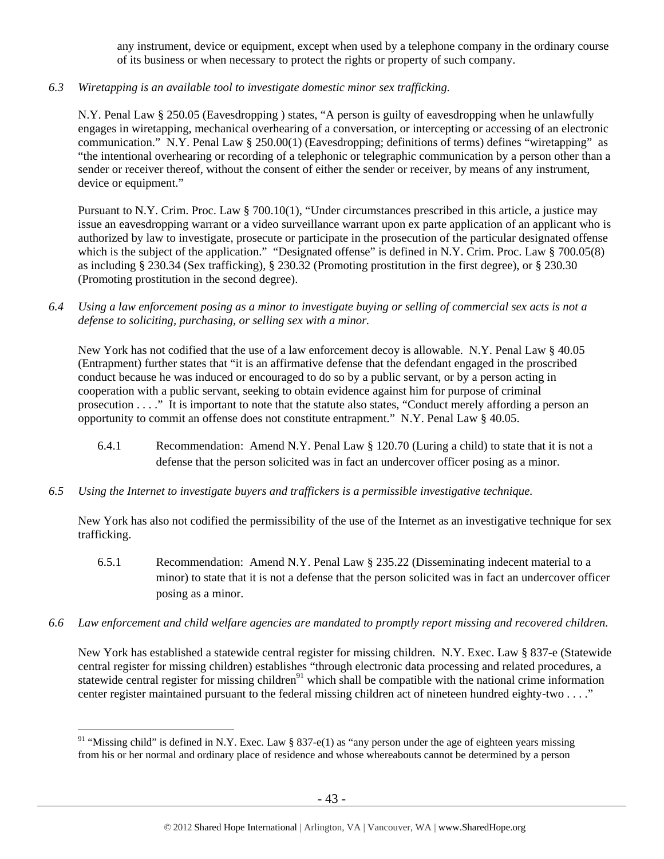any instrument, device or equipment, except when used by a telephone company in the ordinary course of its business or when necessary to protect the rights or property of such company.

## *6.3 Wiretapping is an available tool to investigate domestic minor sex trafficking.*

N.Y. Penal Law § 250.05 (Eavesdropping ) states, "A person is guilty of eavesdropping when he unlawfully engages in wiretapping, mechanical overhearing of a conversation, or intercepting or accessing of an electronic communication." N.Y. Penal Law § 250.00(1) (Eavesdropping; definitions of terms) defines "wiretapping" as "the intentional overhearing or recording of a telephonic or telegraphic communication by a person other than a sender or receiver thereof, without the consent of either the sender or receiver, by means of any instrument, device or equipment."

Pursuant to N.Y. Crim. Proc. Law § 700.10(1), "Under circumstances prescribed in this article, a justice may issue an eavesdropping warrant or a video surveillance warrant upon ex parte application of an applicant who is authorized by law to investigate, prosecute or participate in the prosecution of the particular designated offense which is the subject of the application." "Designated offense" is defined in N.Y. Crim. Proc. Law § 700.05(8) as including § 230.34 (Sex trafficking), § 230.32 (Promoting prostitution in the first degree), or § 230.30 (Promoting prostitution in the second degree).

*6.4 Using a law enforcement posing as a minor to investigate buying or selling of commercial sex acts is not a defense to soliciting, purchasing, or selling sex with a minor.* 

New York has not codified that the use of a law enforcement decoy is allowable. N.Y. Penal Law § 40.05 (Entrapment) further states that "it is an affirmative defense that the defendant engaged in the proscribed conduct because he was induced or encouraged to do so by a public servant, or by a person acting in cooperation with a public servant, seeking to obtain evidence against him for purpose of criminal prosecution . . . ." It is important to note that the statute also states, "Conduct merely affording a person an opportunity to commit an offense does not constitute entrapment." N.Y. Penal Law § 40.05.

- 6.4.1 Recommendation: Amend N.Y. Penal Law § 120.70 (Luring a child) to state that it is not a defense that the person solicited was in fact an undercover officer posing as a minor.
- *6.5 Using the Internet to investigate buyers and traffickers is a permissible investigative technique.*

New York has also not codified the permissibility of the use of the Internet as an investigative technique for sex trafficking.

- 6.5.1 Recommendation: Amend N.Y. Penal Law § 235.22 (Disseminating indecent material to a minor) to state that it is not a defense that the person solicited was in fact an undercover officer posing as a minor.
- *6.6 Law enforcement and child welfare agencies are mandated to promptly report missing and recovered children.*

New York has established a statewide central register for missing children. N.Y. Exec. Law § 837-e (Statewide central register for missing children) establishes "through electronic data processing and related procedures, a statewide central register for missing children<sup>91</sup> which shall be compatible with the national crime information center register maintained pursuant to the federal missing children act of nineteen hundred eighty-two . . . ."

<sup>&</sup>lt;sup>91</sup> "Missing child" is defined in N.Y. Exec. Law § 837-e(1) as "any person under the age of eighteen years missing from his or her normal and ordinary place of residence and whose whereabouts cannot be determined by a person